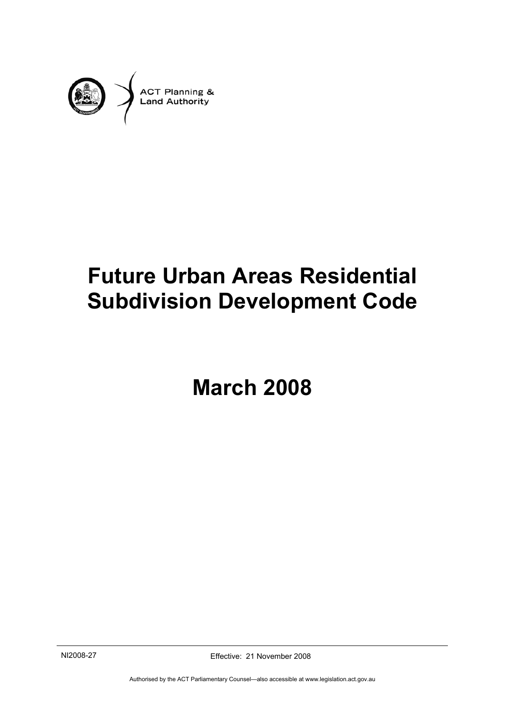

# **Future Urban Areas Residential Subdivision Development Code**

**March 2008** 

NI2008-27 Effective: 21 November 2008

Authorised by the ACT Parliamentary Counsel—also accessible at www.legislation.act.gov.au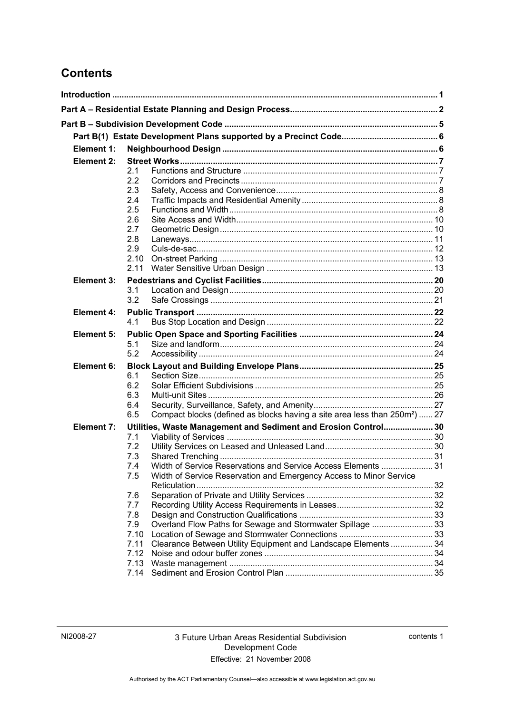### **Contents**

|  | Element 1:        |             |                                                                                                                                     |  |  |  |  |
|--|-------------------|-------------|-------------------------------------------------------------------------------------------------------------------------------------|--|--|--|--|
|  | Element 2:        |             |                                                                                                                                     |  |  |  |  |
|  |                   | 2.1         |                                                                                                                                     |  |  |  |  |
|  |                   | 2.2         |                                                                                                                                     |  |  |  |  |
|  |                   | 2.3         |                                                                                                                                     |  |  |  |  |
|  |                   | 2.4         |                                                                                                                                     |  |  |  |  |
|  |                   | 2.5         |                                                                                                                                     |  |  |  |  |
|  |                   | 2.6         |                                                                                                                                     |  |  |  |  |
|  |                   | 2.7         |                                                                                                                                     |  |  |  |  |
|  |                   | 2.8         |                                                                                                                                     |  |  |  |  |
|  |                   | 2.9<br>2.10 |                                                                                                                                     |  |  |  |  |
|  |                   | 2.11        |                                                                                                                                     |  |  |  |  |
|  | <b>Element 3:</b> |             |                                                                                                                                     |  |  |  |  |
|  |                   | 3.1         |                                                                                                                                     |  |  |  |  |
|  |                   | 3.2         |                                                                                                                                     |  |  |  |  |
|  | <b>Element 4:</b> |             |                                                                                                                                     |  |  |  |  |
|  |                   | 4.1         |                                                                                                                                     |  |  |  |  |
|  |                   |             |                                                                                                                                     |  |  |  |  |
|  | Element 5:        | 5.1         |                                                                                                                                     |  |  |  |  |
|  |                   | 5.2         |                                                                                                                                     |  |  |  |  |
|  | Element 6:        |             |                                                                                                                                     |  |  |  |  |
|  |                   | 6.1         |                                                                                                                                     |  |  |  |  |
|  |                   | 6.2         |                                                                                                                                     |  |  |  |  |
|  |                   | 6.3         |                                                                                                                                     |  |  |  |  |
|  |                   | 6.4         |                                                                                                                                     |  |  |  |  |
|  |                   | 6.5         | Compact blocks (defined as blocks having a site area less than 250m <sup>2</sup> )  27                                              |  |  |  |  |
|  | <b>Element 7:</b> |             | Utilities, Waste Management and Sediment and Erosion Control 30                                                                     |  |  |  |  |
|  |                   | 7.1         |                                                                                                                                     |  |  |  |  |
|  |                   | 7.2         |                                                                                                                                     |  |  |  |  |
|  |                   | 7.3         |                                                                                                                                     |  |  |  |  |
|  |                   | 7.4         | Width of Service Reservations and Service Access Elements  31<br>Width of Service Reservation and Emergency Access to Minor Service |  |  |  |  |
|  |                   | 7.5         |                                                                                                                                     |  |  |  |  |
|  |                   | 7.6         |                                                                                                                                     |  |  |  |  |
|  |                   | 7.7         |                                                                                                                                     |  |  |  |  |
|  |                   | 7.8         |                                                                                                                                     |  |  |  |  |
|  |                   | 7.9         | Overland Flow Paths for Sewage and Stormwater Spillage  33                                                                          |  |  |  |  |
|  |                   | 7.10        |                                                                                                                                     |  |  |  |  |
|  |                   | 7.11        | Clearance Between Utility Equipment and Landscape Elements  34                                                                      |  |  |  |  |
|  |                   | 7.12        |                                                                                                                                     |  |  |  |  |
|  |                   | 7.13        |                                                                                                                                     |  |  |  |  |
|  |                   | 7.14        |                                                                                                                                     |  |  |  |  |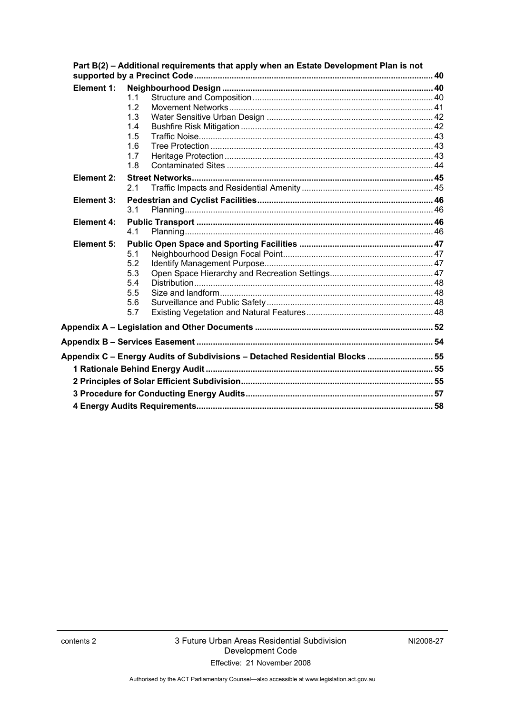|                   |     | Part B(2) - Additional requirements that apply when an Estate Development Plan is not |  |
|-------------------|-----|---------------------------------------------------------------------------------------|--|
| Element 1:        |     |                                                                                       |  |
|                   | 11  |                                                                                       |  |
|                   | 1.2 |                                                                                       |  |
|                   | 1.3 |                                                                                       |  |
|                   | 1.4 |                                                                                       |  |
|                   | 1.5 |                                                                                       |  |
|                   | 1.6 |                                                                                       |  |
|                   | 1.7 |                                                                                       |  |
|                   | 1.8 |                                                                                       |  |
| Element 2:        | 2.1 |                                                                                       |  |
|                   |     |                                                                                       |  |
| Element 3:        | 3.1 |                                                                                       |  |
| <b>Element 4:</b> |     |                                                                                       |  |
|                   | 4.1 |                                                                                       |  |
| <b>Element 5:</b> |     |                                                                                       |  |
|                   | 5.1 |                                                                                       |  |
|                   | 5.2 |                                                                                       |  |
|                   | 5.3 |                                                                                       |  |
|                   | 5.4 |                                                                                       |  |
|                   | 5.5 |                                                                                       |  |
|                   | 5.6 |                                                                                       |  |
|                   | 5.7 |                                                                                       |  |
|                   |     |                                                                                       |  |
|                   |     |                                                                                       |  |
|                   |     | Appendix C - Energy Audits of Subdivisions - Detached Residential Blocks  55          |  |
|                   |     |                                                                                       |  |
|                   |     |                                                                                       |  |
|                   |     |                                                                                       |  |
|                   |     |                                                                                       |  |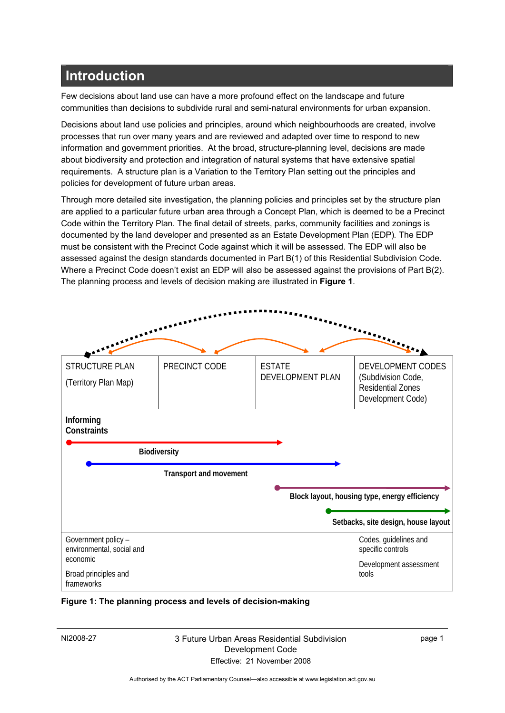### **Introduction**

Few decisions about land use can have a more profound effect on the landscape and future communities than decisions to subdivide rural and semi-natural environments for urban expansion.

Decisions about land use policies and principles, around which neighbourhoods are created, involve processes that run over many years and are reviewed and adapted over time to respond to new information and government priorities. At the broad, structure-planning level, decisions are made about biodiversity and protection and integration of natural systems that have extensive spatial requirements. A structure plan is a Variation to the Territory Plan setting out the principles and policies for development of future urban areas.

Through more detailed site investigation, the planning policies and principles set by the structure plan are applied to a particular future urban area through a Concept Plan, which is deemed to be a Precinct Code within the Territory Plan. The final detail of streets, parks, community facilities and zonings is documented by the land developer and presented as an Estate Development Plan (EDP)*.* The EDP must be consistent with the Precinct Code against which it will be assessed. The EDP will also be assessed against the design standards documented in Part B(1) of this Residential Subdivision Code. Where a Precinct Code doesn't exist an EDP will also be assessed against the provisions of Part B(2). The planning process and levels of decision making are illustrated in **Figure 1**.



**Figure 1: The planning process and levels of decision-making** 

#### NI2008-27 3 Future Urban Areas Residential Subdivision Development Code Effective: 21 November 2008

page 1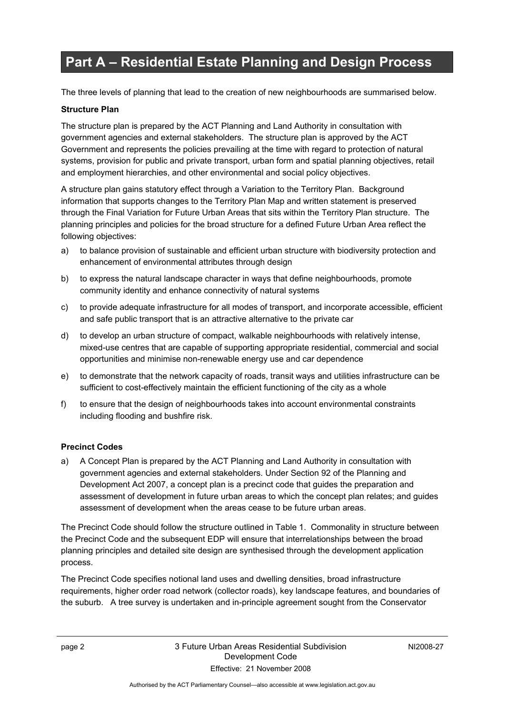## **Part A – Residential Estate Planning and Design Process**

The three levels of planning that lead to the creation of new neighbourhoods are summarised below.

### **Structure Plan**

The structure plan is prepared by the ACT Planning and Land Authority in consultation with government agencies and external stakeholders. The structure plan is approved by the ACT Government and represents the policies prevailing at the time with regard to protection of natural systems, provision for public and private transport, urban form and spatial planning objectives, retail and employment hierarchies, and other environmental and social policy objectives.

A structure plan gains statutory effect through a Variation to the Territory Plan. Background information that supports changes to the Territory Plan Map and written statement is preserved through the Final Variation for Future Urban Areas that sits within the Territory Plan structure. The planning principles and policies for the broad structure for a defined Future Urban Area reflect the following objectives:

- a) to balance provision of sustainable and efficient urban structure with biodiversity protection and enhancement of environmental attributes through design
- b) to express the natural landscape character in ways that define neighbourhoods, promote community identity and enhance connectivity of natural systems
- c) to provide adequate infrastructure for all modes of transport, and incorporate accessible, efficient and safe public transport that is an attractive alternative to the private car
- d) to develop an urban structure of compact, walkable neighbourhoods with relatively intense, mixed-use centres that are capable of supporting appropriate residential, commercial and social opportunities and minimise non-renewable energy use and car dependence
- e) to demonstrate that the network capacity of roads, transit ways and utilities infrastructure can be sufficient to cost-effectively maintain the efficient functioning of the city as a whole
- f) to ensure that the design of neighbourhoods takes into account environmental constraints including flooding and bushfire risk.

### **Precinct Codes**

a) A Concept Plan is prepared by the ACT Planning and Land Authority in consultation with government agencies and external stakeholders. Under Section 92 of the Planning and Development Act 2007, a concept plan is a precinct code that guides the preparation and assessment of development in future urban areas to which the concept plan relates; and guides assessment of development when the areas cease to be future urban areas.

The Precinct Code should follow the structure outlined in Table 1. Commonality in structure between the Precinct Code and the subsequent EDP will ensure that interrelationships between the broad planning principles and detailed site design are synthesised through the development application process.

The Precinct Code specifies notional land uses and dwelling densities, broad infrastructure requirements, higher order road network (collector roads), key landscape features, and boundaries of the suburb. A tree survey is undertaken and in-principle agreement sought from the Conservator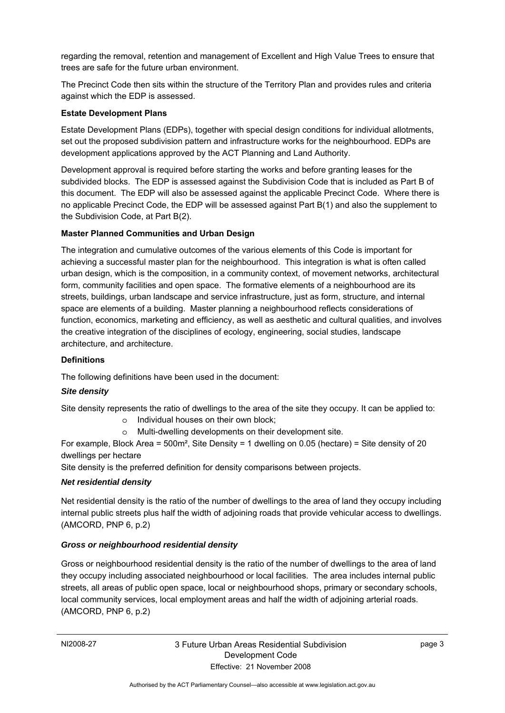regarding the removal, retention and management of Excellent and High Value Trees to ensure that trees are safe for the future urban environment.

The Precinct Code then sits within the structure of the Territory Plan and provides rules and criteria against which the EDP is assessed.

### **Estate Development Plans**

Estate Development Plans (EDPs), together with special design conditions for individual allotments, set out the proposed subdivision pattern and infrastructure works for the neighbourhood. EDPs are development applications approved by the ACT Planning and Land Authority.

Development approval is required before starting the works and before granting leases for the subdivided blocks. The EDP is assessed against the Subdivision Code that is included as Part B of this document. The EDP will also be assessed against the applicable Precinct Code. Where there is no applicable Precinct Code, the EDP will be assessed against Part B(1) and also the supplement to the Subdivision Code, at Part B(2).

### **Master Planned Communities and Urban Design**

The integration and cumulative outcomes of the various elements of this Code is important for achieving a successful master plan for the neighbourhood. This integration is what is often called urban design, which is the composition, in a community context, of movement networks, architectural form, community facilities and open space. The formative elements of a neighbourhood are its streets, buildings, urban landscape and service infrastructure, just as form, structure, and internal space are elements of a building. Master planning a neighbourhood reflects considerations of function, economics, marketing and efficiency, as well as aesthetic and cultural qualities, and involves the creative integration of the disciplines of ecology, engineering, social studies, landscape architecture, and architecture.

#### **Definitions**

The following definitions have been used in the document:

### *Site density*

Site density represents the ratio of dwellings to the area of the site they occupy. It can be applied to:

- o Individual houses on their own block;
- o Multi-dwelling developments on their development site.

For example, Block Area = 500m², Site Density = 1 dwelling on 0.05 (hectare) = Site density of 20 dwellings per hectare

Site density is the preferred definition for density comparisons between projects.

#### *Net residential density*

Net residential density is the ratio of the number of dwellings to the area of land they occupy including internal public streets plus half the width of adjoining roads that provide vehicular access to dwellings. (AMCORD, PNP 6, p.2)

### *Gross or neighbourhood residential density*

Gross or neighbourhood residential density is the ratio of the number of dwellings to the area of land they occupy including associated neighbourhood or local facilities. The area includes internal public streets, all areas of public open space, local or neighbourhood shops, primary or secondary schools, local community services, local employment areas and half the width of adjoining arterial roads. (AMCORD, PNP 6, p.2)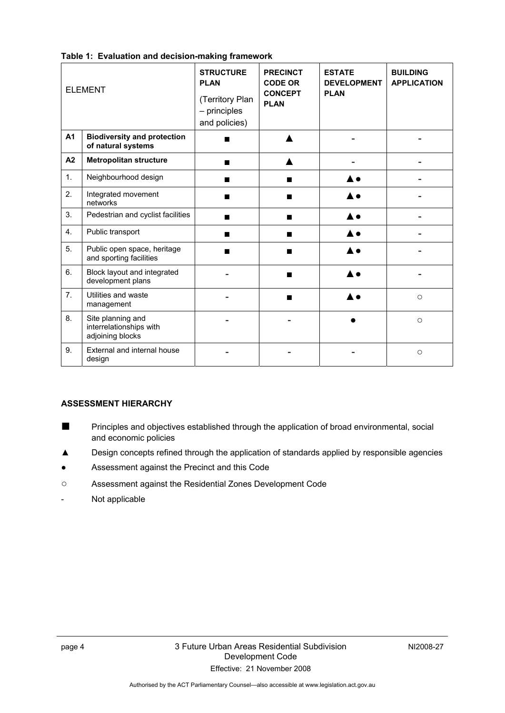|    | <b>ELEMENT</b>                                                   | <b>STRUCTURE</b><br><b>PLAN</b><br>(Territory Plan<br>$-$ principles<br>and policies) | <b>PRECINCT</b><br><b>CODE OR</b><br><b>CONCEPT</b><br><b>PLAN</b> | <b>ESTATE</b><br><b>DEVELOPMENT</b><br><b>PLAN</b> | <b>BUILDING</b><br><b>APPLICATION</b> |
|----|------------------------------------------------------------------|---------------------------------------------------------------------------------------|--------------------------------------------------------------------|----------------------------------------------------|---------------------------------------|
| A1 | <b>Biodiversity and protection</b><br>of natural systems         |                                                                                       |                                                                    |                                                    |                                       |
| A2 | <b>Metropolitan structure</b>                                    |                                                                                       |                                                                    |                                                    |                                       |
| 1. | Neighbourhood design                                             | п                                                                                     | ■                                                                  |                                                    |                                       |
| 2. | Integrated movement<br>networks                                  |                                                                                       | ▬                                                                  |                                                    |                                       |
| 3. | Pedestrian and cyclist facilities                                | ■                                                                                     | ■                                                                  |                                                    |                                       |
| 4. | Public transport                                                 | ш                                                                                     | ■                                                                  |                                                    |                                       |
| 5. | Public open space, heritage<br>and sporting facilities           |                                                                                       | ■                                                                  |                                                    |                                       |
| 6. | Block layout and integrated<br>development plans                 |                                                                                       |                                                                    |                                                    |                                       |
| 7. | Utilities and waste<br>management                                |                                                                                       | ■                                                                  |                                                    | $\circ$                               |
| 8. | Site planning and<br>interrelationships with<br>adjoining blocks |                                                                                       |                                                                    |                                                    | $\circ$                               |
| 9. | External and internal house<br>design                            |                                                                                       |                                                                    |                                                    | $\circ$                               |

#### **Table 1: Evaluation and decision-making framework**

#### **ASSESSMENT HIERARCHY**

- Principles and objectives established through the application of broad environmental, social and economic policies
- **▲** Design concepts refined through the application of standards applied by responsible agencies
- Assessment against the Precinct and this Code
- **○** Assessment against the Residential Zones Development Code
- Not applicable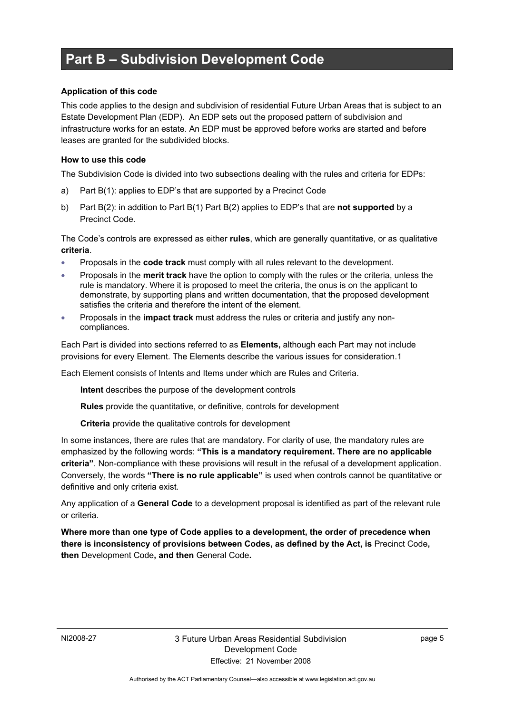### **Part B – Subdivision Development Code**

#### **Application of this code**

This code applies to the design and subdivision of residential Future Urban Areas that is subject to an Estate Development Plan (EDP). An EDP sets out the proposed pattern of subdivision and infrastructure works for an estate. An EDP must be approved before works are started and before leases are granted for the subdivided blocks.

#### **How to use this code**

The Subdivision Code is divided into two subsections dealing with the rules and criteria for EDPs:

- a) Part B(1): applies to EDP's that are supported by a Precinct Code
- b) Part B(2): in addition to Part B(1) Part B(2) applies to EDP's that are **not supported** by a Precinct Code.

The Code's controls are expressed as either **rules**, which are generally quantitative, or as qualitative **criteria**.

- Proposals in the **code track** must comply with all rules relevant to the development.
- Proposals in the **merit track** have the option to comply with the rules or the criteria, unless the rule is mandatory. Where it is proposed to meet the criteria, the onus is on the applicant to demonstrate, by supporting plans and written documentation, that the proposed development satisfies the criteria and therefore the intent of the element.
- Proposals in the **impact track** must address the rules or criteria and justify any noncompliances.

Each Part is divided into sections referred to as **Elements,** although each Part may not include provisions for every Element. The Elements describe the various issues for consideration.1

Each Element consists of Intents and Items under which are Rules and Criteria.

**Intent** describes the purpose of the development controls

**Rules** provide the quantitative, or definitive, controls for development

**Criteria** provide the qualitative controls for development

In some instances, there are rules that are mandatory. For clarity of use, the mandatory rules are emphasized by the following words: **"This is a mandatory requirement. There are no applicable criteria"**. Non-compliance with these provisions will result in the refusal of a development application. Conversely, the words **"There is no rule applicable"** is used when controls cannot be quantitative or definitive and only criteria exist.

Any application of a **General Code** to a development proposal is identified as part of the relevant rule or criteria.

**Where more than one type of Code applies to a development, the order of precedence when there is inconsistency of provisions between Codes, as defined by the Act, is** Precinct Code**, then** Development Code**, and then** General Code**.**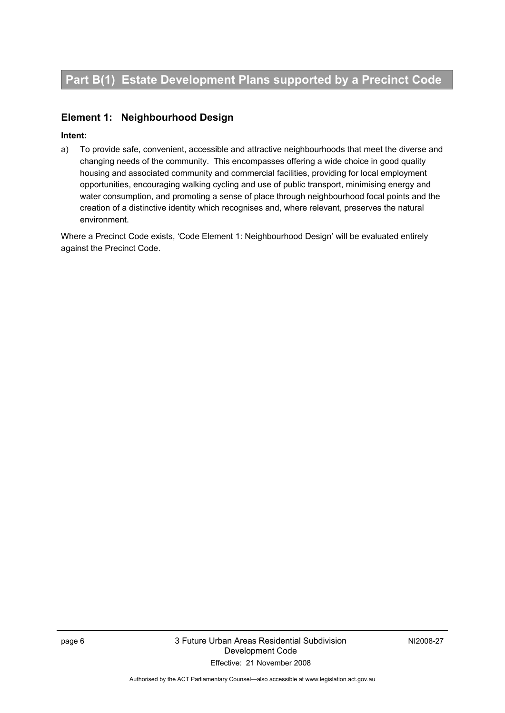### **Element 1: Neighbourhood Design**

### **Intent:**

a) To provide safe, convenient, accessible and attractive neighbourhoods that meet the diverse and changing needs of the community. This encompasses offering a wide choice in good quality housing and associated community and commercial facilities, providing for local employment opportunities, encouraging walking cycling and use of public transport, minimising energy and water consumption, and promoting a sense of place through neighbourhood focal points and the creation of a distinctive identity which recognises and, where relevant, preserves the natural environment.

Where a Precinct Code exists, 'Code Element 1: Neighbourhood Design' will be evaluated entirely against the Precinct Code.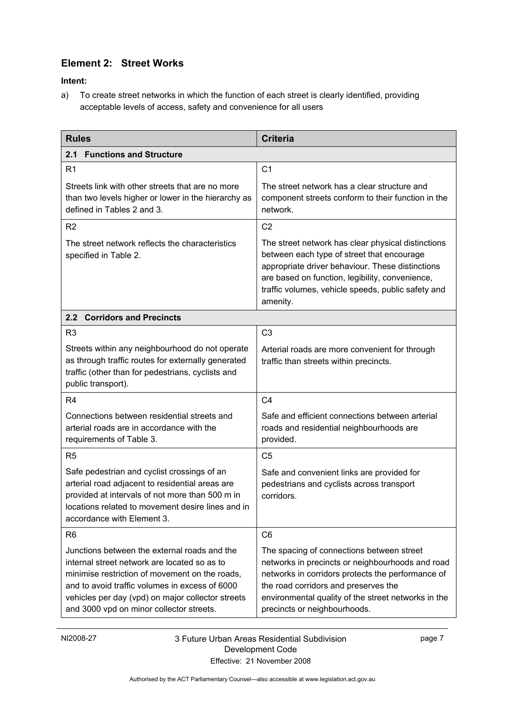### **Element 2: Street Works**

**Intent:** 

a) To create street networks in which the function of each street is clearly identified, providing acceptable levels of access, safety and convenience for all users

| <b>Rules</b>                                                                                                                                                                                                                                                                                      | <b>Criteria</b>                                                                                                                                                                                                                                                                   |  |  |
|---------------------------------------------------------------------------------------------------------------------------------------------------------------------------------------------------------------------------------------------------------------------------------------------------|-----------------------------------------------------------------------------------------------------------------------------------------------------------------------------------------------------------------------------------------------------------------------------------|--|--|
| <b>Functions and Structure</b><br>2.1                                                                                                                                                                                                                                                             |                                                                                                                                                                                                                                                                                   |  |  |
| R <sub>1</sub>                                                                                                                                                                                                                                                                                    | C <sub>1</sub>                                                                                                                                                                                                                                                                    |  |  |
| Streets link with other streets that are no more<br>than two levels higher or lower in the hierarchy as<br>defined in Tables 2 and 3.                                                                                                                                                             | The street network has a clear structure and<br>component streets conform to their function in the<br>network.                                                                                                                                                                    |  |  |
| R <sub>2</sub>                                                                                                                                                                                                                                                                                    | C <sub>2</sub>                                                                                                                                                                                                                                                                    |  |  |
| The street network reflects the characteristics<br>specified in Table 2.                                                                                                                                                                                                                          | The street network has clear physical distinctions<br>between each type of street that encourage<br>appropriate driver behaviour. These distinctions<br>are based on function, legibility, convenience,<br>traffic volumes, vehicle speeds, public safety and<br>amenity.         |  |  |
| <b>Corridors and Precincts</b><br>2.2                                                                                                                                                                                                                                                             |                                                                                                                                                                                                                                                                                   |  |  |
| R <sub>3</sub>                                                                                                                                                                                                                                                                                    | C <sub>3</sub>                                                                                                                                                                                                                                                                    |  |  |
| Streets within any neighbourhood do not operate<br>as through traffic routes for externally generated<br>traffic (other than for pedestrians, cyclists and<br>public transport).                                                                                                                  | Arterial roads are more convenient for through<br>traffic than streets within precincts.                                                                                                                                                                                          |  |  |
| R <sub>4</sub>                                                                                                                                                                                                                                                                                    | C <sub>4</sub>                                                                                                                                                                                                                                                                    |  |  |
| Connections between residential streets and<br>arterial roads are in accordance with the<br>requirements of Table 3.                                                                                                                                                                              | Safe and efficient connections between arterial<br>roads and residential neighbourhoods are<br>provided.                                                                                                                                                                          |  |  |
| R <sub>5</sub>                                                                                                                                                                                                                                                                                    | C <sub>5</sub>                                                                                                                                                                                                                                                                    |  |  |
| Safe pedestrian and cyclist crossings of an<br>arterial road adjacent to residential areas are<br>provided at intervals of not more than 500 m in<br>locations related to movement desire lines and in<br>accordance with Element 3.                                                              | Safe and convenient links are provided for<br>pedestrians and cyclists across transport<br>corridors.                                                                                                                                                                             |  |  |
| R <sub>6</sub>                                                                                                                                                                                                                                                                                    | C <sub>6</sub>                                                                                                                                                                                                                                                                    |  |  |
| Junctions between the external roads and the<br>internal street network are located so as to<br>minimise restriction of movement on the roads,<br>and to avoid traffic volumes in excess of 6000<br>vehicles per day (vpd) on major collector streets<br>and 3000 vpd on minor collector streets. | The spacing of connections between street<br>networks in precincts or neighbourhoods and road<br>networks in corridors protects the performance of<br>the road corridors and preserves the<br>environmental quality of the street networks in the<br>precincts or neighbourhoods. |  |  |

page 7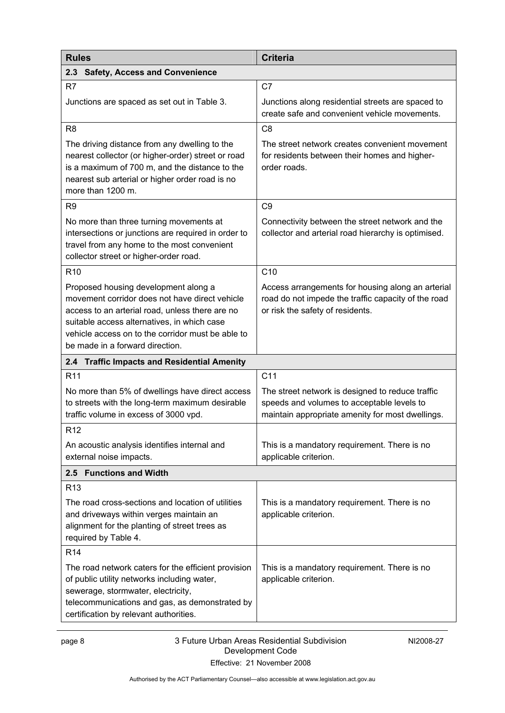| <b>Rules</b>                                                                                                                                                                                                                                                                     | <b>Criteria</b>                                                                                                                                    |
|----------------------------------------------------------------------------------------------------------------------------------------------------------------------------------------------------------------------------------------------------------------------------------|----------------------------------------------------------------------------------------------------------------------------------------------------|
| 2.3<br><b>Safety, Access and Convenience</b>                                                                                                                                                                                                                                     |                                                                                                                                                    |
| R <sub>7</sub>                                                                                                                                                                                                                                                                   | C <sub>7</sub>                                                                                                                                     |
| Junctions are spaced as set out in Table 3.                                                                                                                                                                                                                                      | Junctions along residential streets are spaced to<br>create safe and convenient vehicle movements.                                                 |
| R <sub>8</sub>                                                                                                                                                                                                                                                                   | C <sub>8</sub>                                                                                                                                     |
| The driving distance from any dwelling to the<br>nearest collector (or higher-order) street or road<br>is a maximum of 700 m, and the distance to the<br>nearest sub arterial or higher order road is no<br>more than 1200 m.                                                    | The street network creates convenient movement<br>for residents between their homes and higher-<br>order roads.                                    |
| R <sub>9</sub>                                                                                                                                                                                                                                                                   | C <sub>9</sub>                                                                                                                                     |
| No more than three turning movements at<br>intersections or junctions are required in order to<br>travel from any home to the most convenient<br>collector street or higher-order road.                                                                                          | Connectivity between the street network and the<br>collector and arterial road hierarchy is optimised.                                             |
| R <sub>10</sub>                                                                                                                                                                                                                                                                  | C10                                                                                                                                                |
| Proposed housing development along a<br>movement corridor does not have direct vehicle<br>access to an arterial road, unless there are no<br>suitable access alternatives, in which case<br>vehicle access on to the corridor must be able to<br>be made in a forward direction. | Access arrangements for housing along an arterial<br>road do not impede the traffic capacity of the road<br>or risk the safety of residents.       |
| <b>Traffic Impacts and Residential Amenity</b><br>2.4                                                                                                                                                                                                                            |                                                                                                                                                    |
| R <sub>11</sub>                                                                                                                                                                                                                                                                  | C <sub>11</sub>                                                                                                                                    |
| No more than 5% of dwellings have direct access<br>to streets with the long-term maximum desirable<br>traffic volume in excess of 3000 vpd.                                                                                                                                      | The street network is designed to reduce traffic<br>speeds and volumes to acceptable levels to<br>maintain appropriate amenity for most dwellings. |
| R <sub>12</sub>                                                                                                                                                                                                                                                                  |                                                                                                                                                    |
| An acoustic analysis identifies internal and<br>external noise impacts.                                                                                                                                                                                                          | This is a mandatory requirement. There is no<br>applicable criterion.                                                                              |
| <b>Functions and Width</b><br>2.5                                                                                                                                                                                                                                                |                                                                                                                                                    |
| R <sub>13</sub>                                                                                                                                                                                                                                                                  |                                                                                                                                                    |
| The road cross-sections and location of utilities<br>and driveways within verges maintain an<br>alignment for the planting of street trees as<br>required by Table 4.                                                                                                            | This is a mandatory requirement. There is no<br>applicable criterion.                                                                              |
| R <sub>14</sub>                                                                                                                                                                                                                                                                  |                                                                                                                                                    |
| The road network caters for the efficient provision<br>of public utility networks including water,<br>sewerage, stormwater, electricity,<br>telecommunications and gas, as demonstrated by<br>certification by relevant authorities.                                             | This is a mandatory requirement. There is no<br>applicable criterion.                                                                              |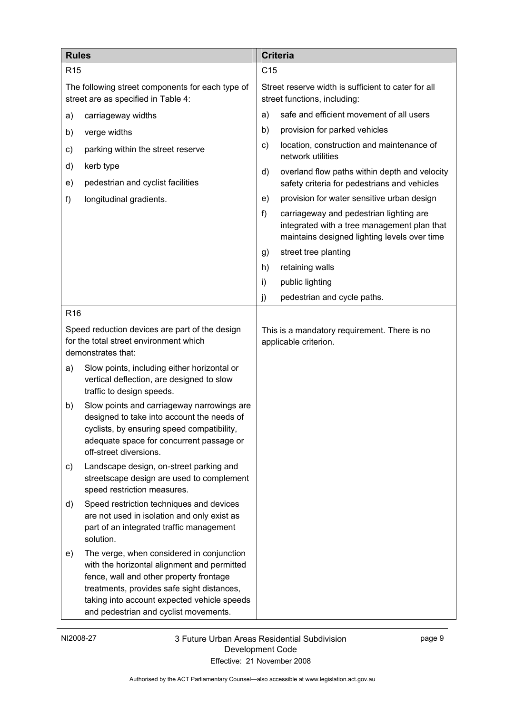| <b>Rules</b>                                                                                                   |                                                                                                                                                                                                                                                                           |               | <b>Criteria</b>                                                                                                                        |  |  |
|----------------------------------------------------------------------------------------------------------------|---------------------------------------------------------------------------------------------------------------------------------------------------------------------------------------------------------------------------------------------------------------------------|---------------|----------------------------------------------------------------------------------------------------------------------------------------|--|--|
| R <sub>15</sub>                                                                                                |                                                                                                                                                                                                                                                                           |               | C <sub>15</sub>                                                                                                                        |  |  |
| The following street components for each type of<br>street are as specified in Table 4:                        |                                                                                                                                                                                                                                                                           |               | Street reserve width is sufficient to cater for all<br>street functions, including:                                                    |  |  |
| a)                                                                                                             | carriageway widths                                                                                                                                                                                                                                                        | a)            | safe and efficient movement of all users                                                                                               |  |  |
| b)                                                                                                             | verge widths                                                                                                                                                                                                                                                              | b)            | provision for parked vehicles                                                                                                          |  |  |
| c)                                                                                                             | parking within the street reserve                                                                                                                                                                                                                                         | $\mathsf{c})$ | location, construction and maintenance of<br>network utilities                                                                         |  |  |
| d)<br>e)                                                                                                       | kerb type<br>pedestrian and cyclist facilities                                                                                                                                                                                                                            | d)            | overland flow paths within depth and velocity<br>safety criteria for pedestrians and vehicles                                          |  |  |
| f)                                                                                                             | longitudinal gradients.                                                                                                                                                                                                                                                   | e)            | provision for water sensitive urban design                                                                                             |  |  |
|                                                                                                                |                                                                                                                                                                                                                                                                           | f)            | carriageway and pedestrian lighting are<br>integrated with a tree management plan that<br>maintains designed lighting levels over time |  |  |
|                                                                                                                |                                                                                                                                                                                                                                                                           | g)            | street tree planting                                                                                                                   |  |  |
|                                                                                                                |                                                                                                                                                                                                                                                                           | h)            | retaining walls                                                                                                                        |  |  |
|                                                                                                                |                                                                                                                                                                                                                                                                           | i)            | public lighting                                                                                                                        |  |  |
|                                                                                                                |                                                                                                                                                                                                                                                                           | j)            | pedestrian and cycle paths.                                                                                                            |  |  |
| R <sub>16</sub>                                                                                                |                                                                                                                                                                                                                                                                           |               |                                                                                                                                        |  |  |
| Speed reduction devices are part of the design<br>for the total street environment which<br>demonstrates that: |                                                                                                                                                                                                                                                                           |               | This is a mandatory requirement. There is no<br>applicable criterion.                                                                  |  |  |
| a)                                                                                                             | Slow points, including either horizontal or<br>vertical deflection, are designed to slow<br>traffic to design speeds.                                                                                                                                                     |               |                                                                                                                                        |  |  |
| b)                                                                                                             | Slow points and carriageway narrowings are<br>designed to take into account the needs of<br>cyclists, by ensuring speed compatibility,<br>adequate space for concurrent passage or<br>off-street diversions.                                                              |               |                                                                                                                                        |  |  |
| C)                                                                                                             | Landscape design, on-street parking and<br>streetscape design are used to complement<br>speed restriction measures.                                                                                                                                                       |               |                                                                                                                                        |  |  |
| d)                                                                                                             | Speed restriction techniques and devices<br>are not used in isolation and only exist as<br>part of an integrated traffic management<br>solution.                                                                                                                          |               |                                                                                                                                        |  |  |
| e)                                                                                                             | The verge, when considered in conjunction<br>with the horizontal alignment and permitted<br>fence, wall and other property frontage<br>treatments, provides safe sight distances,<br>taking into account expected vehicle speeds<br>and pedestrian and cyclist movements. |               |                                                                                                                                        |  |  |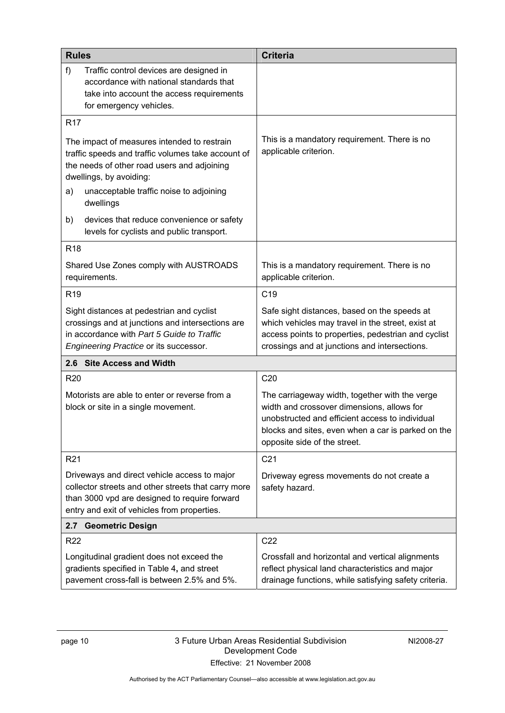| <b>Rules</b>                                                                                                                                                                                        |                                                                                                                                                                                                                                     | <b>Criteria</b>                                                                                                                                                                                                                       |  |  |
|-----------------------------------------------------------------------------------------------------------------------------------------------------------------------------------------------------|-------------------------------------------------------------------------------------------------------------------------------------------------------------------------------------------------------------------------------------|---------------------------------------------------------------------------------------------------------------------------------------------------------------------------------------------------------------------------------------|--|--|
| $f$ )                                                                                                                                                                                               | Traffic control devices are designed in<br>accordance with national standards that<br>take into account the access requirements<br>for emergency vehicles.                                                                          |                                                                                                                                                                                                                                       |  |  |
| R <sub>17</sub>                                                                                                                                                                                     |                                                                                                                                                                                                                                     |                                                                                                                                                                                                                                       |  |  |
| a)                                                                                                                                                                                                  | The impact of measures intended to restrain<br>traffic speeds and traffic volumes take account of<br>the needs of other road users and adjoining<br>dwellings, by avoiding:<br>unacceptable traffic noise to adjoining<br>dwellings | This is a mandatory requirement. There is no<br>applicable criterion.                                                                                                                                                                 |  |  |
| b)                                                                                                                                                                                                  | devices that reduce convenience or safety<br>levels for cyclists and public transport.                                                                                                                                              |                                                                                                                                                                                                                                       |  |  |
| R <sub>18</sub>                                                                                                                                                                                     |                                                                                                                                                                                                                                     |                                                                                                                                                                                                                                       |  |  |
|                                                                                                                                                                                                     | Shared Use Zones comply with AUSTROADS<br>requirements.                                                                                                                                                                             | This is a mandatory requirement. There is no<br>applicable criterion.                                                                                                                                                                 |  |  |
| R <sub>19</sub>                                                                                                                                                                                     |                                                                                                                                                                                                                                     | C <sub>19</sub>                                                                                                                                                                                                                       |  |  |
| Sight distances at pedestrian and cyclist<br>crossings and at junctions and intersections are<br>in accordance with Part 5 Guide to Traffic<br>Engineering Practice or its successor.               |                                                                                                                                                                                                                                     | Safe sight distances, based on the speeds at<br>which vehicles may travel in the street, exist at<br>access points to properties, pedestrian and cyclist<br>crossings and at junctions and intersections.                             |  |  |
|                                                                                                                                                                                                     | 2.6 Site Access and Width                                                                                                                                                                                                           |                                                                                                                                                                                                                                       |  |  |
| R <sub>20</sub>                                                                                                                                                                                     |                                                                                                                                                                                                                                     | C <sub>20</sub>                                                                                                                                                                                                                       |  |  |
| Motorists are able to enter or reverse from a<br>block or site in a single movement.                                                                                                                |                                                                                                                                                                                                                                     | The carriageway width, together with the verge<br>width and crossover dimensions, allows for<br>unobstructed and efficient access to individual<br>blocks and sites, even when a car is parked on the<br>opposite side of the street. |  |  |
| R <sub>21</sub>                                                                                                                                                                                     |                                                                                                                                                                                                                                     | C <sub>21</sub>                                                                                                                                                                                                                       |  |  |
| Driveways and direct vehicle access to major<br>collector streets and other streets that carry more<br>than 3000 vpd are designed to require forward<br>entry and exit of vehicles from properties. |                                                                                                                                                                                                                                     | Driveway egress movements do not create a<br>safety hazard.                                                                                                                                                                           |  |  |
| 2.7                                                                                                                                                                                                 | <b>Geometric Design</b>                                                                                                                                                                                                             |                                                                                                                                                                                                                                       |  |  |
| R <sub>22</sub>                                                                                                                                                                                     |                                                                                                                                                                                                                                     | C <sub>22</sub>                                                                                                                                                                                                                       |  |  |
| Longitudinal gradient does not exceed the<br>gradients specified in Table 4, and street<br>pavement cross-fall is between 2.5% and 5%.                                                              |                                                                                                                                                                                                                                     | Crossfall and horizontal and vertical alignments<br>reflect physical land characteristics and major<br>drainage functions, while satisfying safety criteria.                                                                          |  |  |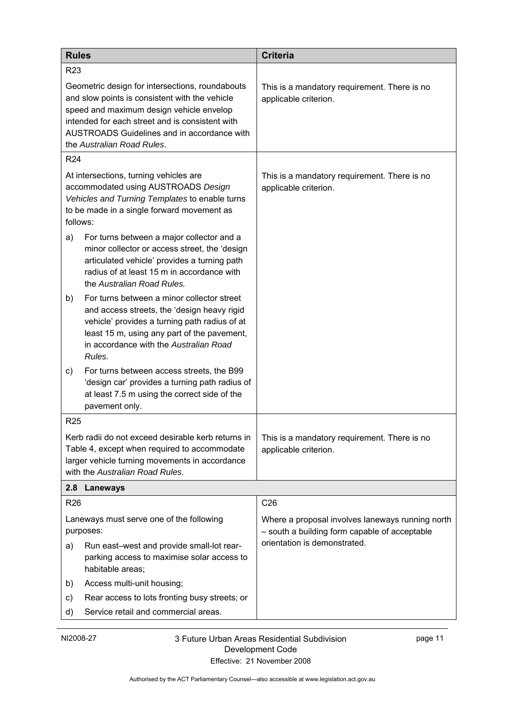| <b>Rules</b>                                                                                                                                                                                                                                                                  | <b>Criteria</b>                                                                                   |  |
|-------------------------------------------------------------------------------------------------------------------------------------------------------------------------------------------------------------------------------------------------------------------------------|---------------------------------------------------------------------------------------------------|--|
| R <sub>23</sub>                                                                                                                                                                                                                                                               |                                                                                                   |  |
| Geometric design for intersections, roundabouts<br>and slow points is consistent with the vehicle<br>speed and maximum design vehicle envelop<br>intended for each street and is consistent with<br>AUSTROADS Guidelines and in accordance with<br>the Australian Road Rules. | This is a mandatory requirement. There is no<br>applicable criterion.                             |  |
| R <sub>24</sub>                                                                                                                                                                                                                                                               |                                                                                                   |  |
| At intersections, turning vehicles are<br>accommodated using AUSTROADS Design<br>Vehicles and Turning Templates to enable turns<br>to be made in a single forward movement as<br>follows:                                                                                     | This is a mandatory requirement. There is no<br>applicable criterion.                             |  |
| For turns between a major collector and a<br>a)<br>minor collector or access street, the 'design<br>articulated vehicle' provides a turning path<br>radius of at least 15 m in accordance with<br>the Australian Road Rules.                                                  |                                                                                                   |  |
| For turns between a minor collector street<br>b)<br>and access streets, the 'design heavy rigid<br>vehicle' provides a turning path radius of at<br>least 15 m, using any part of the pavement,<br>in accordance with the Australian Road<br>Rules.                           |                                                                                                   |  |
| For turns between access streets, the B99<br>C)<br>'design car' provides a turning path radius of<br>at least 7.5 m using the correct side of the<br>pavement only.                                                                                                           |                                                                                                   |  |
| <b>R25</b>                                                                                                                                                                                                                                                                    |                                                                                                   |  |
| Kerb radii do not exceed desirable kerb returns in<br>Table 4, except when required to accommodate<br>larger vehicle turning movements in accordance<br>with the Australian Road Rules.                                                                                       | This is a mandatory requirement. There is no<br>applicable criterion.                             |  |
| 2.8 Laneways                                                                                                                                                                                                                                                                  |                                                                                                   |  |
| R <sub>26</sub>                                                                                                                                                                                                                                                               | C <sub>26</sub>                                                                                   |  |
| Laneways must serve one of the following<br>purposes:                                                                                                                                                                                                                         | Where a proposal involves laneways running north<br>- south a building form capable of acceptable |  |
| Run east-west and provide small-lot rear-<br>a)<br>parking access to maximise solar access to<br>habitable areas;                                                                                                                                                             | orientation is demonstrated.                                                                      |  |
| Access multi-unit housing;<br>b)                                                                                                                                                                                                                                              |                                                                                                   |  |
| Rear access to lots fronting busy streets; or<br>c)<br>Service retail and commercial areas.<br>d)                                                                                                                                                                             |                                                                                                   |  |
|                                                                                                                                                                                                                                                                               |                                                                                                   |  |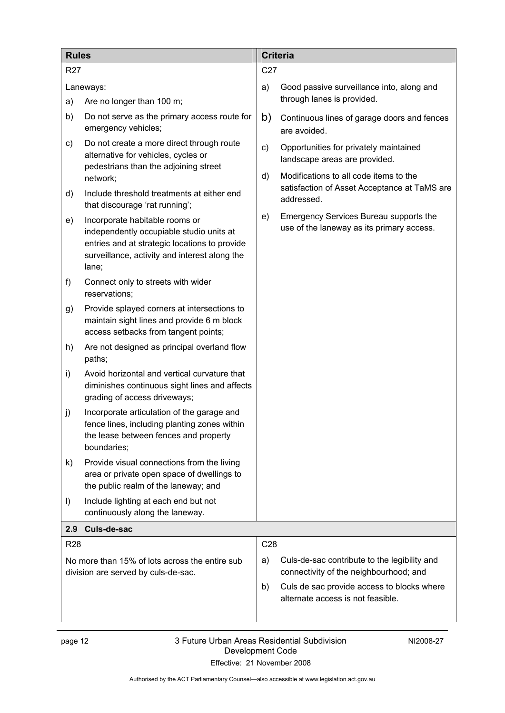| <b>Rules</b>                                                                          |                                                                                                                                                                                       |          | <b>Criteria</b>                                                                                                   |  |  |
|---------------------------------------------------------------------------------------|---------------------------------------------------------------------------------------------------------------------------------------------------------------------------------------|----------|-------------------------------------------------------------------------------------------------------------------|--|--|
| <b>R27</b>                                                                            |                                                                                                                                                                                       |          | C <sub>27</sub>                                                                                                   |  |  |
| Laneways:                                                                             |                                                                                                                                                                                       | a)       | Good passive surveillance into, along and                                                                         |  |  |
| a)                                                                                    | Are no longer than 100 m;                                                                                                                                                             |          | through lanes is provided.                                                                                        |  |  |
| b)                                                                                    | Do not serve as the primary access route for<br>emergency vehicles;                                                                                                                   | b)       | Continuous lines of garage doors and fences<br>are avoided.                                                       |  |  |
| C)                                                                                    | Do not create a more direct through route<br>alternative for vehicles, cycles or<br>pedestrians than the adjoining street<br>network;                                                 | c)<br>d) | Opportunities for privately maintained<br>landscape areas are provided.<br>Modifications to all code items to the |  |  |
| d)                                                                                    | Include threshold treatments at either end<br>that discourage 'rat running';                                                                                                          |          | satisfaction of Asset Acceptance at TaMS are<br>addressed.                                                        |  |  |
| e)                                                                                    | Incorporate habitable rooms or<br>independently occupiable studio units at<br>entries and at strategic locations to provide<br>surveillance, activity and interest along the<br>lane; | e)       | Emergency Services Bureau supports the<br>use of the laneway as its primary access.                               |  |  |
| f)                                                                                    | Connect only to streets with wider<br>reservations:                                                                                                                                   |          |                                                                                                                   |  |  |
| g)                                                                                    | Provide splayed corners at intersections to<br>maintain sight lines and provide 6 m block<br>access setbacks from tangent points;                                                     |          |                                                                                                                   |  |  |
| h)                                                                                    | Are not designed as principal overland flow<br>paths;                                                                                                                                 |          |                                                                                                                   |  |  |
| i)                                                                                    | Avoid horizontal and vertical curvature that<br>diminishes continuous sight lines and affects<br>grading of access driveways;                                                         |          |                                                                                                                   |  |  |
| j)                                                                                    | Incorporate articulation of the garage and<br>fence lines, including planting zones within<br>the lease between fences and property<br>boundaries;                                    |          |                                                                                                                   |  |  |
| k)                                                                                    | Provide visual connections from the living<br>area or private open space of dwellings to<br>the public realm of the laneway; and                                                      |          |                                                                                                                   |  |  |
| $\vert$                                                                               | Include lighting at each end but not<br>continuously along the laneway.                                                                                                               |          |                                                                                                                   |  |  |
| Culs-de-sac<br>2.9                                                                    |                                                                                                                                                                                       |          |                                                                                                                   |  |  |
| <b>R28</b>                                                                            |                                                                                                                                                                                       | C28      |                                                                                                                   |  |  |
| No more than 15% of lots across the entire sub<br>division are served by culs-de-sac. |                                                                                                                                                                                       |          | Culs-de-sac contribute to the legibility and<br>connectivity of the neighbourhood; and                            |  |  |
|                                                                                       |                                                                                                                                                                                       |          | Culs de sac provide access to blocks where<br>alternate access is not feasible.                                   |  |  |
|                                                                                       |                                                                                                                                                                                       |          |                                                                                                                   |  |  |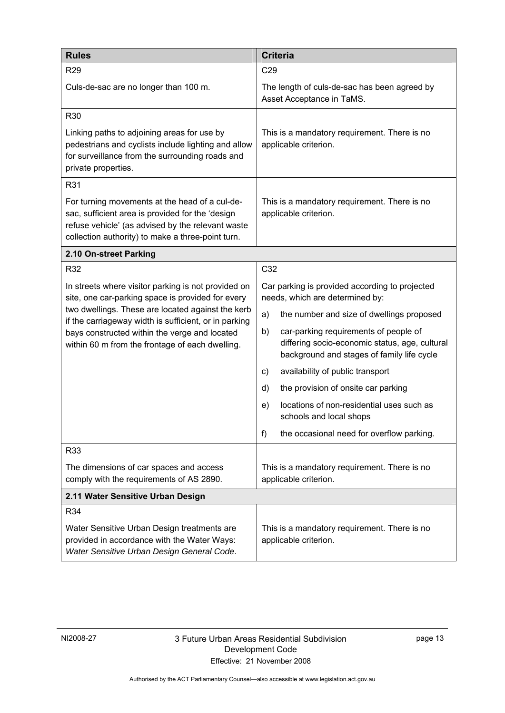| <b>Rules</b>                                                                                                                                                                                                 | <b>Criteria</b>                                                                                                                             |  |  |
|--------------------------------------------------------------------------------------------------------------------------------------------------------------------------------------------------------------|---------------------------------------------------------------------------------------------------------------------------------------------|--|--|
| R <sub>29</sub>                                                                                                                                                                                              | C29                                                                                                                                         |  |  |
| Culs-de-sac are no longer than 100 m.                                                                                                                                                                        | The length of culs-de-sac has been agreed by<br>Asset Acceptance in TaMS.                                                                   |  |  |
| R30                                                                                                                                                                                                          |                                                                                                                                             |  |  |
| Linking paths to adjoining areas for use by<br>pedestrians and cyclists include lighting and allow<br>for surveillance from the surrounding roads and<br>private properties.                                 | This is a mandatory requirement. There is no<br>applicable criterion.                                                                       |  |  |
| R31                                                                                                                                                                                                          |                                                                                                                                             |  |  |
| For turning movements at the head of a cul-de-<br>sac, sufficient area is provided for the 'design<br>refuse vehicle' (as advised by the relevant waste<br>collection authority) to make a three-point turn. | This is a mandatory requirement. There is no<br>applicable criterion.                                                                       |  |  |
| 2.10 On-street Parking                                                                                                                                                                                       |                                                                                                                                             |  |  |
| R32                                                                                                                                                                                                          | C32                                                                                                                                         |  |  |
| In streets where visitor parking is not provided on<br>site, one car-parking space is provided for every                                                                                                     | Car parking is provided according to projected<br>needs, which are determined by:                                                           |  |  |
| two dwellings. These are located against the kerb<br>if the carriageway width is sufficient, or in parking                                                                                                   | a)<br>the number and size of dwellings proposed                                                                                             |  |  |
| bays constructed within the verge and located<br>within 60 m from the frontage of each dwelling.                                                                                                             | car-parking requirements of people of<br>b)<br>differing socio-economic status, age, cultural<br>background and stages of family life cycle |  |  |
|                                                                                                                                                                                                              | availability of public transport<br>C)                                                                                                      |  |  |
|                                                                                                                                                                                                              | d)<br>the provision of onsite car parking                                                                                                   |  |  |
|                                                                                                                                                                                                              | locations of non-residential uses such as<br>e)<br>schools and local shops                                                                  |  |  |
|                                                                                                                                                                                                              | f)<br>the occasional need for overflow parking.                                                                                             |  |  |
| R33                                                                                                                                                                                                          |                                                                                                                                             |  |  |
| The dimensions of car spaces and access<br>comply with the requirements of AS 2890.                                                                                                                          | This is a mandatory requirement. There is no<br>applicable criterion.                                                                       |  |  |
| 2.11 Water Sensitive Urban Design                                                                                                                                                                            |                                                                                                                                             |  |  |
| R34                                                                                                                                                                                                          |                                                                                                                                             |  |  |
| Water Sensitive Urban Design treatments are<br>provided in accordance with the Water Ways:<br>Water Sensitive Urban Design General Code.                                                                     | This is a mandatory requirement. There is no<br>applicable criterion.                                                                       |  |  |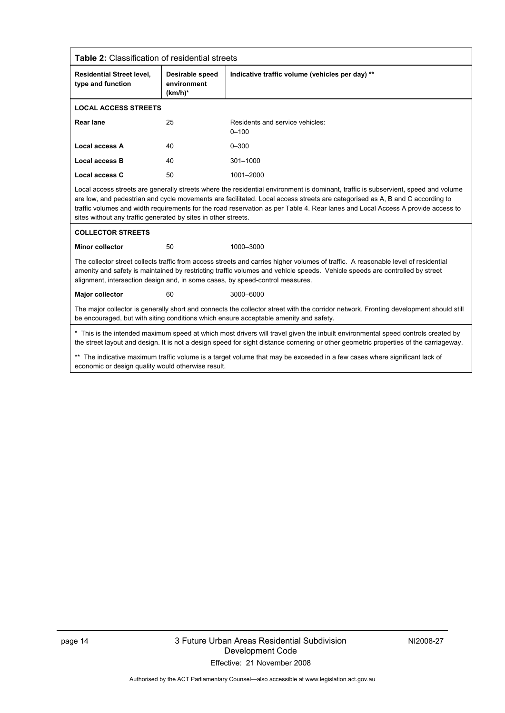| Table 2: Classification of residential streets                                                                                                                                                                                 |                                                                                                                                                                                                                                                                                                                                                    |                                                                                                                                                                                                                                                                                                                                                                                                       |  |  |  |  |
|--------------------------------------------------------------------------------------------------------------------------------------------------------------------------------------------------------------------------------|----------------------------------------------------------------------------------------------------------------------------------------------------------------------------------------------------------------------------------------------------------------------------------------------------------------------------------------------------|-------------------------------------------------------------------------------------------------------------------------------------------------------------------------------------------------------------------------------------------------------------------------------------------------------------------------------------------------------------------------------------------------------|--|--|--|--|
| <b>Residential Street level.</b><br>Desirable speed<br>type and function<br>environment<br>$(km/h)^*$                                                                                                                          |                                                                                                                                                                                                                                                                                                                                                    | Indicative traffic volume (vehicles per day) **                                                                                                                                                                                                                                                                                                                                                       |  |  |  |  |
| <b>LOCAL ACCESS STREETS</b>                                                                                                                                                                                                    |                                                                                                                                                                                                                                                                                                                                                    |                                                                                                                                                                                                                                                                                                                                                                                                       |  |  |  |  |
| Rear lane<br>25                                                                                                                                                                                                                |                                                                                                                                                                                                                                                                                                                                                    | Residents and service vehicles:<br>$0 - 100$                                                                                                                                                                                                                                                                                                                                                          |  |  |  |  |
| <b>Local access A</b>                                                                                                                                                                                                          | 40                                                                                                                                                                                                                                                                                                                                                 | $0 - 300$                                                                                                                                                                                                                                                                                                                                                                                             |  |  |  |  |
| <b>Local access B</b>                                                                                                                                                                                                          | 40                                                                                                                                                                                                                                                                                                                                                 | 301-1000                                                                                                                                                                                                                                                                                                                                                                                              |  |  |  |  |
| <b>Local access C</b>                                                                                                                                                                                                          | 50                                                                                                                                                                                                                                                                                                                                                 | 1001-2000                                                                                                                                                                                                                                                                                                                                                                                             |  |  |  |  |
| sites without any traffic generated by sites in other streets.                                                                                                                                                                 |                                                                                                                                                                                                                                                                                                                                                    | Local access streets are generally streets where the residential environment is dominant, traffic is subservient, speed and volume<br>are low, and pedestrian and cycle movements are facilitated. Local access streets are categorised as A, B and C according to<br>traffic volumes and width requirements for the road reservation as per Table 4. Rear lanes and Local Access A provide access to |  |  |  |  |
| <b>COLLECTOR STREETS</b>                                                                                                                                                                                                       |                                                                                                                                                                                                                                                                                                                                                    |                                                                                                                                                                                                                                                                                                                                                                                                       |  |  |  |  |
| <b>Minor collector</b>                                                                                                                                                                                                         | 50                                                                                                                                                                                                                                                                                                                                                 | 1000-3000                                                                                                                                                                                                                                                                                                                                                                                             |  |  |  |  |
|                                                                                                                                                                                                                                | The collector street collects traffic from access streets and carries higher volumes of traffic. A reasonable level of residential<br>amenity and safety is maintained by restricting traffic volumes and vehicle speeds. Vehicle speeds are controlled by street<br>alignment, intersection design and, in some cases, by speed-control measures. |                                                                                                                                                                                                                                                                                                                                                                                                       |  |  |  |  |
| <b>Major collector</b>                                                                                                                                                                                                         | 60                                                                                                                                                                                                                                                                                                                                                 | 3000-6000                                                                                                                                                                                                                                                                                                                                                                                             |  |  |  |  |
| The major collector is generally short and connects the collector street with the corridor network. Fronting development should still<br>be encouraged, but with siting conditions which ensure acceptable amenity and safety. |                                                                                                                                                                                                                                                                                                                                                    |                                                                                                                                                                                                                                                                                                                                                                                                       |  |  |  |  |
|                                                                                                                                                                                                                                | * This is the intended maximum speed at which most drivers will travel given the inbuilt environmental speed controls created by<br>the street layout and design. It is not a design speed for sight distance cornering or other geometric properties of the carriageway.                                                                          |                                                                                                                                                                                                                                                                                                                                                                                                       |  |  |  |  |
| ** The indicative maximum traffic volume is a target volume that may be exceeded in a few cases where significant lack of<br>economic or design quality would otherwise result.                                                |                                                                                                                                                                                                                                                                                                                                                    |                                                                                                                                                                                                                                                                                                                                                                                                       |  |  |  |  |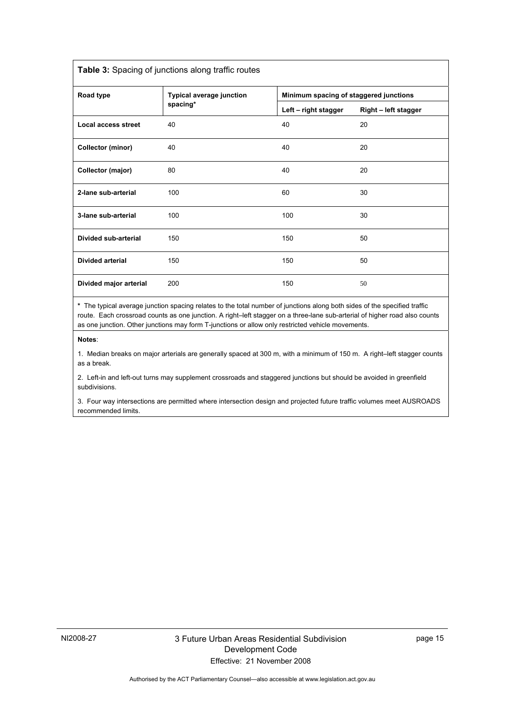| Table 3: Spacing of junctions along traffic routes |                          |                                        |                      |  |  |  |
|----------------------------------------------------|--------------------------|----------------------------------------|----------------------|--|--|--|
| Road type                                          | Typical average junction | Minimum spacing of staggered junctions |                      |  |  |  |
|                                                    | spacing*                 | Left - right stagger                   | Right - left stagger |  |  |  |
| <b>Local access street</b>                         | 40                       | 40                                     | 20                   |  |  |  |
| <b>Collector (minor)</b>                           | 40                       | 40                                     | 20                   |  |  |  |
| Collector (major)                                  | 80                       | 40                                     | 20                   |  |  |  |
| 2-lane sub-arterial                                | 100                      | 60                                     | 30                   |  |  |  |
| 3-lane sub-arterial                                | 100                      | 100                                    | 30                   |  |  |  |
| Divided sub-arterial                               | 150                      | 150                                    | 50                   |  |  |  |
| <b>Divided arterial</b>                            | 150                      | 150                                    | 50                   |  |  |  |
| Divided major arterial                             | 200                      | 150                                    | 50                   |  |  |  |
|                                                    |                          |                                        |                      |  |  |  |

**\*** The typical average junction spacing relates to the total number of junctions along both sides of the specified traffic route. Each crossroad counts as one junction. A right–left stagger on a three-lane sub-arterial of higher road also counts as one junction. Other junctions may form T-junctions or allow only restricted vehicle movements.

**Notes**:

1. Median breaks on major arterials are generally spaced at 300 m, with a minimum of 150 m. A right–left stagger counts as a break.

2. Left-in and left-out turns may supplement crossroads and staggered junctions but should be avoided in greenfield subdivisions.

3. Four way intersections are permitted where intersection design and projected future traffic volumes meet AUSROADS recommended limits.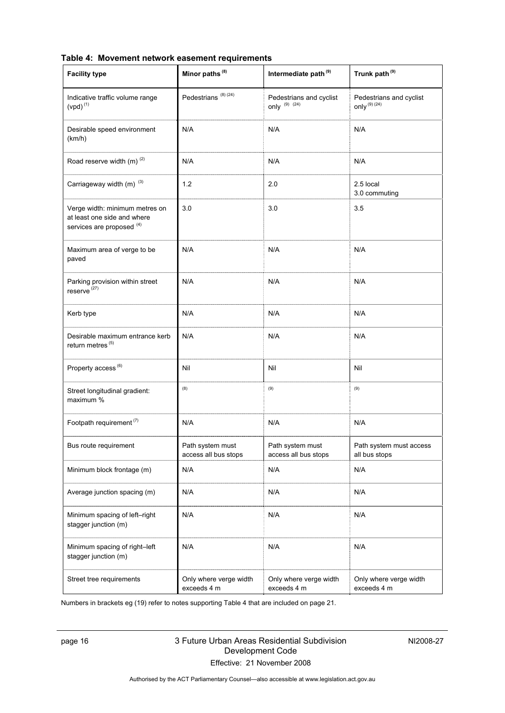| <b>Facility type</b>                                                                       | Minor paths <sup>(8)</sup>               | Intermediate path <sup>(9)</sup>             | Trunk path <sup>(9)</sup>                    |
|--------------------------------------------------------------------------------------------|------------------------------------------|----------------------------------------------|----------------------------------------------|
| Indicative traffic volume range<br>$(vpd)^{(1)}$                                           | Pedestrians <sup>(8)(24)</sup>           | Pedestrians and cyclist<br>only $(9)$ $(24)$ | Pedestrians and cyclist<br>only $^{(9)(24)}$ |
| Desirable speed environment<br>(km/h)                                                      | N/A                                      | N/A                                          | N/A                                          |
| Road reserve width (m) <sup>(2)</sup>                                                      | N/A                                      | N/A                                          | N/A                                          |
| Carriageway width (m) <sup>(3)</sup>                                                       | 1.2                                      | 2.0                                          | 2.5 local<br>3.0 commuting                   |
| Verge width: minimum metres on<br>at least one side and where<br>services are proposed (4) | 3.0                                      | 3.0                                          | 3.5                                          |
| Maximum area of verge to be<br>paved                                                       | N/A                                      | N/A                                          | N/A                                          |
| Parking provision within street<br>reserve <sup>(27)</sup>                                 | N/A                                      | N/A                                          | N/A                                          |
| Kerb type                                                                                  | N/A                                      | N/A                                          | N/A                                          |
| Desirable maximum entrance kerb<br>return metres <sup>(5)</sup>                            | N/A                                      | N/A                                          | N/A                                          |
| Property access <sup>(6)</sup>                                                             | Nil                                      | Nil                                          | Nil                                          |
| Street longitudinal gradient:<br>maximum %                                                 | (8)                                      | (9)                                          | (9)                                          |
| Footpath requirement <sup>(7)</sup>                                                        | N/A                                      | N/A                                          | N/A                                          |
| Bus route requirement                                                                      | Path system must<br>access all bus stops | Path system must<br>access all bus stops     | Path system must access<br>all bus stops     |
| Minimum block frontage (m)                                                                 | N/A                                      | N/A                                          | N/A                                          |
| Average junction spacing (m)                                                               | N/A                                      | N/A                                          | N/A                                          |
| Minimum spacing of left-right<br>stagger junction (m)                                      | N/A                                      | N/A                                          | N/A                                          |
| Minimum spacing of right-left<br>stagger junction (m)                                      | N/A                                      | N/A                                          | N/A                                          |
| Street tree requirements                                                                   | Only where verge width<br>exceeds 4 m    | Only where verge width<br>exceeds 4 m        | Only where verge width<br>exceeds 4 m        |

**Table 4: Movement network easement requirements** 

Numbers in brackets eg (19) refer to notes supporting Table 4 that are included on page 21.

### page 16 3 Future Urban Areas Residential Subdivision Development Code Effective: 21 November 2008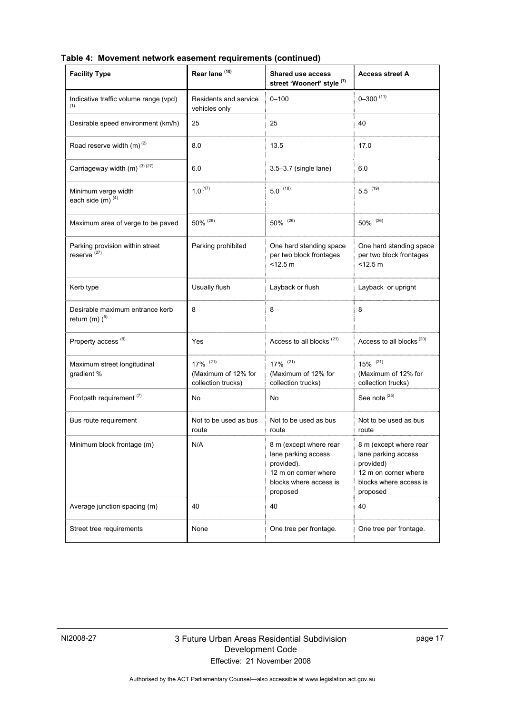| <b>Facility Type</b>                                       | Rear lane <sup>(10)</sup>                                           | <b>Shared use access</b><br>street 'Woonerf' style (7)                                                                    | <b>Access street A</b>                                                                                                   |
|------------------------------------------------------------|---------------------------------------------------------------------|---------------------------------------------------------------------------------------------------------------------------|--------------------------------------------------------------------------------------------------------------------------|
| Indicative traffic volume range (vpd)<br>(1)               | Residents and service<br>vehicles only                              | $0 - 100$                                                                                                                 | $0 - 300$ (11)                                                                                                           |
| Desirable speed environment (km/h)                         | 25                                                                  | 25                                                                                                                        | 40                                                                                                                       |
| Road reserve width $(m)^{(2)}$                             | 8.0                                                                 | 13.5                                                                                                                      | 17.0                                                                                                                     |
| Carriageway width (m) (3) (27)                             | 6.0                                                                 | $3.5 - 3.7$ (single lane)                                                                                                 | 6.0                                                                                                                      |
| Minimum verge width<br>each side (m) $(4)$                 | $1.0^{(17)}$                                                        | $5.0$ (18)                                                                                                                | $5.5$ $^{(19)}$                                                                                                          |
| Maximum area of verge to be paved                          | 50% (26)                                                            | 50% (26)                                                                                                                  | $50\%$ (26)                                                                                                              |
| Parking provision within street<br>reserve <sup>(27)</sup> | Parking prohibited                                                  | One hard standing space<br>per two block frontages<br>$<$ 12.5 m                                                          | One hard standing space<br>per two block frontages<br>$<$ 12.5 m                                                         |
| Kerb type                                                  | Usually flush                                                       | Layback or flush                                                                                                          | Layback or upright                                                                                                       |
| Desirable maximum entrance kerb<br>return (m) $(5)$        | 8                                                                   | 8                                                                                                                         | 8                                                                                                                        |
| Property access <sup>(6)</sup>                             | Yes                                                                 | Access to all blocks <sup>(21)</sup>                                                                                      | Access to all blocks <sup>(20)</sup>                                                                                     |
| Maximum street longitudinal<br>gradient %                  | $17\%$ <sup>(21)</sup><br>(Maximum of 12% for<br>collection trucks) | $17\%$ <sup>(21)</sup><br>(Maximum of 12% for<br>collection trucks)                                                       | $15\%$ <sup>(21)</sup><br>(Maximum of 12% for<br>collection trucks)                                                      |
| Footpath requirement <sup>(7)</sup>                        | No                                                                  | No                                                                                                                        | See note <sup>(25)</sup>                                                                                                 |
| Bus route requirement                                      | Not to be used as bus<br>route                                      | Not to be used as bus<br>route                                                                                            | Not to be used as bus<br>route                                                                                           |
| Minimum block frontage (m)                                 | N/A                                                                 | 8 m (except where rear<br>lane parking access<br>provided).<br>12 m on corner where<br>blocks where access is<br>proposed | 8 m (except where rear<br>lane parking access<br>provided)<br>12 m on corner where<br>blocks where access is<br>proposed |
| Average junction spacing (m)                               | 40                                                                  | 40                                                                                                                        | 40                                                                                                                       |
| Street tree requirements                                   | None                                                                | One tree per frontage.                                                                                                    | One tree per frontage.                                                                                                   |

**Table 4: Movement network easement requirements (continued)**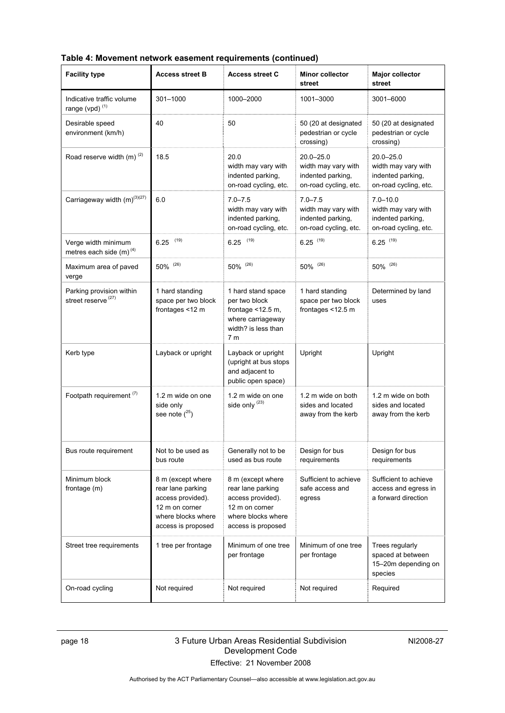| Table 4: Movement network easement requirements (continued) |  |  |
|-------------------------------------------------------------|--|--|
|-------------------------------------------------------------|--|--|

| <b>Facility type</b>                                         | <b>Access street B</b>                                                                                                    | <b>Access street C</b>                                                                                                    | <b>Minor collector</b><br>street                                                 | <b>Major collector</b><br>street                                                   |
|--------------------------------------------------------------|---------------------------------------------------------------------------------------------------------------------------|---------------------------------------------------------------------------------------------------------------------------|----------------------------------------------------------------------------------|------------------------------------------------------------------------------------|
| Indicative traffic volume<br>range (vpd) <sup>(1)</sup>      | 301-1000                                                                                                                  | 1000-2000                                                                                                                 | 1001-3000                                                                        | 3001-6000                                                                          |
| Desirable speed<br>environment (km/h)                        | 40                                                                                                                        | 50                                                                                                                        | 50 (20 at designated<br>pedestrian or cycle<br>crossing)                         | 50 (20 at designated<br>pedestrian or cycle<br>crossing)                           |
| Road reserve width (m) <sup>(2)</sup>                        | 18.5                                                                                                                      | 20.0<br>width may vary with<br>indented parking,<br>on-road cycling, etc.                                                 | 20.0-25.0<br>width may vary with<br>indented parking,<br>on-road cycling, etc.   | $20.0 - 25.0$<br>width may vary with<br>indented parking,<br>on-road cycling, etc. |
| Carriageway width (m) <sup>(3)(27)</sup>                     | 6.0                                                                                                                       | $7.0 - 7.5$<br>width may vary with<br>indented parking,<br>on-road cycling, etc.                                          | $7.0 - 7.5$<br>width may vary with<br>indented parking,<br>on-road cycling, etc. | $7.0 - 10.0$<br>width may vary with<br>indented parking,<br>on-road cycling, etc.  |
| Verge width minimum<br>metres each side $(m)$ <sup>(4)</sup> | (19)<br>6.25                                                                                                              | (19)<br>6.25                                                                                                              | $6.25$ (19)                                                                      | $6.25$ (19)                                                                        |
| Maximum area of paved<br>verge                               | 50% (26)                                                                                                                  | 50% (26)                                                                                                                  | 50% (26)                                                                         | 50% (26)                                                                           |
| Parking provision within<br>street reserve <sup>(27)</sup>   | 1 hard standing<br>space per two block<br>frontages <12 m                                                                 | 1 hard stand space<br>per two block<br>frontage $<$ 12.5 m,<br>where carriageway<br>width? is less than<br>7 <sub>m</sub> | 1 hard standing<br>space per two block<br>frontages <12.5 m                      | Determined by land<br>uses                                                         |
| Kerb type                                                    | Layback or upright                                                                                                        | Layback or upright<br>(upright at bus stops<br>and adjacent to<br>public open space)                                      | Upright                                                                          | Upright                                                                            |
| Footpath requirement <sup>(7)</sup>                          | 1.2 m wide on one<br>side only<br>see note $(^{25})$                                                                      | 1.2 m wide on one<br>side only (23)                                                                                       | 1.2 m wide on both<br>sides and located<br>away from the kerb                    | 1.2 m wide on both<br>sides and located<br>away from the kerb                      |
| Bus route requirement                                        | Not to be used as<br>bus route                                                                                            | Generally not to be<br>used as bus route                                                                                  | Design for bus<br>requirements                                                   | Design for bus<br>requirements                                                     |
| Minimum block<br>frontage (m)                                | 8 m (except where<br>rear lane parking<br>access provided).<br>12 m on corner<br>where blocks where<br>access is proposed | 8 m (except where<br>rear lane parking<br>access provided).<br>12 m on corner<br>where blocks where<br>access is proposed | Sufficient to achieve<br>safe access and<br>egress                               | Sufficient to achieve<br>access and egress in<br>a forward direction               |
| Street tree requirements                                     | 1 tree per frontage                                                                                                       | Minimum of one tree<br>per frontage                                                                                       | Minimum of one tree<br>per frontage                                              | Trees regularly<br>spaced at between<br>15-20m depending on<br>species             |
| On-road cycling                                              | Not required                                                                                                              | Not required                                                                                                              | Not required                                                                     | Required                                                                           |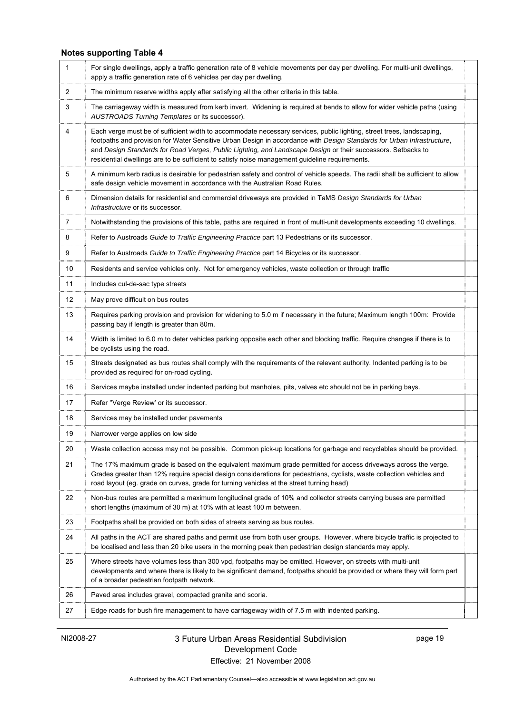### **Notes supporting Table 4**

| 1              | For single dwellings, apply a traffic generation rate of 8 vehicle movements per day per dwelling. For multi-unit dwellings,<br>apply a traffic generation rate of 6 vehicles per day per dwelling.                                                                                                                                                                                                                                                               |
|----------------|-------------------------------------------------------------------------------------------------------------------------------------------------------------------------------------------------------------------------------------------------------------------------------------------------------------------------------------------------------------------------------------------------------------------------------------------------------------------|
| $\overline{2}$ | The minimum reserve widths apply after satisfying all the other criteria in this table.                                                                                                                                                                                                                                                                                                                                                                           |
| 3              | The carriageway width is measured from kerb invert. Widening is required at bends to allow for wider vehicle paths (using<br>AUSTROADS Turning Templates or its successor).                                                                                                                                                                                                                                                                                       |
| $\overline{4}$ | Each verge must be of sufficient width to accommodate necessary services, public lighting, street trees, landscaping,<br>footpaths and provision for Water Sensitive Urban Design in accordance with Design Standards for Urban Infrastructure,<br>and Design Standards for Road Verges, Public Lighting, and Landscape Design or their successors. Setbacks to<br>residential dwellings are to be sufficient to satisfy noise management guideline requirements. |
| 5              | A minimum kerb radius is desirable for pedestrian safety and control of vehicle speeds. The radii shall be sufficient to allow<br>safe design vehicle movement in accordance with the Australian Road Rules.                                                                                                                                                                                                                                                      |
| 6              | Dimension details for residential and commercial driveways are provided in TaMS Design Standards for Urban<br>Infrastructure or its successor.                                                                                                                                                                                                                                                                                                                    |
| 7              | Notwithstanding the provisions of this table, paths are required in front of multi-unit developments exceeding 10 dwellings.                                                                                                                                                                                                                                                                                                                                      |
| 8              | Refer to Austroads Guide to Traffic Engineering Practice part 13 Pedestrians or its successor.                                                                                                                                                                                                                                                                                                                                                                    |
| 9              | Refer to Austroads Guide to Traffic Engineering Practice part 14 Bicycles or its successor.                                                                                                                                                                                                                                                                                                                                                                       |
| 10             | Residents and service vehicles only. Not for emergency vehicles, waste collection or through traffic                                                                                                                                                                                                                                                                                                                                                              |
| 11             | Includes cul-de-sac type streets                                                                                                                                                                                                                                                                                                                                                                                                                                  |
| 12             | May prove difficult on bus routes                                                                                                                                                                                                                                                                                                                                                                                                                                 |
| 13             | Requires parking provision and provision for widening to 5.0 m if necessary in the future; Maximum length 100m: Provide<br>passing bay if length is greater than 80m.                                                                                                                                                                                                                                                                                             |
| 14             | Width is limited to 6.0 m to deter vehicles parking opposite each other and blocking traffic. Require changes if there is to<br>be cyclists using the road.                                                                                                                                                                                                                                                                                                       |
| 15             | Streets designated as bus routes shall comply with the requirements of the relevant authority. Indented parking is to be<br>provided as required for on-road cycling.                                                                                                                                                                                                                                                                                             |
| 16             | Services maybe installed under indented parking but manholes, pits, valves etc should not be in parking bays.                                                                                                                                                                                                                                                                                                                                                     |
| 17             | Refer "Verge Review' or its successor.                                                                                                                                                                                                                                                                                                                                                                                                                            |
| 18             | Services may be installed under pavements                                                                                                                                                                                                                                                                                                                                                                                                                         |
| 19             | Narrower verge applies on low side                                                                                                                                                                                                                                                                                                                                                                                                                                |
| 20             | Waste collection access may not be possible. Common pick-up locations for garbage and recyclables should be provided.                                                                                                                                                                                                                                                                                                                                             |
| 21             | The 17% maximum grade is based on the equivalent maximum grade permitted for access driveways across the verge.<br>Grades greater than 12% require special design considerations for pedestrians, cyclists, waste collection vehicles and<br>road layout (eg. grade on curves, grade for turning vehicles at the street turning head)                                                                                                                             |
| 22             | Non-bus routes are permitted a maximum longitudinal grade of 10% and collector streets carrying buses are permitted<br>short lengths (maximum of 30 m) at 10% with at least 100 m between.                                                                                                                                                                                                                                                                        |
| 23             | Footpaths shall be provided on both sides of streets serving as bus routes.                                                                                                                                                                                                                                                                                                                                                                                       |
| 24             | All paths in the ACT are shared paths and permit use from both user groups. However, where bicycle traffic is projected to<br>be localised and less than 20 bike users in the morning peak then pedestrian design standards may apply.                                                                                                                                                                                                                            |
| 25             | Where streets have volumes less than 300 vpd, footpaths may be omitted. However, on streets with multi-unit<br>developments and where there is likely to be significant demand, footpaths should be provided or where they will form part<br>of a broader pedestrian footpath network.                                                                                                                                                                            |
| 26             | Paved area includes gravel, compacted granite and scoria.                                                                                                                                                                                                                                                                                                                                                                                                         |
| 27             | Edge roads for bush fire management to have carriageway width of 7.5 m with indented parking.                                                                                                                                                                                                                                                                                                                                                                     |

### NI2008-27 3 Future Urban Areas Residential Subdivision Development Code Effective: 21 November 2008

page 19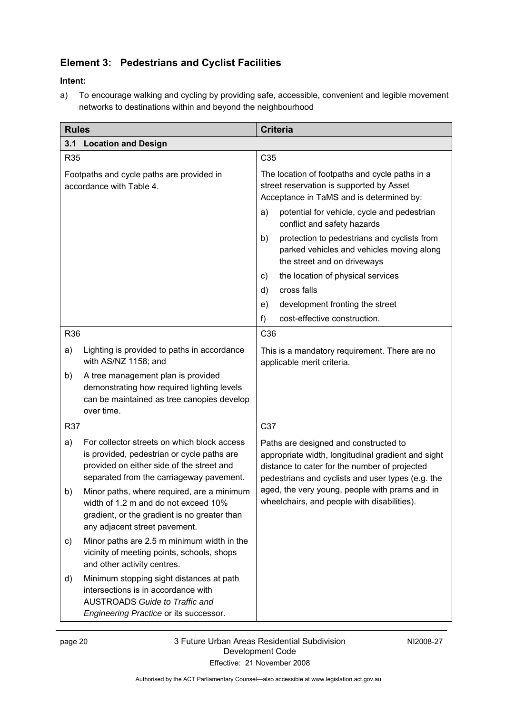### **Element 3: Pedestrians and Cyclist Facilities**

### **Intent:**

a) To encourage walking and cycling by providing safe, accessible, convenient and legible movement networks to destinations within and beyond the neighbourhood

| <b>Rules</b>                                                          |                                                                                                                                                                                    | <b>Criteria</b>                                                                                                                                                                                   |  |
|-----------------------------------------------------------------------|------------------------------------------------------------------------------------------------------------------------------------------------------------------------------------|---------------------------------------------------------------------------------------------------------------------------------------------------------------------------------------------------|--|
| 3.1                                                                   | <b>Location and Design</b>                                                                                                                                                         |                                                                                                                                                                                                   |  |
| R35                                                                   |                                                                                                                                                                                    | C <sub>35</sub>                                                                                                                                                                                   |  |
| Footpaths and cycle paths are provided in<br>accordance with Table 4. |                                                                                                                                                                                    | The location of footpaths and cycle paths in a<br>street reservation is supported by Asset<br>Acceptance in TaMS and is determined by:                                                            |  |
|                                                                       |                                                                                                                                                                                    | potential for vehicle, cycle and pedestrian<br>a)<br>conflict and safety hazards                                                                                                                  |  |
|                                                                       |                                                                                                                                                                                    | protection to pedestrians and cyclists from<br>b)<br>parked vehicles and vehicles moving along<br>the street and on driveways                                                                     |  |
|                                                                       |                                                                                                                                                                                    | the location of physical services<br>C)                                                                                                                                                           |  |
|                                                                       |                                                                                                                                                                                    | cross falls<br>d)                                                                                                                                                                                 |  |
|                                                                       |                                                                                                                                                                                    | development fronting the street<br>e)                                                                                                                                                             |  |
|                                                                       |                                                                                                                                                                                    | cost-effective construction.<br>f)                                                                                                                                                                |  |
| R36                                                                   |                                                                                                                                                                                    | C36                                                                                                                                                                                               |  |
| a)                                                                    | Lighting is provided to paths in accordance<br>with AS/NZ 1158; and                                                                                                                | This is a mandatory requirement. There are no<br>applicable merit criteria.                                                                                                                       |  |
| b)                                                                    | A tree management plan is provided<br>demonstrating how required lighting levels<br>can be maintained as tree canopies develop<br>over time.                                       |                                                                                                                                                                                                   |  |
| R37                                                                   |                                                                                                                                                                                    | C37                                                                                                                                                                                               |  |
| a)                                                                    | For collector streets on which block access<br>is provided, pedestrian or cycle paths are<br>provided on either side of the street and<br>separated from the carriageway pavement. | Paths are designed and constructed to<br>appropriate width, longitudinal gradient and sight<br>distance to cater for the number of projected<br>pedestrians and cyclists and user types (e.g. the |  |
| b)                                                                    | Minor paths, where required, are a minimum<br>width of 1.2 m and do not exceed 10%<br>gradient, or the gradient is no greater than<br>any adjacent street pavement.                | aged, the very young, people with prams and in<br>wheelchairs, and people with disabilities).                                                                                                     |  |
| c)                                                                    | Minor paths are 2.5 m minimum width in the<br>vicinity of meeting points, schools, shops<br>and other activity centres.                                                            |                                                                                                                                                                                                   |  |
| d)                                                                    | Minimum stopping sight distances at path<br>intersections is in accordance with<br><b>AUSTROADS Guide to Traffic and</b><br>Engineering Practice or its successor.                 |                                                                                                                                                                                                   |  |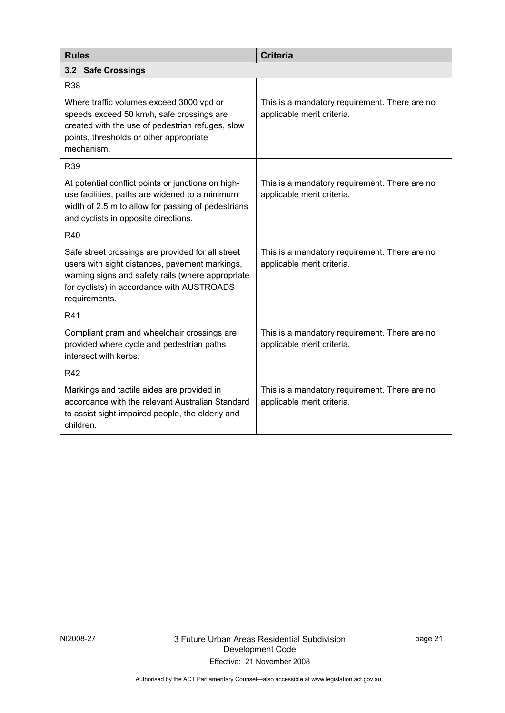| <b>Rules</b>                                                                                                                                                                                                            | <b>Criteria</b>                                                             |  |
|-------------------------------------------------------------------------------------------------------------------------------------------------------------------------------------------------------------------------|-----------------------------------------------------------------------------|--|
| 3.2<br><b>Safe Crossings</b>                                                                                                                                                                                            |                                                                             |  |
| <b>R38</b>                                                                                                                                                                                                              |                                                                             |  |
| Where traffic volumes exceed 3000 vpd or<br>speeds exceed 50 km/h, safe crossings are<br>created with the use of pedestrian refuges, slow<br>points, thresholds or other appropriate<br>mechanism.                      | This is a mandatory requirement. There are no<br>applicable merit criteria. |  |
| R <sub>39</sub>                                                                                                                                                                                                         |                                                                             |  |
| At potential conflict points or junctions on high-<br>use facilities, paths are widened to a minimum<br>width of 2.5 m to allow for passing of pedestrians<br>and cyclists in opposite directions.                      | This is a mandatory requirement. There are no<br>applicable merit criteria. |  |
| R40                                                                                                                                                                                                                     |                                                                             |  |
| Safe street crossings are provided for all street<br>users with sight distances, pavement markings,<br>warning signs and safety rails (where appropriate<br>for cyclists) in accordance with AUSTROADS<br>requirements. | This is a mandatory requirement. There are no<br>applicable merit criteria. |  |
| R41                                                                                                                                                                                                                     |                                                                             |  |
| Compliant pram and wheelchair crossings are<br>provided where cycle and pedestrian paths<br>intersect with kerbs.                                                                                                       | This is a mandatory requirement. There are no<br>applicable merit criteria. |  |
| <b>R42</b>                                                                                                                                                                                                              |                                                                             |  |
| Markings and tactile aides are provided in<br>accordance with the relevant Australian Standard<br>to assist sight-impaired people, the elderly and<br>children.                                                         | This is a mandatory requirement. There are no<br>applicable merit criteria. |  |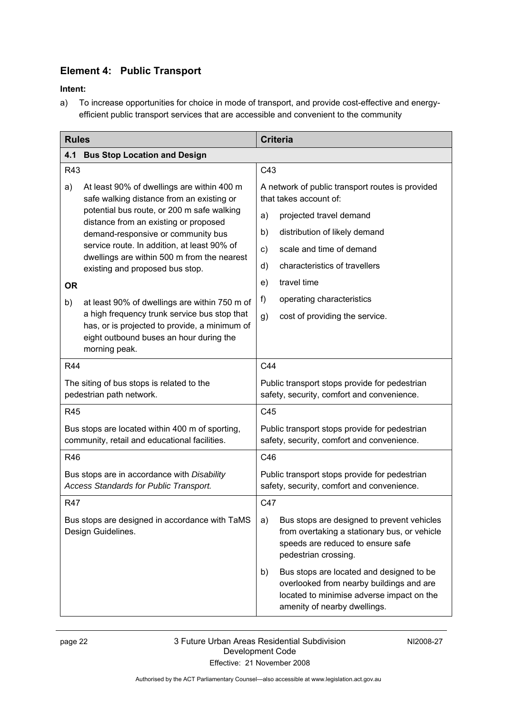### **Element 4: Public Transport**

### **Intent:**

a) To increase opportunities for choice in mode of transport, and provide cost-effective and energyefficient public transport services that are accessible and convenient to the community

| <b>Rules</b>                                                                                                                                              |                                                                                            |                                | <b>Criteria</b>                                                                                                                                                   |  |
|-----------------------------------------------------------------------------------------------------------------------------------------------------------|--------------------------------------------------------------------------------------------|--------------------------------|-------------------------------------------------------------------------------------------------------------------------------------------------------------------|--|
| 4.1                                                                                                                                                       | <b>Bus Stop Location and Design</b>                                                        |                                |                                                                                                                                                                   |  |
| R43                                                                                                                                                       |                                                                                            | C43                            |                                                                                                                                                                   |  |
| a)                                                                                                                                                        | At least 90% of dwellings are within 400 m<br>safe walking distance from an existing or    |                                | A network of public transport routes is provided<br>that takes account of:                                                                                        |  |
|                                                                                                                                                           | potential bus route, or 200 m safe walking<br>distance from an existing or proposed        | a)                             | projected travel demand                                                                                                                                           |  |
|                                                                                                                                                           | demand-responsive or community bus                                                         | b)                             | distribution of likely demand                                                                                                                                     |  |
|                                                                                                                                                           | service route. In addition, at least 90% of<br>dwellings are within 500 m from the nearest | c)                             | scale and time of demand                                                                                                                                          |  |
|                                                                                                                                                           | existing and proposed bus stop.                                                            | d)                             | characteristics of travellers                                                                                                                                     |  |
| <b>OR</b>                                                                                                                                                 |                                                                                            | e)                             | travel time                                                                                                                                                       |  |
| b)                                                                                                                                                        | at least 90% of dwellings are within 750 m of                                              | f)                             | operating characteristics                                                                                                                                         |  |
| a high frequency trunk service bus stop that<br>has, or is projected to provide, a minimum of<br>eight outbound buses an hour during the<br>morning peak. | g)                                                                                         | cost of providing the service. |                                                                                                                                                                   |  |
| R44                                                                                                                                                       |                                                                                            | C44                            |                                                                                                                                                                   |  |
| The siting of bus stops is related to the<br>pedestrian path network.                                                                                     |                                                                                            |                                | Public transport stops provide for pedestrian<br>safety, security, comfort and convenience.                                                                       |  |
| R45                                                                                                                                                       |                                                                                            | C45                            |                                                                                                                                                                   |  |
| Bus stops are located within 400 m of sporting,<br>community, retail and educational facilities.                                                          |                                                                                            |                                | Public transport stops provide for pedestrian<br>safety, security, comfort and convenience.                                                                       |  |
| R46                                                                                                                                                       |                                                                                            | C46                            |                                                                                                                                                                   |  |
|                                                                                                                                                           | Bus stops are in accordance with Disability<br>Access Standards for Public Transport.      |                                | Public transport stops provide for pedestrian<br>safety, security, comfort and convenience.                                                                       |  |
| <b>R47</b>                                                                                                                                                |                                                                                            | C47                            |                                                                                                                                                                   |  |
| Bus stops are designed in accordance with TaMS<br>Design Guidelines.                                                                                      |                                                                                            | a)                             | Bus stops are designed to prevent vehicles<br>from overtaking a stationary bus, or vehicle<br>speeds are reduced to ensure safe<br>pedestrian crossing.           |  |
|                                                                                                                                                           |                                                                                            | b)                             | Bus stops are located and designed to be<br>overlooked from nearby buildings and are<br>located to minimise adverse impact on the<br>amenity of nearby dwellings. |  |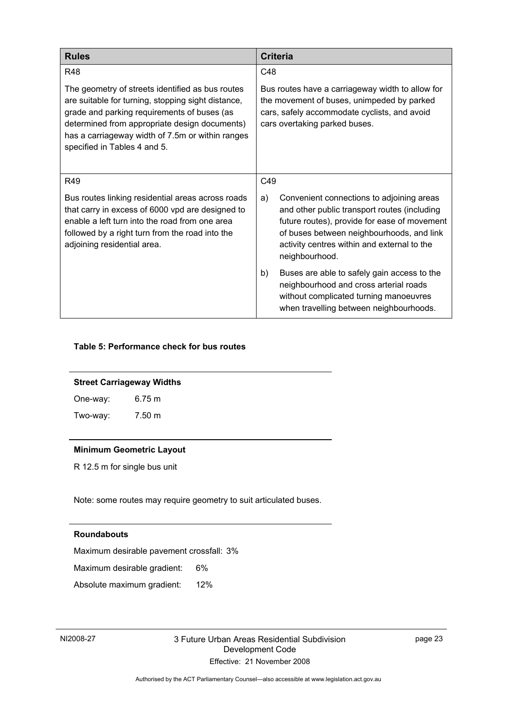| <b>Rules</b>                                                                                                                                                                                                                                                                               | <b>Criteria</b>                                                                                                                                                                                                                                               |
|--------------------------------------------------------------------------------------------------------------------------------------------------------------------------------------------------------------------------------------------------------------------------------------------|---------------------------------------------------------------------------------------------------------------------------------------------------------------------------------------------------------------------------------------------------------------|
| <b>R48</b>                                                                                                                                                                                                                                                                                 | C48                                                                                                                                                                                                                                                           |
| The geometry of streets identified as bus routes<br>are suitable for turning, stopping sight distance,<br>grade and parking requirements of buses (as<br>determined from appropriate design documents)<br>has a carriageway width of 7.5m or within ranges<br>specified in Tables 4 and 5. | Bus routes have a carriageway width to allow for<br>the movement of buses, unimpeded by parked<br>cars, safely accommodate cyclists, and avoid<br>cars overtaking parked buses.                                                                               |
| R49                                                                                                                                                                                                                                                                                        | C49                                                                                                                                                                                                                                                           |
| Bus routes linking residential areas across roads<br>that carry in excess of 6000 vpd are designed to<br>enable a left turn into the road from one area<br>followed by a right turn from the road into the<br>adjoining residential area.                                                  | Convenient connections to adjoining areas<br>a)<br>and other public transport routes (including<br>future routes), provide for ease of movement<br>of buses between neighbourhoods, and link<br>activity centres within and external to the<br>neighbourhood. |
|                                                                                                                                                                                                                                                                                            | Buses are able to safely gain access to the<br>b)<br>neighbourhood and cross arterial roads<br>without complicated turning manoeuvres<br>when travelling between neighbourhoods.                                                                              |

#### **Table 5: Performance check for bus routes**

#### **Street Carriageway Widths**

| One-way: | $6.75 \text{ m}$ |
|----------|------------------|
| Two-way: | 7.50 m           |

#### **Minimum Geometric Layout**

R 12.5 m for single bus unit

Note: some routes may require geometry to suit articulated buses.

#### **Roundabouts**

Maximum desirable pavement crossfall: 3%

Maximum desirable gradient: 6%

Absolute maximum gradient: 12%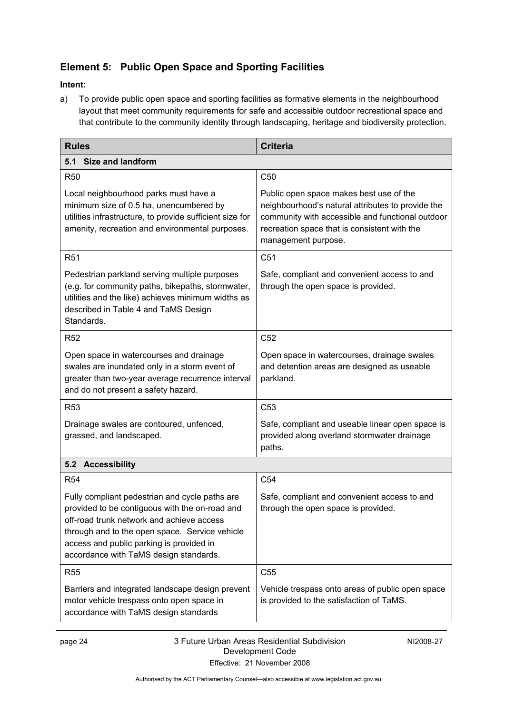### **Element 5: Public Open Space and Sporting Facilities**

### **Intent:**

a) To provide public open space and sporting facilities as formative elements in the neighbourhood layout that meet community requirements for safe and accessible outdoor recreational space and that contribute to the community identity through landscaping, heritage and biodiversity protection.

| <b>Rules</b>                                                                                                                                                                                                                                                                          | <b>Criteria</b>                                                                                                                                                                                                         |  |  |
|---------------------------------------------------------------------------------------------------------------------------------------------------------------------------------------------------------------------------------------------------------------------------------------|-------------------------------------------------------------------------------------------------------------------------------------------------------------------------------------------------------------------------|--|--|
| 5.1 Size and landform                                                                                                                                                                                                                                                                 |                                                                                                                                                                                                                         |  |  |
| <b>R50</b>                                                                                                                                                                                                                                                                            | C <sub>50</sub>                                                                                                                                                                                                         |  |  |
| Local neighbourhood parks must have a<br>minimum size of 0.5 ha, unencumbered by<br>utilities infrastructure, to provide sufficient size for<br>amenity, recreation and environmental purposes.                                                                                       | Public open space makes best use of the<br>neighbourhood's natural attributes to provide the<br>community with accessible and functional outdoor<br>recreation space that is consistent with the<br>management purpose. |  |  |
| R <sub>51</sub>                                                                                                                                                                                                                                                                       | C51                                                                                                                                                                                                                     |  |  |
| Pedestrian parkland serving multiple purposes<br>(e.g. for community paths, bikepaths, stormwater,<br>utilities and the like) achieves minimum widths as<br>described in Table 4 and TaMS Design<br>Standards.                                                                        | Safe, compliant and convenient access to and<br>through the open space is provided.                                                                                                                                     |  |  |
| R <sub>52</sub>                                                                                                                                                                                                                                                                       | C <sub>52</sub>                                                                                                                                                                                                         |  |  |
| Open space in watercourses and drainage<br>swales are inundated only in a storm event of<br>greater than two-year average recurrence interval<br>and do not present a safety hazard.                                                                                                  | Open space in watercourses, drainage swales<br>and detention areas are designed as useable<br>parkland.                                                                                                                 |  |  |
| R <sub>53</sub>                                                                                                                                                                                                                                                                       | C <sub>53</sub>                                                                                                                                                                                                         |  |  |
| Drainage swales are contoured, unfenced,<br>grassed, and landscaped.                                                                                                                                                                                                                  | Safe, compliant and useable linear open space is<br>provided along overland stormwater drainage<br>paths.                                                                                                               |  |  |
| 5.2 Accessibility                                                                                                                                                                                                                                                                     |                                                                                                                                                                                                                         |  |  |
| <b>R54</b>                                                                                                                                                                                                                                                                            | C <sub>54</sub>                                                                                                                                                                                                         |  |  |
| Fully compliant pedestrian and cycle paths are<br>provided to be contiguous with the on-road and<br>off-road trunk network and achieve access<br>through and to the open space. Service vehicle<br>access and public parking is provided in<br>accordance with TaMS design standards. | Safe, compliant and convenient access to and<br>through the open space is provided.                                                                                                                                     |  |  |
| <b>R55</b>                                                                                                                                                                                                                                                                            | C <sub>55</sub>                                                                                                                                                                                                         |  |  |
| Barriers and integrated landscape design prevent<br>motor vehicle trespass onto open space in<br>accordance with TaMS design standards                                                                                                                                                | Vehicle trespass onto areas of public open space<br>is provided to the satisfaction of TaMS.                                                                                                                            |  |  |

NI2008-27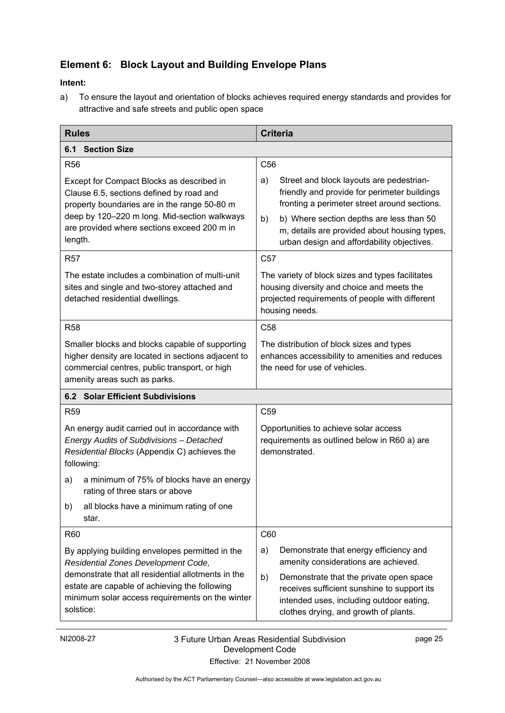### **Element 6: Block Layout and Building Envelope Plans**

### **Intent:**

a) To ensure the layout and orientation of blocks achieves required energy standards and provides for attractive and safe streets and public open space

| <b>Rules</b>                                                                                                                                                                                                                                                  | <b>Criteria</b>                                                                                                                                                                                                                                                           |  |
|---------------------------------------------------------------------------------------------------------------------------------------------------------------------------------------------------------------------------------------------------------------|---------------------------------------------------------------------------------------------------------------------------------------------------------------------------------------------------------------------------------------------------------------------------|--|
| <b>6.1 Section Size</b>                                                                                                                                                                                                                                       |                                                                                                                                                                                                                                                                           |  |
| <b>R56</b>                                                                                                                                                                                                                                                    | C <sub>56</sub>                                                                                                                                                                                                                                                           |  |
| Except for Compact Blocks as described in<br>Clause 6.5, sections defined by road and<br>property boundaries are in the range 50-80 m<br>deep by 120-220 m long. Mid-section walkways<br>are provided where sections exceed 200 m in                          | Street and block layouts are pedestrian-<br>a)<br>friendly and provide for perimeter buildings<br>fronting a perimeter street around sections.<br>b)<br>b) Where section depths are less than 50<br>m, details are provided about housing types,                          |  |
| length.                                                                                                                                                                                                                                                       | urban design and affordability objectives.                                                                                                                                                                                                                                |  |
| <b>R57</b>                                                                                                                                                                                                                                                    | C <sub>57</sub>                                                                                                                                                                                                                                                           |  |
| The estate includes a combination of multi-unit<br>sites and single and two-storey attached and<br>detached residential dwellings.                                                                                                                            | The variety of block sizes and types facilitates<br>housing diversity and choice and meets the<br>projected requirements of people with different<br>housing needs.                                                                                                       |  |
| <b>R58</b>                                                                                                                                                                                                                                                    | C <sub>58</sub>                                                                                                                                                                                                                                                           |  |
| Smaller blocks and blocks capable of supporting<br>higher density are located in sections adjacent to<br>commercial centres, public transport, or high<br>amenity areas such as parks.                                                                        | The distribution of block sizes and types<br>enhances accessibility to amenities and reduces<br>the need for use of vehicles.                                                                                                                                             |  |
| <b>6.2 Solar Efficient Subdivisions</b>                                                                                                                                                                                                                       |                                                                                                                                                                                                                                                                           |  |
| R <sub>59</sub>                                                                                                                                                                                                                                               | C <sub>59</sub>                                                                                                                                                                                                                                                           |  |
| An energy audit carried out in accordance with<br>Energy Audits of Subdivisions - Detached<br>Residential Blocks (Appendix C) achieves the<br>following:                                                                                                      | Opportunities to achieve solar access<br>requirements as outlined below in R60 a) are<br>demonstrated.                                                                                                                                                                    |  |
| a minimum of 75% of blocks have an energy<br>a)<br>rating of three stars or above                                                                                                                                                                             |                                                                                                                                                                                                                                                                           |  |
| all blocks have a minimum rating of one<br>b)<br>star.                                                                                                                                                                                                        |                                                                                                                                                                                                                                                                           |  |
| <b>R60</b>                                                                                                                                                                                                                                                    | C60                                                                                                                                                                                                                                                                       |  |
| By applying building envelopes permitted in the<br>Residential Zones Development Code,<br>demonstrate that all residential allotments in the<br>estate are capable of achieving the following<br>minimum solar access requirements on the winter<br>solstice: | Demonstrate that energy efficiency and<br>a)<br>amenity considerations are achieved.<br>b)<br>Demonstrate that the private open space<br>receives sufficient sunshine to support its<br>intended uses, including outdoor eating,<br>clothes drying, and growth of plants. |  |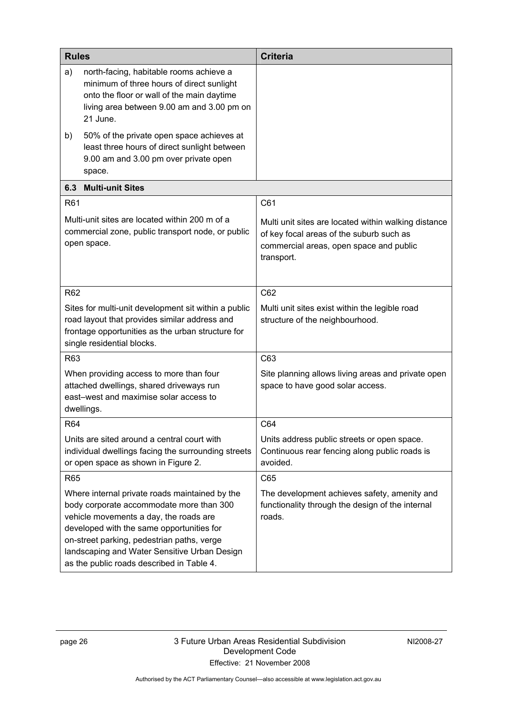| <b>Rules</b>                                                                                                                                                                             |                                                                                                                                                                                                                                                                                                                              | <b>Criteria</b>                                                                                                                                           |  |
|------------------------------------------------------------------------------------------------------------------------------------------------------------------------------------------|------------------------------------------------------------------------------------------------------------------------------------------------------------------------------------------------------------------------------------------------------------------------------------------------------------------------------|-----------------------------------------------------------------------------------------------------------------------------------------------------------|--|
| a)                                                                                                                                                                                       | north-facing, habitable rooms achieve a<br>minimum of three hours of direct sunlight<br>onto the floor or wall of the main daytime<br>living area between 9.00 am and 3.00 pm on<br>21 June.                                                                                                                                 |                                                                                                                                                           |  |
| b)                                                                                                                                                                                       | 50% of the private open space achieves at<br>least three hours of direct sunlight between<br>9.00 am and 3.00 pm over private open<br>space.                                                                                                                                                                                 |                                                                                                                                                           |  |
| 6.3                                                                                                                                                                                      | <b>Multi-unit Sites</b>                                                                                                                                                                                                                                                                                                      |                                                                                                                                                           |  |
| R61                                                                                                                                                                                      |                                                                                                                                                                                                                                                                                                                              | C61                                                                                                                                                       |  |
|                                                                                                                                                                                          | Multi-unit sites are located within 200 m of a<br>commercial zone, public transport node, or public<br>open space.                                                                                                                                                                                                           | Multi unit sites are located within walking distance<br>of key focal areas of the suburb such as<br>commercial areas, open space and public<br>transport. |  |
| R62                                                                                                                                                                                      |                                                                                                                                                                                                                                                                                                                              | C62                                                                                                                                                       |  |
| Sites for multi-unit development sit within a public<br>road layout that provides similar address and<br>frontage opportunities as the urban structure for<br>single residential blocks. |                                                                                                                                                                                                                                                                                                                              | Multi unit sites exist within the legible road<br>structure of the neighbourhood.                                                                         |  |
| R63                                                                                                                                                                                      |                                                                                                                                                                                                                                                                                                                              | C63                                                                                                                                                       |  |
| When providing access to more than four<br>attached dwellings, shared driveways run<br>east-west and maximise solar access to<br>dwellings.                                              |                                                                                                                                                                                                                                                                                                                              | Site planning allows living areas and private open<br>space to have good solar access.                                                                    |  |
| R64                                                                                                                                                                                      |                                                                                                                                                                                                                                                                                                                              | C64                                                                                                                                                       |  |
| Units are sited around a central court with<br>individual dwellings facing the surrounding streets<br>or open space as shown in Figure 2.                                                |                                                                                                                                                                                                                                                                                                                              | Units address public streets or open space.<br>Continuous rear fencing along public roads is<br>avoided.                                                  |  |
| R65                                                                                                                                                                                      |                                                                                                                                                                                                                                                                                                                              | C65                                                                                                                                                       |  |
|                                                                                                                                                                                          | Where internal private roads maintained by the<br>body corporate accommodate more than 300<br>vehicle movements a day, the roads are<br>developed with the same opportunities for<br>on-street parking, pedestrian paths, verge<br>landscaping and Water Sensitive Urban Design<br>as the public roads described in Table 4. | The development achieves safety, amenity and<br>functionality through the design of the internal<br>roads.                                                |  |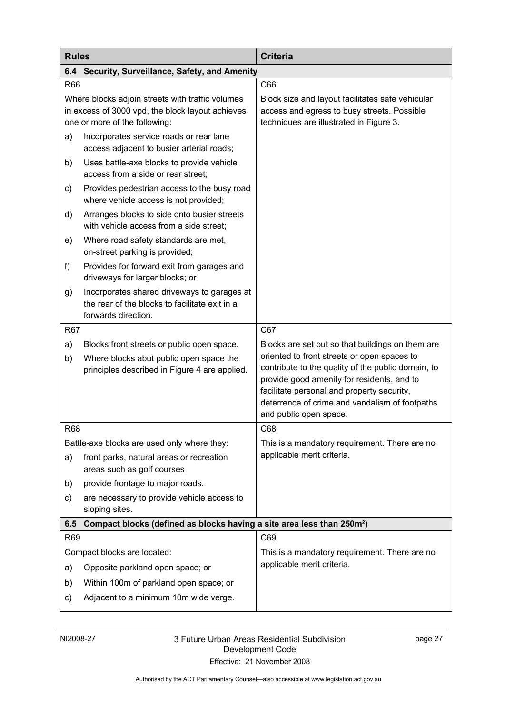| <b>Rules</b>                                                                                                                          |                                                                                                                      | <b>Criteria</b>                                                                                                                                                                                                                                                           |  |  |  |
|---------------------------------------------------------------------------------------------------------------------------------------|----------------------------------------------------------------------------------------------------------------------|---------------------------------------------------------------------------------------------------------------------------------------------------------------------------------------------------------------------------------------------------------------------------|--|--|--|
| 6.4                                                                                                                                   | Security, Surveillance, Safety, and Amenity                                                                          |                                                                                                                                                                                                                                                                           |  |  |  |
| R66                                                                                                                                   |                                                                                                                      | C66                                                                                                                                                                                                                                                                       |  |  |  |
| Where blocks adjoin streets with traffic volumes<br>in excess of 3000 vpd, the block layout achieves<br>one or more of the following: |                                                                                                                      | Block size and layout facilitates safe vehicular<br>access and egress to busy streets. Possible<br>techniques are illustrated in Figure 3.                                                                                                                                |  |  |  |
| a)                                                                                                                                    | Incorporates service roads or rear lane<br>access adjacent to busier arterial roads;                                 |                                                                                                                                                                                                                                                                           |  |  |  |
| b)                                                                                                                                    | Uses battle-axe blocks to provide vehicle<br>access from a side or rear street;                                      |                                                                                                                                                                                                                                                                           |  |  |  |
| c)                                                                                                                                    | Provides pedestrian access to the busy road<br>where vehicle access is not provided;                                 |                                                                                                                                                                                                                                                                           |  |  |  |
| d)                                                                                                                                    | Arranges blocks to side onto busier streets<br>with vehicle access from a side street;                               |                                                                                                                                                                                                                                                                           |  |  |  |
| e)                                                                                                                                    | Where road safety standards are met,<br>on-street parking is provided;                                               |                                                                                                                                                                                                                                                                           |  |  |  |
| f)                                                                                                                                    | Provides for forward exit from garages and<br>driveways for larger blocks; or                                        |                                                                                                                                                                                                                                                                           |  |  |  |
| g)                                                                                                                                    | Incorporates shared driveways to garages at<br>the rear of the blocks to facilitate exit in a<br>forwards direction. |                                                                                                                                                                                                                                                                           |  |  |  |
| R67                                                                                                                                   |                                                                                                                      | C67                                                                                                                                                                                                                                                                       |  |  |  |
| a)                                                                                                                                    | Blocks front streets or public open space.                                                                           | Blocks are set out so that buildings on them are                                                                                                                                                                                                                          |  |  |  |
| b)                                                                                                                                    | Where blocks abut public open space the<br>principles described in Figure 4 are applied.                             | oriented to front streets or open spaces to<br>contribute to the quality of the public domain, to<br>provide good amenity for residents, and to<br>facilitate personal and property security,<br>deterrence of crime and vandalism of footpaths<br>and public open space. |  |  |  |
| <b>R68</b>                                                                                                                            |                                                                                                                      | C68                                                                                                                                                                                                                                                                       |  |  |  |
|                                                                                                                                       | Battle-axe blocks are used only where they:                                                                          | This is a mandatory requirement. There are no                                                                                                                                                                                                                             |  |  |  |
| a)                                                                                                                                    | front parks, natural areas or recreation<br>areas such as golf courses                                               | applicable merit criteria.                                                                                                                                                                                                                                                |  |  |  |
| b)                                                                                                                                    | provide frontage to major roads.                                                                                     |                                                                                                                                                                                                                                                                           |  |  |  |
| C)                                                                                                                                    | are necessary to provide vehicle access to<br>sloping sites.                                                         |                                                                                                                                                                                                                                                                           |  |  |  |
| 6.5                                                                                                                                   | Compact blocks (defined as blocks having a site area less than 250m <sup>2</sup> )                                   |                                                                                                                                                                                                                                                                           |  |  |  |
| R69                                                                                                                                   |                                                                                                                      | C69                                                                                                                                                                                                                                                                       |  |  |  |
|                                                                                                                                       | Compact blocks are located:                                                                                          | This is a mandatory requirement. There are no                                                                                                                                                                                                                             |  |  |  |
| a)                                                                                                                                    | Opposite parkland open space; or                                                                                     | applicable merit criteria.                                                                                                                                                                                                                                                |  |  |  |
| b)                                                                                                                                    | Within 100m of parkland open space; or                                                                               |                                                                                                                                                                                                                                                                           |  |  |  |
| c)                                                                                                                                    | Adjacent to a minimum 10m wide verge.                                                                                |                                                                                                                                                                                                                                                                           |  |  |  |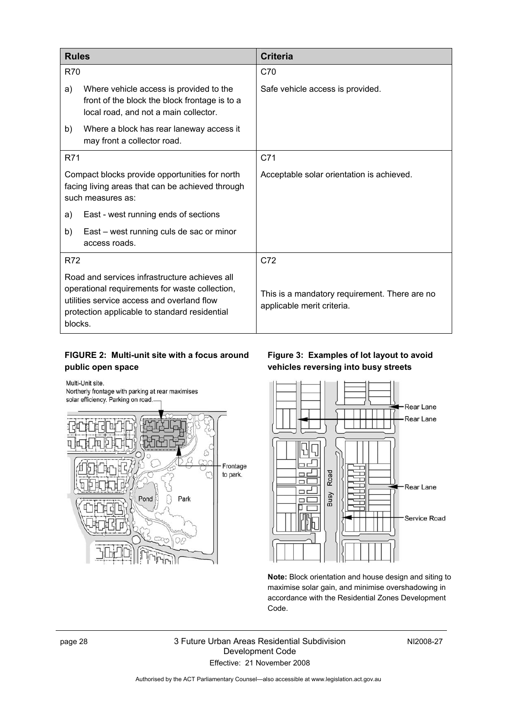| <b>Rules</b>                                                                                                                                                                                              |                                                                                                                                   | <b>Criteria</b>                                                             |
|-----------------------------------------------------------------------------------------------------------------------------------------------------------------------------------------------------------|-----------------------------------------------------------------------------------------------------------------------------------|-----------------------------------------------------------------------------|
| <b>R70</b>                                                                                                                                                                                                |                                                                                                                                   | C70                                                                         |
| a)                                                                                                                                                                                                        | Where vehicle access is provided to the<br>front of the block the block frontage is to a<br>local road, and not a main collector. | Safe vehicle access is provided.                                            |
| b)                                                                                                                                                                                                        | Where a block has rear laneway access it<br>may front a collector road.                                                           |                                                                             |
| R71                                                                                                                                                                                                       |                                                                                                                                   | C71                                                                         |
| Compact blocks provide opportunities for north<br>facing living areas that can be achieved through<br>such measures as:                                                                                   |                                                                                                                                   | Acceptable solar orientation is achieved.                                   |
| a)                                                                                                                                                                                                        | East - west running ends of sections                                                                                              |                                                                             |
| b)                                                                                                                                                                                                        | East – west running culs de sac or minor<br>access roads.                                                                         |                                                                             |
| R72                                                                                                                                                                                                       |                                                                                                                                   | C72                                                                         |
| Road and services infrastructure achieves all<br>operational requirements for waste collection,<br>utilities service access and overland flow<br>protection applicable to standard residential<br>blocks. |                                                                                                                                   | This is a mandatory requirement. There are no<br>applicable merit criteria. |

### **FIGURE 2: Multi-unit site with a focus around public open space**

Multi-Unit site.

Northerly frontage with parking at rear maximises solar efficiency. Parking on road.



### **Figure 3: Examples of lot layout to avoid vehicles reversing into busy streets**



**Note:** Block orientation and house design and siting to maximise solar gain, and minimise overshadowing in accordance with the Residential Zones Development Code.

page 28 3 Future Urban Areas Residential Subdivision Development Code Effective: 21 November 2008

NI2008-27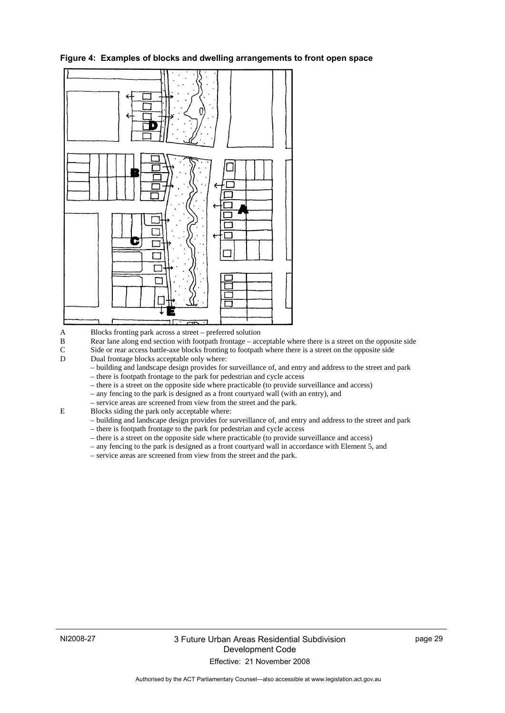

**Figure 4: Examples of blocks and dwelling arrangements to front open space** 

A Blocks fronting park across a street – preferred solution

B Rear lane along end section with footpath frontage – acceptable where there is a street on the opposite side

C Side or rear access battle-axe blocks fronting to footpath where there is a street on the opposite side

D Dual frontage blocks acceptable only where:

– building and landscape design provides for surveillance of, and entry and address to the street and park

– there is footpath frontage to the park for pedestrian and cycle access

– there is a street on the opposite side where practicable (to provide surveillance and access)

- any fencing to the park is designed as a front courtyard wall (with an entry), and
- service areas are screened from view from the street and the park.<br>Blocks siding the park only acceptable where:
	- E Blocks siding the park only acceptable where:

– building and landscape design provides for surveillance of, and entry and address to the street and park

- there is footpath frontage to the park for pedestrian and cycle access
- there is a street on the opposite side where practicable (to provide surveillance and access)
- any fencing to the park is designed as a front courtyard wall in accordance with Element 5, and
- service areas are screened from view from the street and the park.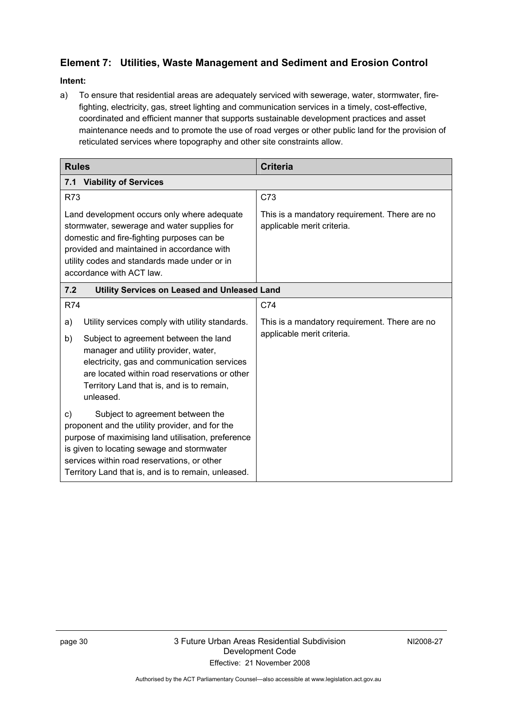### **Element 7: Utilities, Waste Management and Sediment and Erosion Control**

### **Intent:**

a) To ensure that residential areas are adequately serviced with sewerage, water, stormwater, firefighting, electricity, gas, street lighting and communication services in a timely, cost-effective, coordinated and efficient manner that supports sustainable development practices and asset maintenance needs and to promote the use of road verges or other public land for the provision of reticulated services where topography and other site constraints allow.

| <b>Rules</b>                                                                                                                                                                                                                                                                                           | <b>Criteria</b>                                                             |  |  |
|--------------------------------------------------------------------------------------------------------------------------------------------------------------------------------------------------------------------------------------------------------------------------------------------------------|-----------------------------------------------------------------------------|--|--|
| <b>Viability of Services</b><br>7.1                                                                                                                                                                                                                                                                    |                                                                             |  |  |
| <b>R73</b>                                                                                                                                                                                                                                                                                             | C73                                                                         |  |  |
| Land development occurs only where adequate<br>stormwater, sewerage and water supplies for<br>domestic and fire-fighting purposes can be<br>provided and maintained in accordance with<br>utility codes and standards made under or in<br>accordance with ACT law.                                     | This is a mandatory requirement. There are no<br>applicable merit criteria. |  |  |
| 7.2<br>Utility Services on Leased and Unleased Land                                                                                                                                                                                                                                                    |                                                                             |  |  |
| <b>R74</b>                                                                                                                                                                                                                                                                                             | C74                                                                         |  |  |
| Utility services comply with utility standards.<br>a)<br>Subject to agreement between the land<br>b)<br>manager and utility provider, water,<br>electricity, gas and communication services<br>are located within road reservations or other<br>Territory Land that is, and is to remain,<br>unleased. | This is a mandatory requirement. There are no<br>applicable merit criteria. |  |  |
| Subject to agreement between the<br>C)<br>proponent and the utility provider, and for the<br>purpose of maximising land utilisation, preference<br>is given to locating sewage and stormwater<br>services within road reservations, or other<br>Territory Land that is, and is to remain, unleased.    |                                                                             |  |  |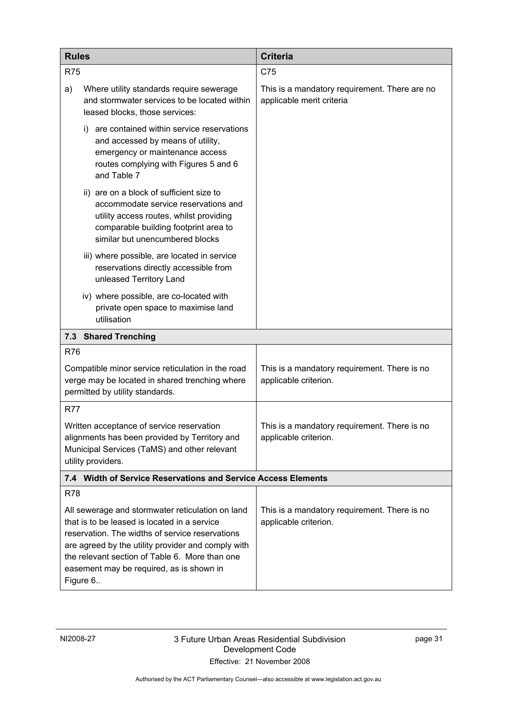| <b>Rules</b>                                                                                                                                                                                                                                                                                                        |                                                                                                                                                                                                         | <b>Criteria</b>                                                            |  |  |
|---------------------------------------------------------------------------------------------------------------------------------------------------------------------------------------------------------------------------------------------------------------------------------------------------------------------|---------------------------------------------------------------------------------------------------------------------------------------------------------------------------------------------------------|----------------------------------------------------------------------------|--|--|
| <b>R75</b>                                                                                                                                                                                                                                                                                                          |                                                                                                                                                                                                         | C75                                                                        |  |  |
| a)                                                                                                                                                                                                                                                                                                                  | Where utility standards require sewerage<br>and stormwater services to be located within<br>leased blocks, those services:                                                                              | This is a mandatory requirement. There are no<br>applicable merit criteria |  |  |
|                                                                                                                                                                                                                                                                                                                     | are contained within service reservations<br>i).<br>and accessed by means of utility,<br>emergency or maintenance access<br>routes complying with Figures 5 and 6<br>and Table 7                        |                                                                            |  |  |
|                                                                                                                                                                                                                                                                                                                     | ii) are on a block of sufficient size to<br>accommodate service reservations and<br>utility access routes, whilst providing<br>comparable building footprint area to<br>similar but unencumbered blocks |                                                                            |  |  |
|                                                                                                                                                                                                                                                                                                                     | iii) where possible, are located in service<br>reservations directly accessible from<br>unleased Territory Land                                                                                         |                                                                            |  |  |
|                                                                                                                                                                                                                                                                                                                     | iv) where possible, are co-located with<br>private open space to maximise land<br>utilisation                                                                                                           |                                                                            |  |  |
|                                                                                                                                                                                                                                                                                                                     | 7.3 Shared Trenching                                                                                                                                                                                    |                                                                            |  |  |
| <b>R76</b>                                                                                                                                                                                                                                                                                                          |                                                                                                                                                                                                         |                                                                            |  |  |
| Compatible minor service reticulation in the road<br>verge may be located in shared trenching where<br>permitted by utility standards.                                                                                                                                                                              |                                                                                                                                                                                                         | This is a mandatory requirement. There is no<br>applicable criterion.      |  |  |
| R77                                                                                                                                                                                                                                                                                                                 |                                                                                                                                                                                                         |                                                                            |  |  |
| Written acceptance of service reservation<br>alignments has been provided by Territory and<br>Municipal Services (TaMS) and other relevant<br>utility providers.                                                                                                                                                    |                                                                                                                                                                                                         | This is a mandatory requirement. There is no<br>applicable criterion.      |  |  |
|                                                                                                                                                                                                                                                                                                                     | 7.4 Width of Service Reservations and Service Access Elements                                                                                                                                           |                                                                            |  |  |
| <b>R78</b>                                                                                                                                                                                                                                                                                                          |                                                                                                                                                                                                         |                                                                            |  |  |
| All sewerage and stormwater reticulation on land<br>that is to be leased is located in a service<br>reservation. The widths of service reservations<br>are agreed by the utility provider and comply with<br>the relevant section of Table 6. More than one<br>easement may be required, as is shown in<br>Figure 6 |                                                                                                                                                                                                         | This is a mandatory requirement. There is no<br>applicable criterion.      |  |  |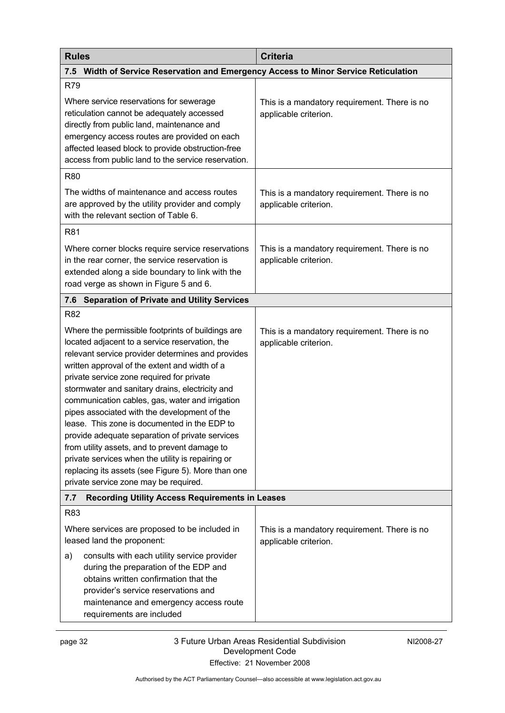| <b>Rules</b>                                                                                                                                                                                                                                                                                                                                                                                                                                                                                                                                                                                                                                                                                                         | <b>Criteria</b>                                                       |  |
|----------------------------------------------------------------------------------------------------------------------------------------------------------------------------------------------------------------------------------------------------------------------------------------------------------------------------------------------------------------------------------------------------------------------------------------------------------------------------------------------------------------------------------------------------------------------------------------------------------------------------------------------------------------------------------------------------------------------|-----------------------------------------------------------------------|--|
| Width of Service Reservation and Emergency Access to Minor Service Reticulation<br>7.5                                                                                                                                                                                                                                                                                                                                                                                                                                                                                                                                                                                                                               |                                                                       |  |
| R79                                                                                                                                                                                                                                                                                                                                                                                                                                                                                                                                                                                                                                                                                                                  |                                                                       |  |
| Where service reservations for sewerage<br>reticulation cannot be adequately accessed<br>directly from public land, maintenance and<br>emergency access routes are provided on each<br>affected leased block to provide obstruction-free<br>access from public land to the service reservation.                                                                                                                                                                                                                                                                                                                                                                                                                      | This is a mandatory requirement. There is no<br>applicable criterion. |  |
| R80                                                                                                                                                                                                                                                                                                                                                                                                                                                                                                                                                                                                                                                                                                                  |                                                                       |  |
| The widths of maintenance and access routes<br>are approved by the utility provider and comply<br>with the relevant section of Table 6.                                                                                                                                                                                                                                                                                                                                                                                                                                                                                                                                                                              | This is a mandatory requirement. There is no<br>applicable criterion. |  |
| R81                                                                                                                                                                                                                                                                                                                                                                                                                                                                                                                                                                                                                                                                                                                  |                                                                       |  |
| Where corner blocks require service reservations<br>in the rear corner, the service reservation is<br>extended along a side boundary to link with the<br>road verge as shown in Figure 5 and 6.                                                                                                                                                                                                                                                                                                                                                                                                                                                                                                                      | This is a mandatory requirement. There is no<br>applicable criterion. |  |
| <b>Separation of Private and Utility Services</b><br>7.6                                                                                                                                                                                                                                                                                                                                                                                                                                                                                                                                                                                                                                                             |                                                                       |  |
| <b>R82</b>                                                                                                                                                                                                                                                                                                                                                                                                                                                                                                                                                                                                                                                                                                           |                                                                       |  |
| Where the permissible footprints of buildings are<br>located adjacent to a service reservation, the<br>relevant service provider determines and provides<br>written approval of the extent and width of a<br>private service zone required for private<br>stormwater and sanitary drains, electricity and<br>communication cables, gas, water and irrigation<br>pipes associated with the development of the<br>lease. This zone is documented in the EDP to<br>provide adequate separation of private services<br>from utility assets, and to prevent damage to<br>private services when the utility is repairing or<br>replacing its assets (see Figure 5). More than one<br>private service zone may be required. | This is a mandatory requirement. There is no<br>applicable criterion. |  |
| <b>Recording Utility Access Requirements in Leases</b><br>7.7                                                                                                                                                                                                                                                                                                                                                                                                                                                                                                                                                                                                                                                        |                                                                       |  |
| R83                                                                                                                                                                                                                                                                                                                                                                                                                                                                                                                                                                                                                                                                                                                  |                                                                       |  |
| Where services are proposed to be included in<br>leased land the proponent:                                                                                                                                                                                                                                                                                                                                                                                                                                                                                                                                                                                                                                          | This is a mandatory requirement. There is no<br>applicable criterion. |  |
| consults with each utility service provider<br>a)<br>during the preparation of the EDP and<br>obtains written confirmation that the<br>provider's service reservations and<br>maintenance and emergency access route<br>requirements are included                                                                                                                                                                                                                                                                                                                                                                                                                                                                    |                                                                       |  |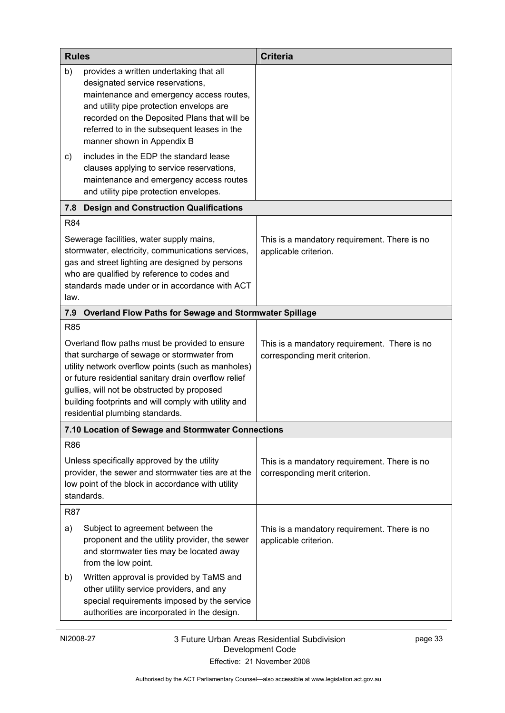| <b>Rules</b>                                                                                                                                                                                                                                                                                                                                          |                                                                                                                                                                                                                                                                                                  | <b>Criteria</b>                                                                |
|-------------------------------------------------------------------------------------------------------------------------------------------------------------------------------------------------------------------------------------------------------------------------------------------------------------------------------------------------------|--------------------------------------------------------------------------------------------------------------------------------------------------------------------------------------------------------------------------------------------------------------------------------------------------|--------------------------------------------------------------------------------|
| b)                                                                                                                                                                                                                                                                                                                                                    | provides a written undertaking that all<br>designated service reservations,<br>maintenance and emergency access routes,<br>and utility pipe protection envelops are<br>recorded on the Deposited Plans that will be<br>referred to in the subsequent leases in the<br>manner shown in Appendix B |                                                                                |
| c)                                                                                                                                                                                                                                                                                                                                                    | includes in the EDP the standard lease<br>clauses applying to service reservations,<br>maintenance and emergency access routes<br>and utility pipe protection envelopes.                                                                                                                         |                                                                                |
| 7.8                                                                                                                                                                                                                                                                                                                                                   | <b>Design and Construction Qualifications</b>                                                                                                                                                                                                                                                    |                                                                                |
| <b>R84</b>                                                                                                                                                                                                                                                                                                                                            |                                                                                                                                                                                                                                                                                                  |                                                                                |
| law.                                                                                                                                                                                                                                                                                                                                                  | Sewerage facilities, water supply mains,<br>stormwater, electricity, communications services,<br>gas and street lighting are designed by persons<br>who are qualified by reference to codes and<br>standards made under or in accordance with ACT                                                | This is a mandatory requirement. There is no<br>applicable criterion.          |
| 7.9                                                                                                                                                                                                                                                                                                                                                   | Overland Flow Paths for Sewage and Stormwater Spillage                                                                                                                                                                                                                                           |                                                                                |
| <b>R85</b>                                                                                                                                                                                                                                                                                                                                            |                                                                                                                                                                                                                                                                                                  |                                                                                |
| Overland flow paths must be provided to ensure<br>that surcharge of sewage or stormwater from<br>utility network overflow points (such as manholes)<br>or future residential sanitary drain overflow relief<br>gullies, will not be obstructed by proposed<br>building footprints and will comply with utility and<br>residential plumbing standards. |                                                                                                                                                                                                                                                                                                  | This is a mandatory requirement. There is no<br>corresponding merit criterion. |
|                                                                                                                                                                                                                                                                                                                                                       | 7.10 Location of Sewage and Stormwater Connections                                                                                                                                                                                                                                               |                                                                                |
| <b>R86</b><br>Unless specifically approved by the utility<br>provider, the sewer and stormwater ties are at the<br>low point of the block in accordance with utility<br>standards.                                                                                                                                                                    |                                                                                                                                                                                                                                                                                                  | This is a mandatory requirement. There is no<br>corresponding merit criterion. |
| R87                                                                                                                                                                                                                                                                                                                                                   |                                                                                                                                                                                                                                                                                                  |                                                                                |
| a)                                                                                                                                                                                                                                                                                                                                                    | Subject to agreement between the<br>proponent and the utility provider, the sewer<br>and stormwater ties may be located away<br>from the low point.                                                                                                                                              | This is a mandatory requirement. There is no<br>applicable criterion.          |
| b)                                                                                                                                                                                                                                                                                                                                                    | Written approval is provided by TaMS and<br>other utility service providers, and any<br>special requirements imposed by the service<br>authorities are incorporated in the design.                                                                                                               |                                                                                |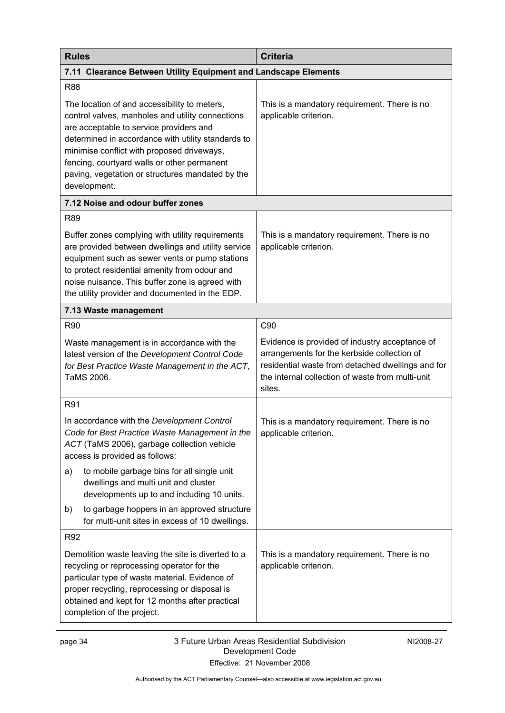| <b>Rules</b>                                                                                                                                                                                                                                                                                                                                                       | <b>Criteria</b>                                                                                                                                                                                                  |  |  |  |
|--------------------------------------------------------------------------------------------------------------------------------------------------------------------------------------------------------------------------------------------------------------------------------------------------------------------------------------------------------------------|------------------------------------------------------------------------------------------------------------------------------------------------------------------------------------------------------------------|--|--|--|
| 7.11 Clearance Between Utility Equipment and Landscape Elements                                                                                                                                                                                                                                                                                                    |                                                                                                                                                                                                                  |  |  |  |
| <b>R88</b>                                                                                                                                                                                                                                                                                                                                                         |                                                                                                                                                                                                                  |  |  |  |
| The location of and accessibility to meters,<br>control valves, manholes and utility connections<br>are acceptable to service providers and<br>determined in accordance with utility standards to<br>minimise conflict with proposed driveways,<br>fencing, courtyard walls or other permanent<br>paving, vegetation or structures mandated by the<br>development. | This is a mandatory requirement. There is no<br>applicable criterion.                                                                                                                                            |  |  |  |
| 7.12 Noise and odour buffer zones                                                                                                                                                                                                                                                                                                                                  |                                                                                                                                                                                                                  |  |  |  |
| <b>R89</b>                                                                                                                                                                                                                                                                                                                                                         |                                                                                                                                                                                                                  |  |  |  |
| Buffer zones complying with utility requirements<br>are provided between dwellings and utility service<br>equipment such as sewer vents or pump stations<br>to protect residential amenity from odour and<br>noise nuisance. This buffer zone is agreed with<br>the utility provider and documented in the EDP.                                                    | This is a mandatory requirement. There is no<br>applicable criterion.                                                                                                                                            |  |  |  |
| 7.13 Waste management                                                                                                                                                                                                                                                                                                                                              |                                                                                                                                                                                                                  |  |  |  |
| R90                                                                                                                                                                                                                                                                                                                                                                | C90                                                                                                                                                                                                              |  |  |  |
| Waste management is in accordance with the<br>latest version of the Development Control Code<br>for Best Practice Waste Management in the ACT,<br>TaMS 2006.                                                                                                                                                                                                       | Evidence is provided of industry acceptance of<br>arrangements for the kerbside collection of<br>residential waste from detached dwellings and for<br>the internal collection of waste from multi-unit<br>sites. |  |  |  |
| R91                                                                                                                                                                                                                                                                                                                                                                |                                                                                                                                                                                                                  |  |  |  |
| In accordance with the Development Control<br>Code for Best Practice Waste Management in the<br>ACT (TaMS 2006), garbage collection vehicle<br>access is provided as follows:                                                                                                                                                                                      | This is a mandatory requirement. There is no<br>applicable criterion.                                                                                                                                            |  |  |  |
| to mobile garbage bins for all single unit<br>a)<br>dwellings and multi unit and cluster<br>developments up to and including 10 units.                                                                                                                                                                                                                             |                                                                                                                                                                                                                  |  |  |  |
| to garbage hoppers in an approved structure<br>b)<br>for multi-unit sites in excess of 10 dwellings.                                                                                                                                                                                                                                                               |                                                                                                                                                                                                                  |  |  |  |
| R92                                                                                                                                                                                                                                                                                                                                                                |                                                                                                                                                                                                                  |  |  |  |
| Demolition waste leaving the site is diverted to a<br>recycling or reprocessing operator for the<br>particular type of waste material. Evidence of<br>proper recycling, reprocessing or disposal is<br>obtained and kept for 12 months after practical<br>completion of the project.                                                                               | This is a mandatory requirement. There is no<br>applicable criterion.                                                                                                                                            |  |  |  |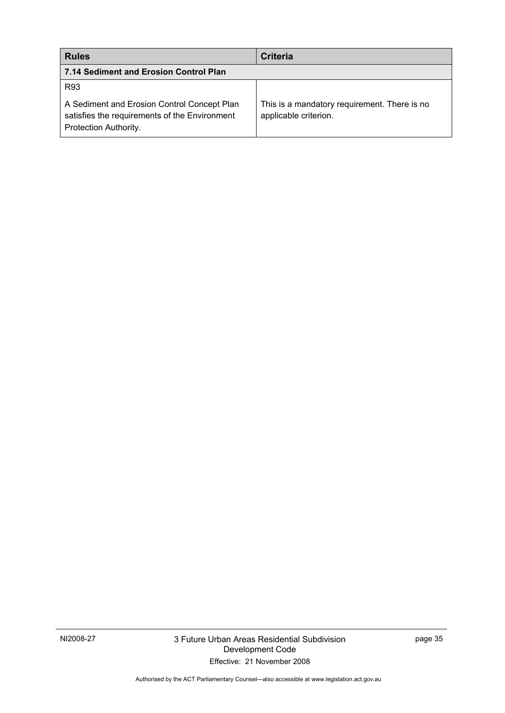| <b>Rules</b>                                                                                                          | Criteria                                                              |
|-----------------------------------------------------------------------------------------------------------------------|-----------------------------------------------------------------------|
| 7.14 Sediment and Erosion Control Plan                                                                                |                                                                       |
| R93                                                                                                                   |                                                                       |
| A Sediment and Erosion Control Concept Plan<br>satisfies the requirements of the Environment<br>Protection Authority. | This is a mandatory requirement. There is no<br>applicable criterion. |

Authorised by the ACT Parliamentary Counsel—also accessible at www.legislation.act.gov.au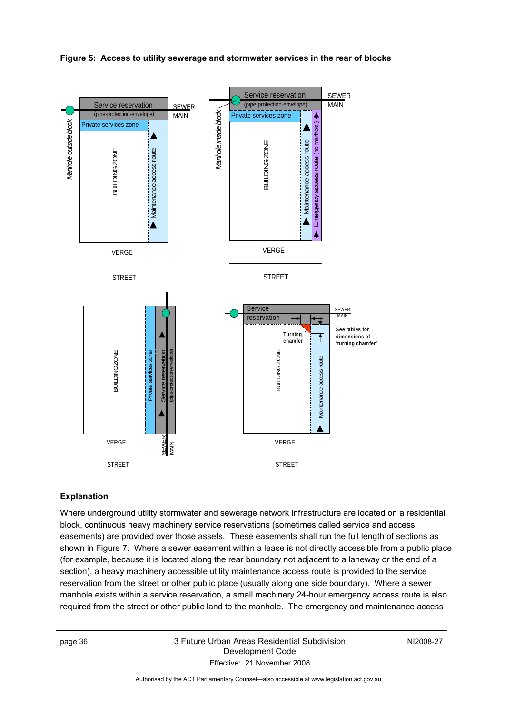#### **Figure 5: Access to utility sewerage and stormwater services in the rear of blocks**



#### **Explanation**

Where underground utility stormwater and sewerage network infrastructure are located on a residential block, continuous heavy machinery service reservations (sometimes called service and access easements) are provided over those assets. These easements shall run the full length of sections as shown in Figure 7. Where a sewer easement within a lease is not directly accessible from a public place (for example, because it is located along the rear boundary not adjacent to a laneway or the end of a section), a heavy machinery accessible utility maintenance access route is provided to the service reservation from the street or other public place (usually along one side boundary). Where a sewer manhole exists within a service reservation, a small machinery 24-hour emergency access route is also required from the street or other public land to the manhole. The emergency and maintenance access

### page 36 3 Future Urban Areas Residential Subdivision Development Code Effective: 21 November 2008

NI2008-27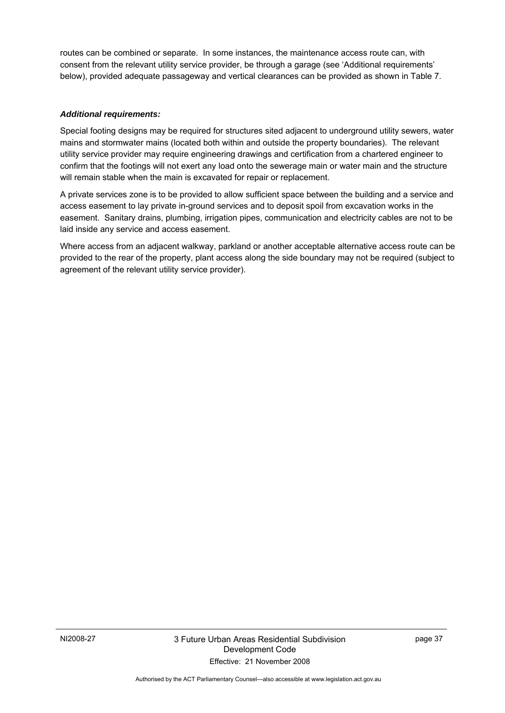routes can be combined or separate. In some instances, the maintenance access route can, with consent from the relevant utility service provider, be through a garage (see 'Additional requirements' below), provided adequate passageway and vertical clearances can be provided as shown in Table 7.

#### *Additional requirements:*

Special footing designs may be required for structures sited adjacent to underground utility sewers, water mains and stormwater mains (located both within and outside the property boundaries). The relevant utility service provider may require engineering drawings and certification from a chartered engineer to confirm that the footings will not exert any load onto the sewerage main or water main and the structure will remain stable when the main is excavated for repair or replacement.

A private services zone is to be provided to allow sufficient space between the building and a service and access easement to lay private in-ground services and to deposit spoil from excavation works in the easement. Sanitary drains, plumbing, irrigation pipes, communication and electricity cables are not to be laid inside any service and access easement.

Where access from an adjacent walkway, parkland or another acceptable alternative access route can be provided to the rear of the property, plant access along the side boundary may not be required (subject to agreement of the relevant utility service provider).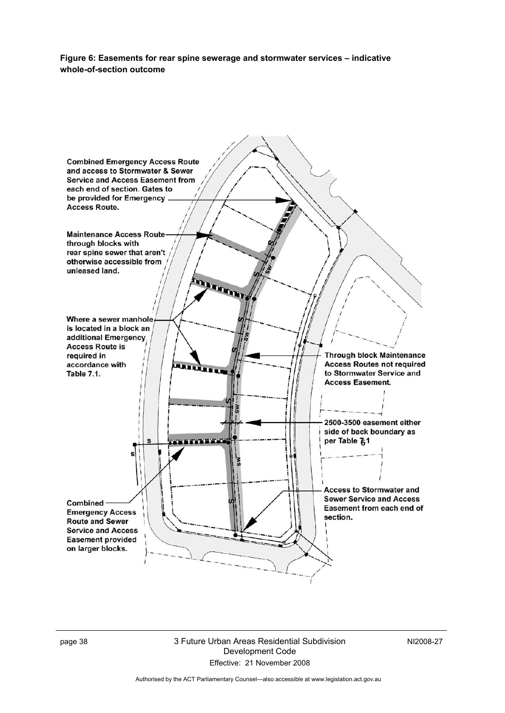**Figure 6: Easements for rear spine sewerage and stormwater services – indicative whole-of-section outcome** 



page 38 3 Future Urban Areas Residential Subdivision Development Code Effective: 21 November 2008

NI2008-27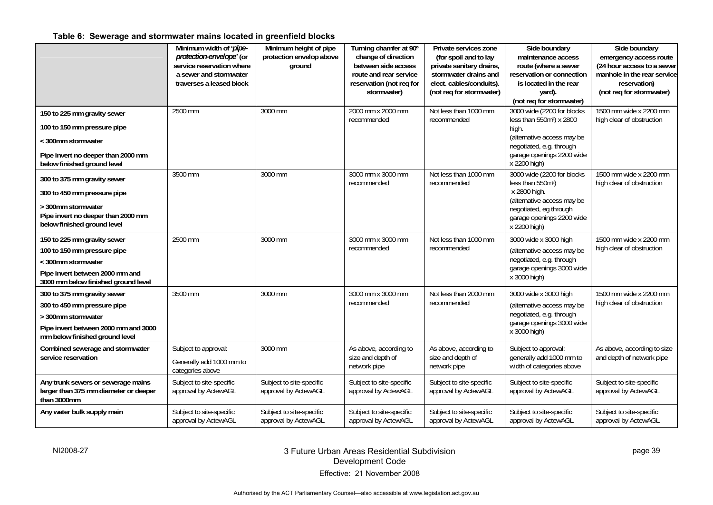### **Table 6: Sewerage and stormwater mains located in greenfield blocks**

|                                                                                            | Minimum width of 'pipe-<br>protection-envelope' (or<br>service reservation where<br>a sewer and stormwater<br>traverses a leased block | Minimum height of pipe<br>protection envelop above<br>ground | Turning chamfer at 90°<br>change of direction<br>between side access<br>route and rear service<br>reservation (not req for<br>stormwater) | Private services zone<br>(for spoil and to lay<br>private sanitary drains,<br>stormwater drains and<br>elect. cables/conduits).<br>(not req for stormwater) | Side boundary<br>maintenance access<br>route (where a sewer<br>reservation or connection<br>is located in the rear<br>yard).<br>(not req for stormwater) | Side boundary<br>emergency access route<br>(24 hour access to a sewer<br>manhole in the rear service<br>reservation)<br>(not req for stormwater) |
|--------------------------------------------------------------------------------------------|----------------------------------------------------------------------------------------------------------------------------------------|--------------------------------------------------------------|-------------------------------------------------------------------------------------------------------------------------------------------|-------------------------------------------------------------------------------------------------------------------------------------------------------------|----------------------------------------------------------------------------------------------------------------------------------------------------------|--------------------------------------------------------------------------------------------------------------------------------------------------|
| 150 to 225 mm gravity sewer                                                                | 2500 mm                                                                                                                                | 3000 mm                                                      | 2000 mm x 2000 mm<br>recommended                                                                                                          | Not less than 1000 mm<br>recommended                                                                                                                        | 3000 wide (2200 for blocks<br>less than 550m <sup>2</sup> ) x 2800                                                                                       | 1500 mm wide x 2200 mm<br>high clear of obstruction                                                                                              |
| 100 to 150 mm pressure pipe<br>< 300mm stormwater                                          |                                                                                                                                        |                                                              |                                                                                                                                           |                                                                                                                                                             | high.<br>(alternative access may be                                                                                                                      |                                                                                                                                                  |
| Pipe invert no deeper than 2000 mm<br>below finished ground level                          |                                                                                                                                        |                                                              |                                                                                                                                           |                                                                                                                                                             | negotiated, e.g. through<br>garage openings 2200 wide<br>x 2200 high)                                                                                    |                                                                                                                                                  |
| 300 to 375 mm gravity sewer                                                                | 3500 mm                                                                                                                                | 3000 mm                                                      | 3000 mm x 3000 mm<br>recommended                                                                                                          | Not less than 1000 mm<br>recommended                                                                                                                        | 3000 wide (2200 for blocks<br>less than 550m <sup>2</sup> )                                                                                              | 1500 mm wide x 2200 mm<br>high clear of obstruction                                                                                              |
| 300 to 450 mm pressure pipe                                                                |                                                                                                                                        |                                                              |                                                                                                                                           |                                                                                                                                                             | x 2800 high.                                                                                                                                             |                                                                                                                                                  |
| > 300mm stormwater<br>Pipe invert no deeper than 2000 mm<br>below finished ground level    |                                                                                                                                        |                                                              |                                                                                                                                           |                                                                                                                                                             | (alternative access may be<br>negotiated, eg through<br>garage openings 2200 wide<br>x 2200 high)                                                        |                                                                                                                                                  |
| 150 to 225 mm gravity sewer                                                                | 2500 mm                                                                                                                                | 3000 mm                                                      | 3000 mm x 3000 mm                                                                                                                         | Not less than 1000 mm                                                                                                                                       | 3000 wide x 3000 high                                                                                                                                    | 1500 mm wide x 2200 mm                                                                                                                           |
| 100 to 150 mm pressure pipe<br>< 300mm stormwater                                          |                                                                                                                                        |                                                              | recommended                                                                                                                               | recommended                                                                                                                                                 | (alternative access may be<br>negotiated, e.g. through                                                                                                   | high clear of obstruction                                                                                                                        |
| Pipe invert between 2000 mm and<br>3000 mm below finished ground level                     |                                                                                                                                        |                                                              |                                                                                                                                           |                                                                                                                                                             | garage openings 3000 wide<br>x 3000 high)                                                                                                                |                                                                                                                                                  |
| 300 to 375 mm gravity sewer                                                                | 3500 mm                                                                                                                                | 3000 mm                                                      | 3000 mm x 3000 mm                                                                                                                         | Not less than 2000 mm                                                                                                                                       | 3000 wide x 3000 high                                                                                                                                    | 1500 mm wide x 2200 mm                                                                                                                           |
| 300 to 450 mm pressure pipe<br>> 300mm stormwater                                          |                                                                                                                                        |                                                              | recommended                                                                                                                               | recommended                                                                                                                                                 | (alternative access may be<br>negotiated, e.g. through                                                                                                   | high clear of obstruction                                                                                                                        |
| Pipe invert between 2000 mm and 3000                                                       |                                                                                                                                        |                                                              |                                                                                                                                           |                                                                                                                                                             | garage openings 3000 wide                                                                                                                                |                                                                                                                                                  |
| mm below finished ground level                                                             |                                                                                                                                        |                                                              |                                                                                                                                           |                                                                                                                                                             | x 3000 high)                                                                                                                                             |                                                                                                                                                  |
| Combined sewerage and stormwater<br>service reservation                                    | Subject to approval:                                                                                                                   | 3000 mm                                                      | As above, according to<br>size and depth of                                                                                               | As above, according to<br>size and depth of                                                                                                                 | Subject to approval:<br>generally add 1000 mm to                                                                                                         | As above, according to size<br>and depth of network pipe                                                                                         |
|                                                                                            | Generally add 1000 mm to<br>categories above                                                                                           |                                                              | network pipe                                                                                                                              | network pipe                                                                                                                                                | width of categories above                                                                                                                                |                                                                                                                                                  |
| Any trunk sewers or sewerage mains<br>larger than 375 mm diameter or deeper<br>than 3000mm | Subject to site-specific<br>approval by ActewAGL                                                                                       | Subject to site-specific<br>approval by ActewAGL             | Subject to site-specific<br>approval by ActewAGL                                                                                          | Subject to site-specific<br>approval by ActewAGL                                                                                                            | Subject to site-specific<br>approval by ActewAGL                                                                                                         | Subject to site-specific<br>approval by ActewAGL                                                                                                 |
| Any water bulk supply main                                                                 | Subject to site-specific<br>approval by ActewAGL                                                                                       | Subject to site-specific<br>approval by ActewAGL             | Subject to site-specific<br>approval by ActewAGL                                                                                          | Subject to site-specific<br>approval by ActewAGL                                                                                                            | Subject to site-specific<br>approval by ActewAGL                                                                                                         | Subject to site-specific<br>approval by ActewAGL                                                                                                 |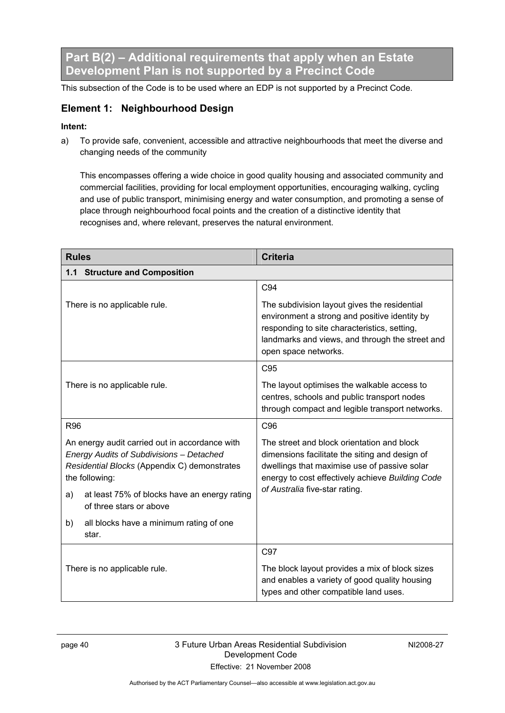**Part B(2) – Additional requirements that apply when an Estate Development Plan is not supported by a Precinct Code** 

This subsection of the Code is to be used where an EDP is not supported by a Precinct Code.

### **Element 1: Neighbourhood Design**

### **Intent:**

a) To provide safe, convenient, accessible and attractive neighbourhoods that meet the diverse and changing needs of the community

This encompasses offering a wide choice in good quality housing and associated community and commercial facilities, providing for local employment opportunities, encouraging walking, cycling and use of public transport, minimising energy and water consumption, and promoting a sense of place through neighbourhood focal points and the creation of a distinctive identity that recognises and, where relevant, preserves the natural environment.

| <b>Rules</b>                                                                                                                                                 | <b>Criteria</b>                                                                                                                                                                                                          |  |
|--------------------------------------------------------------------------------------------------------------------------------------------------------------|--------------------------------------------------------------------------------------------------------------------------------------------------------------------------------------------------------------------------|--|
| 1.1 Structure and Composition                                                                                                                                |                                                                                                                                                                                                                          |  |
|                                                                                                                                                              | C94                                                                                                                                                                                                                      |  |
| There is no applicable rule.                                                                                                                                 | The subdivision layout gives the residential<br>environment a strong and positive identity by<br>responding to site characteristics, setting,<br>landmarks and views, and through the street and<br>open space networks. |  |
|                                                                                                                                                              | C <sub>95</sub>                                                                                                                                                                                                          |  |
| There is no applicable rule.                                                                                                                                 | The layout optimises the walkable access to<br>centres, schools and public transport nodes<br>through compact and legible transport networks.                                                                            |  |
| <b>R96</b>                                                                                                                                                   | C <sub>96</sub>                                                                                                                                                                                                          |  |
| An energy audit carried out in accordance with<br>Energy Audits of Subdivisions - Detached<br>Residential Blocks (Appendix C) demonstrates<br>the following: | The street and block orientation and block<br>dimensions facilitate the siting and design of<br>dwellings that maximise use of passive solar<br>energy to cost effectively achieve Building Code                         |  |
| at least 75% of blocks have an energy rating<br>a)<br>of three stars or above                                                                                | of Australia five-star rating.                                                                                                                                                                                           |  |
| all blocks have a minimum rating of one<br>b)<br>star.                                                                                                       |                                                                                                                                                                                                                          |  |
|                                                                                                                                                              | C97                                                                                                                                                                                                                      |  |
| There is no applicable rule.                                                                                                                                 | The block layout provides a mix of block sizes<br>and enables a variety of good quality housing<br>types and other compatible land uses.                                                                                 |  |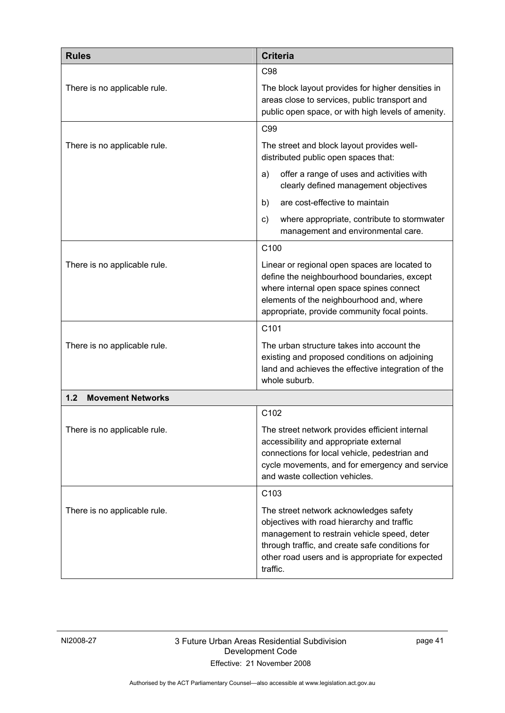| <b>Rules</b>                    | <b>Criteria</b>                                                                                                                                                                                                                                        |
|---------------------------------|--------------------------------------------------------------------------------------------------------------------------------------------------------------------------------------------------------------------------------------------------------|
|                                 | C <sub>98</sub>                                                                                                                                                                                                                                        |
| There is no applicable rule.    | The block layout provides for higher densities in<br>areas close to services, public transport and<br>public open space, or with high levels of amenity.                                                                                               |
|                                 | C <sub>99</sub>                                                                                                                                                                                                                                        |
| There is no applicable rule.    | The street and block layout provides well-<br>distributed public open spaces that:                                                                                                                                                                     |
|                                 | offer a range of uses and activities with<br>a)<br>clearly defined management objectives                                                                                                                                                               |
|                                 | are cost-effective to maintain<br>b)                                                                                                                                                                                                                   |
|                                 | where appropriate, contribute to stormwater<br>C)<br>management and environmental care.                                                                                                                                                                |
|                                 | C <sub>100</sub>                                                                                                                                                                                                                                       |
| There is no applicable rule.    | Linear or regional open spaces are located to<br>define the neighbourhood boundaries, except<br>where internal open space spines connect<br>elements of the neighbourhood and, where<br>appropriate, provide community focal points.                   |
|                                 | C <sub>101</sub>                                                                                                                                                                                                                                       |
| There is no applicable rule.    | The urban structure takes into account the<br>existing and proposed conditions on adjoining<br>land and achieves the effective integration of the<br>whole suburb.                                                                                     |
| 1.2<br><b>Movement Networks</b> |                                                                                                                                                                                                                                                        |
|                                 | C <sub>102</sub>                                                                                                                                                                                                                                       |
| There is no applicable rule.    | The street network provides efficient internal<br>accessibility and appropriate external<br>connections for local vehicle, pedestrian and<br>cycle movements, and for emergency and service<br>and waste collection vehicles.                          |
|                                 | C <sub>103</sub>                                                                                                                                                                                                                                       |
| There is no applicable rule.    | The street network acknowledges safety<br>objectives with road hierarchy and traffic<br>management to restrain vehicle speed, deter<br>through traffic, and create safe conditions for<br>other road users and is appropriate for expected<br>traffic. |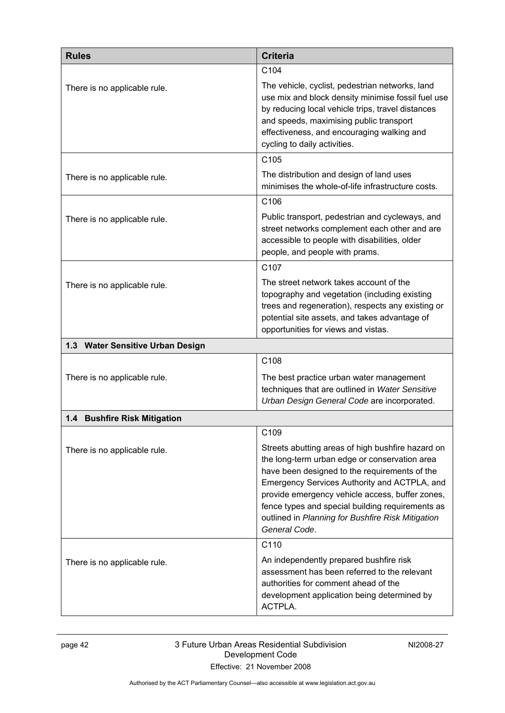| <b>Rules</b>                     | <b>Criteria</b>                                                                                                                                                                                                                                                                                                                                                                  |
|----------------------------------|----------------------------------------------------------------------------------------------------------------------------------------------------------------------------------------------------------------------------------------------------------------------------------------------------------------------------------------------------------------------------------|
|                                  | C <sub>104</sub>                                                                                                                                                                                                                                                                                                                                                                 |
| There is no applicable rule.     | The vehicle, cyclist, pedestrian networks, land<br>use mix and block density minimise fossil fuel use<br>by reducing local vehicle trips, travel distances<br>and speeds, maximising public transport<br>effectiveness, and encouraging walking and<br>cycling to daily activities.                                                                                              |
|                                  | C <sub>105</sub>                                                                                                                                                                                                                                                                                                                                                                 |
| There is no applicable rule.     | The distribution and design of land uses<br>minimises the whole-of-life infrastructure costs.                                                                                                                                                                                                                                                                                    |
|                                  | C <sub>106</sub>                                                                                                                                                                                                                                                                                                                                                                 |
| There is no applicable rule.     | Public transport, pedestrian and cycleways, and<br>street networks complement each other and are<br>accessible to people with disabilities, older<br>people, and people with prams.                                                                                                                                                                                              |
|                                  | C <sub>107</sub>                                                                                                                                                                                                                                                                                                                                                                 |
| There is no applicable rule.     | The street network takes account of the<br>topography and vegetation (including existing<br>trees and regeneration), respects any existing or<br>potential site assets, and takes advantage of<br>opportunities for views and vistas.                                                                                                                                            |
| 1.3 Water Sensitive Urban Design |                                                                                                                                                                                                                                                                                                                                                                                  |
|                                  | C <sub>108</sub>                                                                                                                                                                                                                                                                                                                                                                 |
| There is no applicable rule.     | The best practice urban water management<br>techniques that are outlined in Water Sensitive<br>Urban Design General Code are incorporated.                                                                                                                                                                                                                                       |
| 1.4 Bushfire Risk Mitigation     |                                                                                                                                                                                                                                                                                                                                                                                  |
|                                  | C109                                                                                                                                                                                                                                                                                                                                                                             |
| There is no applicable rule.     | Streets abutting areas of high bushfire hazard on<br>the long-term urban edge or conservation area<br>have been designed to the requirements of the<br>Emergency Services Authority and ACTPLA, and<br>provide emergency vehicle access, buffer zones,<br>fence types and special building requirements as<br>outlined in Planning for Bushfire Risk Mitigation<br>General Code. |
|                                  | C110                                                                                                                                                                                                                                                                                                                                                                             |
| There is no applicable rule.     | An independently prepared bushfire risk<br>assessment has been referred to the relevant<br>authorities for comment ahead of the<br>development application being determined by<br>ACTPLA.                                                                                                                                                                                        |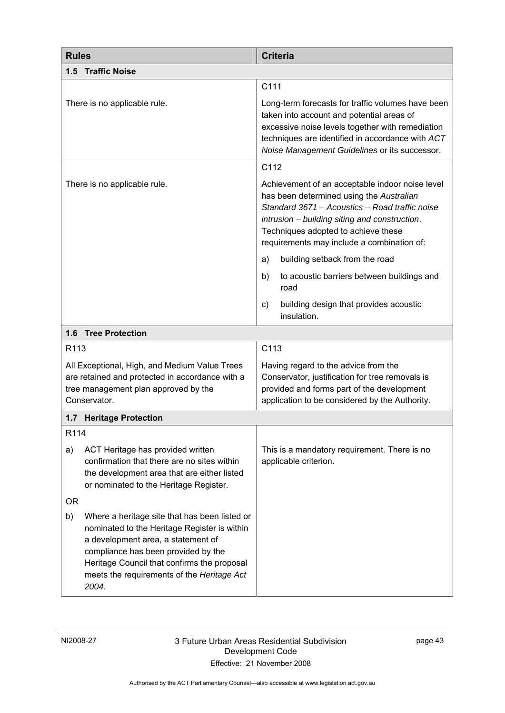| <b>Rules</b>                                                                                                                                                                                                                                                                           | <b>Criteria</b>                                                                                                                                                                                                                                                                     |  |  |  |  |  |  |
|----------------------------------------------------------------------------------------------------------------------------------------------------------------------------------------------------------------------------------------------------------------------------------------|-------------------------------------------------------------------------------------------------------------------------------------------------------------------------------------------------------------------------------------------------------------------------------------|--|--|--|--|--|--|
| 1.5 Traffic Noise                                                                                                                                                                                                                                                                      |                                                                                                                                                                                                                                                                                     |  |  |  |  |  |  |
|                                                                                                                                                                                                                                                                                        | C111                                                                                                                                                                                                                                                                                |  |  |  |  |  |  |
| There is no applicable rule.                                                                                                                                                                                                                                                           | Long-term forecasts for traffic volumes have been<br>taken into account and potential areas of<br>excessive noise levels together with remediation<br>techniques are identified in accordance with ACT<br>Noise Management Guidelines or its successor.                             |  |  |  |  |  |  |
|                                                                                                                                                                                                                                                                                        | C112                                                                                                                                                                                                                                                                                |  |  |  |  |  |  |
| There is no applicable rule.                                                                                                                                                                                                                                                           | Achievement of an acceptable indoor noise level<br>has been determined using the Australian<br>Standard 3671 - Acoustics - Road traffic noise<br>intrusion - building siting and construction.<br>Techniques adopted to achieve these<br>requirements may include a combination of: |  |  |  |  |  |  |
|                                                                                                                                                                                                                                                                                        | building setback from the road<br>a)                                                                                                                                                                                                                                                |  |  |  |  |  |  |
|                                                                                                                                                                                                                                                                                        | b)<br>to acoustic barriers between buildings and<br>road                                                                                                                                                                                                                            |  |  |  |  |  |  |
|                                                                                                                                                                                                                                                                                        | building design that provides acoustic<br>C)<br>insulation.                                                                                                                                                                                                                         |  |  |  |  |  |  |
| <b>Tree Protection</b><br>1.6                                                                                                                                                                                                                                                          |                                                                                                                                                                                                                                                                                     |  |  |  |  |  |  |
| R113                                                                                                                                                                                                                                                                                   | C113                                                                                                                                                                                                                                                                                |  |  |  |  |  |  |
| All Exceptional, High, and Medium Value Trees<br>are retained and protected in accordance with a<br>tree management plan approved by the<br>Conservator.                                                                                                                               | Having regard to the advice from the<br>Conservator, justification for tree removals is<br>provided and forms part of the development<br>application to be considered by the Authority.                                                                                             |  |  |  |  |  |  |
| 1.7 Heritage Protection                                                                                                                                                                                                                                                                |                                                                                                                                                                                                                                                                                     |  |  |  |  |  |  |
| R114                                                                                                                                                                                                                                                                                   |                                                                                                                                                                                                                                                                                     |  |  |  |  |  |  |
| ACT Heritage has provided written<br>a)<br>confirmation that there are no sites within<br>the development area that are either listed<br>or nominated to the Heritage Register.                                                                                                        | This is a mandatory requirement. There is no<br>applicable criterion.                                                                                                                                                                                                               |  |  |  |  |  |  |
| 0R                                                                                                                                                                                                                                                                                     |                                                                                                                                                                                                                                                                                     |  |  |  |  |  |  |
| b)<br>Where a heritage site that has been listed or<br>nominated to the Heritage Register is within<br>a development area, a statement of<br>compliance has been provided by the<br>Heritage Council that confirms the proposal<br>meets the requirements of the Heritage Act<br>2004. |                                                                                                                                                                                                                                                                                     |  |  |  |  |  |  |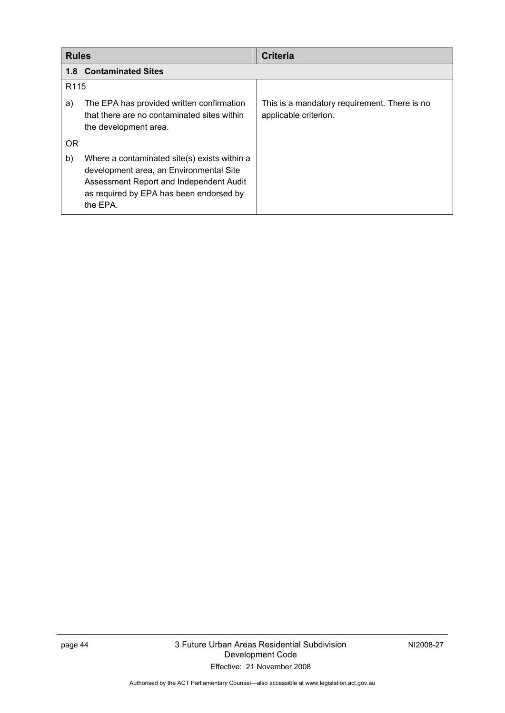| <b>Rules</b>     |                                                                                                                                                                                           | <b>Criteria</b>                                                       |  |  |  |  |  |  |
|------------------|-------------------------------------------------------------------------------------------------------------------------------------------------------------------------------------------|-----------------------------------------------------------------------|--|--|--|--|--|--|
|                  | <b>1.8 Contaminated Sites</b>                                                                                                                                                             |                                                                       |  |  |  |  |  |  |
| R <sub>115</sub> |                                                                                                                                                                                           |                                                                       |  |  |  |  |  |  |
| a)               | The EPA has provided written confirmation<br>that there are no contaminated sites within<br>the development area.                                                                         | This is a mandatory requirement. There is no<br>applicable criterion. |  |  |  |  |  |  |
| <b>OR</b>        |                                                                                                                                                                                           |                                                                       |  |  |  |  |  |  |
| b)               | Where a contaminated site(s) exists within a<br>development area, an Environmental Site<br>Assessment Report and Independent Audit<br>as required by EPA has been endorsed by<br>the EPA. |                                                                       |  |  |  |  |  |  |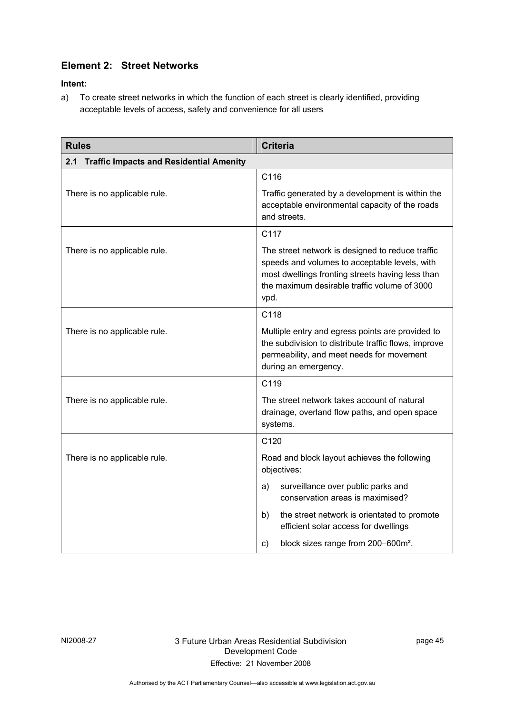### **Element 2: Street Networks**

**Intent:** 

a) To create street networks in which the function of each street is clearly identified, providing acceptable levels of access, safety and convenience for all users

| <b>Rules</b>                                | <b>Criteria</b>                                                                                                                                                                                               |  |  |  |  |  |  |
|---------------------------------------------|---------------------------------------------------------------------------------------------------------------------------------------------------------------------------------------------------------------|--|--|--|--|--|--|
| 2.1 Traffic Impacts and Residential Amenity |                                                                                                                                                                                                               |  |  |  |  |  |  |
|                                             | C116                                                                                                                                                                                                          |  |  |  |  |  |  |
| There is no applicable rule.                | Traffic generated by a development is within the<br>acceptable environmental capacity of the roads<br>and streets.                                                                                            |  |  |  |  |  |  |
|                                             | C117                                                                                                                                                                                                          |  |  |  |  |  |  |
| There is no applicable rule.                | The street network is designed to reduce traffic<br>speeds and volumes to acceptable levels, with<br>most dwellings fronting streets having less than<br>the maximum desirable traffic volume of 3000<br>vpd. |  |  |  |  |  |  |
|                                             | C118                                                                                                                                                                                                          |  |  |  |  |  |  |
| There is no applicable rule.                | Multiple entry and egress points are provided to<br>the subdivision to distribute traffic flows, improve<br>permeability, and meet needs for movement<br>during an emergency.                                 |  |  |  |  |  |  |
|                                             | C119                                                                                                                                                                                                          |  |  |  |  |  |  |
| There is no applicable rule.                | The street network takes account of natural<br>drainage, overland flow paths, and open space<br>systems.                                                                                                      |  |  |  |  |  |  |
|                                             | C120                                                                                                                                                                                                          |  |  |  |  |  |  |
| There is no applicable rule.                | Road and block layout achieves the following<br>objectives:                                                                                                                                                   |  |  |  |  |  |  |
|                                             | surveillance over public parks and<br>a)<br>conservation areas is maximised?                                                                                                                                  |  |  |  |  |  |  |
|                                             | the street network is orientated to promote<br>b)<br>efficient solar access for dwellings                                                                                                                     |  |  |  |  |  |  |
|                                             | block sizes range from 200-600m <sup>2</sup> .<br>$\mathsf{c})$                                                                                                                                               |  |  |  |  |  |  |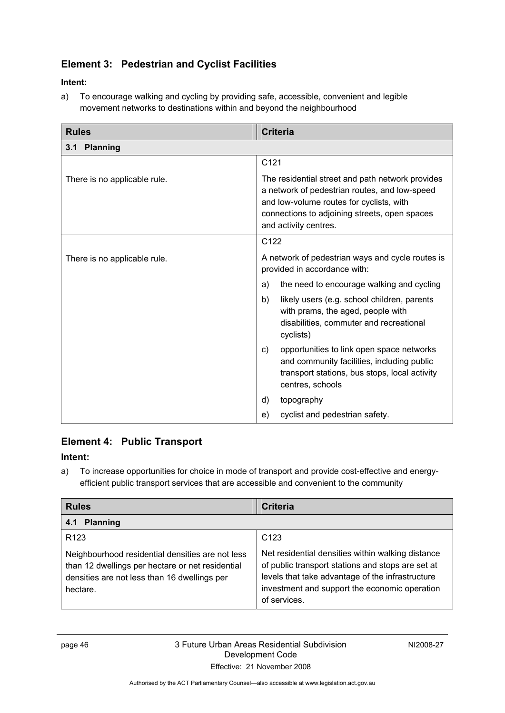### **Element 3: Pedestrian and Cyclist Facilities**

### **Intent:**

a) To encourage walking and cycling by providing safe, accessible, convenient and legible movement networks to destinations within and beyond the neighbourhood

| <b>Rules</b>                 | <b>Criteria</b>                                                                                                                                                                                                         |  |  |  |  |
|------------------------------|-------------------------------------------------------------------------------------------------------------------------------------------------------------------------------------------------------------------------|--|--|--|--|
| 3.1 Planning                 |                                                                                                                                                                                                                         |  |  |  |  |
|                              | C <sub>121</sub>                                                                                                                                                                                                        |  |  |  |  |
| There is no applicable rule. | The residential street and path network provides<br>a network of pedestrian routes, and low-speed<br>and low-volume routes for cyclists, with<br>connections to adjoining streets, open spaces<br>and activity centres. |  |  |  |  |
|                              | C <sub>122</sub>                                                                                                                                                                                                        |  |  |  |  |
| There is no applicable rule. | A network of pedestrian ways and cycle routes is<br>provided in accordance with:                                                                                                                                        |  |  |  |  |
|                              | the need to encourage walking and cycling<br>a)                                                                                                                                                                         |  |  |  |  |
|                              | likely users (e.g. school children, parents<br>b)<br>with prams, the aged, people with<br>disabilities, commuter and recreational<br>cyclists)                                                                          |  |  |  |  |
|                              | opportunities to link open space networks<br>C)<br>and community facilities, including public<br>transport stations, bus stops, local activity<br>centres, schools                                                      |  |  |  |  |
|                              | topography<br>d)                                                                                                                                                                                                        |  |  |  |  |
|                              | cyclist and pedestrian safety.<br>e)                                                                                                                                                                                    |  |  |  |  |

### **Element 4: Public Transport**

### **Intent:**

a) To increase opportunities for choice in mode of transport and provide cost-effective and energyefficient public transport services that are accessible and convenient to the community

| <b>Rules</b>                                                                                                                                                     | <b>Criteria</b>                                                                                                                                                                                                             |  |  |  |  |  |
|------------------------------------------------------------------------------------------------------------------------------------------------------------------|-----------------------------------------------------------------------------------------------------------------------------------------------------------------------------------------------------------------------------|--|--|--|--|--|
| <b>Planning</b><br>4.1                                                                                                                                           |                                                                                                                                                                                                                             |  |  |  |  |  |
| R <sub>123</sub>                                                                                                                                                 | C <sub>123</sub>                                                                                                                                                                                                            |  |  |  |  |  |
| Neighbourhood residential densities are not less<br>than 12 dwellings per hectare or net residential<br>densities are not less than 16 dwellings per<br>hectare. | Net residential densities within walking distance<br>of public transport stations and stops are set at<br>levels that take advantage of the infrastructure<br>investment and support the economic operation<br>of services. |  |  |  |  |  |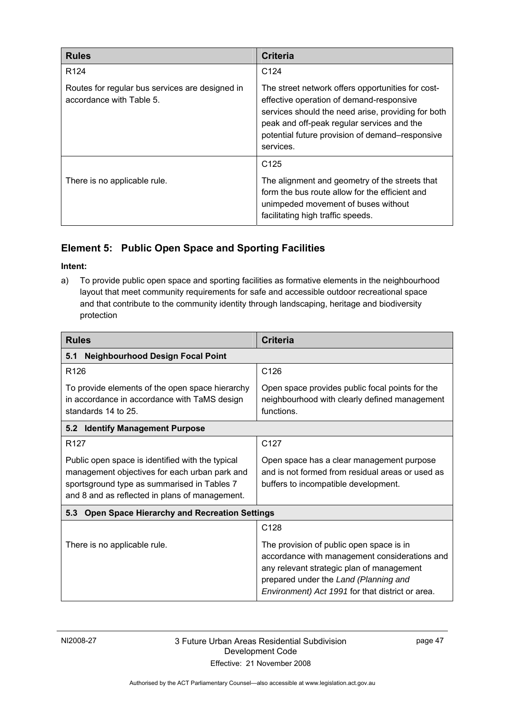| <b>Rules</b>                                                                | <b>Criteria</b>                                                                                                                                                                                                                                                   |  |  |  |  |  |
|-----------------------------------------------------------------------------|-------------------------------------------------------------------------------------------------------------------------------------------------------------------------------------------------------------------------------------------------------------------|--|--|--|--|--|
| R <sub>124</sub>                                                            | C <sub>124</sub>                                                                                                                                                                                                                                                  |  |  |  |  |  |
| Routes for regular bus services are designed in<br>accordance with Table 5. | The street network offers opportunities for cost-<br>effective operation of demand-responsive<br>services should the need arise, providing for both<br>peak and off-peak regular services and the<br>potential future provision of demand–responsive<br>services. |  |  |  |  |  |
| There is no applicable rule.                                                | C <sub>125</sub><br>The alignment and geometry of the streets that<br>form the bus route allow for the efficient and<br>unimpeded movement of buses without<br>facilitating high traffic speeds.                                                                  |  |  |  |  |  |

### **Element 5: Public Open Space and Sporting Facilities**

### **Intent:**

a) To provide public open space and sporting facilities as formative elements in the neighbourhood layout that meet community requirements for safe and accessible outdoor recreational space and that contribute to the community identity through landscaping, heritage and biodiversity protection

| <b>Rules</b>                                                                                                                                                                                       | Criteria                                                                                                                                                                                                                                                |  |  |  |  |  |
|----------------------------------------------------------------------------------------------------------------------------------------------------------------------------------------------------|---------------------------------------------------------------------------------------------------------------------------------------------------------------------------------------------------------------------------------------------------------|--|--|--|--|--|
| <b>Neighbourhood Design Focal Point</b><br>5.1                                                                                                                                                     |                                                                                                                                                                                                                                                         |  |  |  |  |  |
| R <sub>126</sub>                                                                                                                                                                                   | C <sub>126</sub>                                                                                                                                                                                                                                        |  |  |  |  |  |
| To provide elements of the open space hierarchy<br>in accordance in accordance with TaMS design<br>standards 14 to 25.                                                                             | Open space provides public focal points for the<br>neighbourhood with clearly defined management<br>functions.                                                                                                                                          |  |  |  |  |  |
| 5.2 Identify Management Purpose                                                                                                                                                                    |                                                                                                                                                                                                                                                         |  |  |  |  |  |
| R <sub>127</sub>                                                                                                                                                                                   | C127                                                                                                                                                                                                                                                    |  |  |  |  |  |
| Public open space is identified with the typical<br>management objectives for each urban park and<br>sportsground type as summarised in Tables 7<br>and 8 and as reflected in plans of management. | Open space has a clear management purpose<br>and is not formed from residual areas or used as<br>buffers to incompatible development.                                                                                                                   |  |  |  |  |  |
| <b>Open Space Hierarchy and Recreation Settings</b><br>5.3                                                                                                                                         |                                                                                                                                                                                                                                                         |  |  |  |  |  |
| There is no applicable rule.                                                                                                                                                                       | C <sub>128</sub><br>The provision of public open space is in<br>accordance with management considerations and<br>any relevant strategic plan of management<br>prepared under the Land (Planning and<br>Environment) Act 1991 for that district or area. |  |  |  |  |  |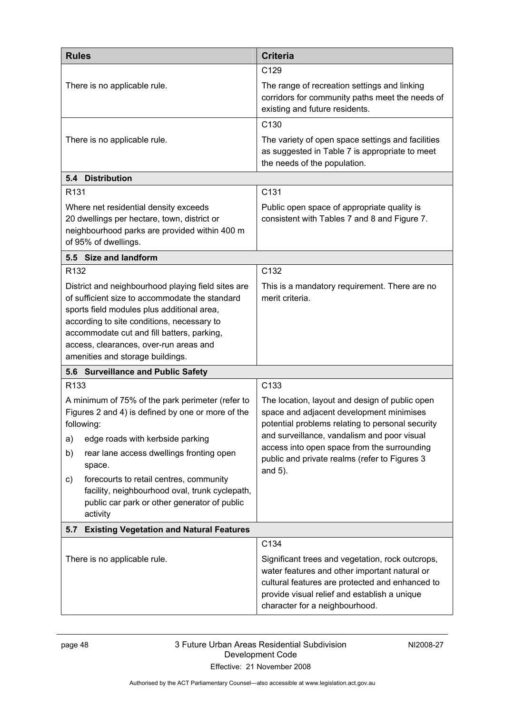| <b>Rules</b>                                                                                                                                                                                                                                                                                                                                                                             | <b>Criteria</b>                                                                                                                                                                                                                                                                                             |  |  |  |  |  |
|------------------------------------------------------------------------------------------------------------------------------------------------------------------------------------------------------------------------------------------------------------------------------------------------------------------------------------------------------------------------------------------|-------------------------------------------------------------------------------------------------------------------------------------------------------------------------------------------------------------------------------------------------------------------------------------------------------------|--|--|--|--|--|
|                                                                                                                                                                                                                                                                                                                                                                                          | C <sub>129</sub>                                                                                                                                                                                                                                                                                            |  |  |  |  |  |
| There is no applicable rule.                                                                                                                                                                                                                                                                                                                                                             | The range of recreation settings and linking<br>corridors for community paths meet the needs of<br>existing and future residents.                                                                                                                                                                           |  |  |  |  |  |
|                                                                                                                                                                                                                                                                                                                                                                                          | C <sub>130</sub>                                                                                                                                                                                                                                                                                            |  |  |  |  |  |
| There is no applicable rule.                                                                                                                                                                                                                                                                                                                                                             | The variety of open space settings and facilities<br>as suggested in Table 7 is appropriate to meet<br>the needs of the population.                                                                                                                                                                         |  |  |  |  |  |
| 5.4 Distribution                                                                                                                                                                                                                                                                                                                                                                         |                                                                                                                                                                                                                                                                                                             |  |  |  |  |  |
| R <sub>131</sub>                                                                                                                                                                                                                                                                                                                                                                         | C131                                                                                                                                                                                                                                                                                                        |  |  |  |  |  |
| Where net residential density exceeds<br>20 dwellings per hectare, town, district or<br>neighbourhood parks are provided within 400 m<br>of 95% of dwellings.                                                                                                                                                                                                                            | Public open space of appropriate quality is<br>consistent with Tables 7 and 8 and Figure 7.                                                                                                                                                                                                                 |  |  |  |  |  |
| 5.5 Size and landform                                                                                                                                                                                                                                                                                                                                                                    |                                                                                                                                                                                                                                                                                                             |  |  |  |  |  |
| R <sub>132</sub>                                                                                                                                                                                                                                                                                                                                                                         | C132                                                                                                                                                                                                                                                                                                        |  |  |  |  |  |
| District and neighbourhood playing field sites are<br>of sufficient size to accommodate the standard<br>sports field modules plus additional area,<br>according to site conditions, necessary to<br>accommodate cut and fill batters, parking,<br>access, clearances, over-run areas and<br>amenities and storage buildings.                                                             | This is a mandatory requirement. There are no<br>merit criteria.                                                                                                                                                                                                                                            |  |  |  |  |  |
| 5.6 Surveillance and Public Safety                                                                                                                                                                                                                                                                                                                                                       |                                                                                                                                                                                                                                                                                                             |  |  |  |  |  |
| R <sub>133</sub>                                                                                                                                                                                                                                                                                                                                                                         | C <sub>133</sub>                                                                                                                                                                                                                                                                                            |  |  |  |  |  |
| A minimum of 75% of the park perimeter (refer to<br>Figures 2 and 4) is defined by one or more of the<br>following:<br>edge roads with kerbside parking<br>a)<br>rear lane access dwellings fronting open<br>b)<br>space.<br>forecourts to retail centres, community<br>C)<br>facility, neighbourhood oval, trunk cyclepath,<br>public car park or other generator of public<br>activity | The location, layout and design of public open<br>space and adjacent development minimises<br>potential problems relating to personal security<br>and surveillance, vandalism and poor visual<br>access into open space from the surrounding<br>public and private realms (refer to Figures 3<br>and $5$ ). |  |  |  |  |  |
| <b>Existing Vegetation and Natural Features</b><br>5.7                                                                                                                                                                                                                                                                                                                                   |                                                                                                                                                                                                                                                                                                             |  |  |  |  |  |
| There is no applicable rule.                                                                                                                                                                                                                                                                                                                                                             | C134<br>Significant trees and vegetation, rock outcrops,<br>water features and other important natural or<br>cultural features are protected and enhanced to<br>provide visual relief and establish a unique<br>character for a neighbourhood.                                                              |  |  |  |  |  |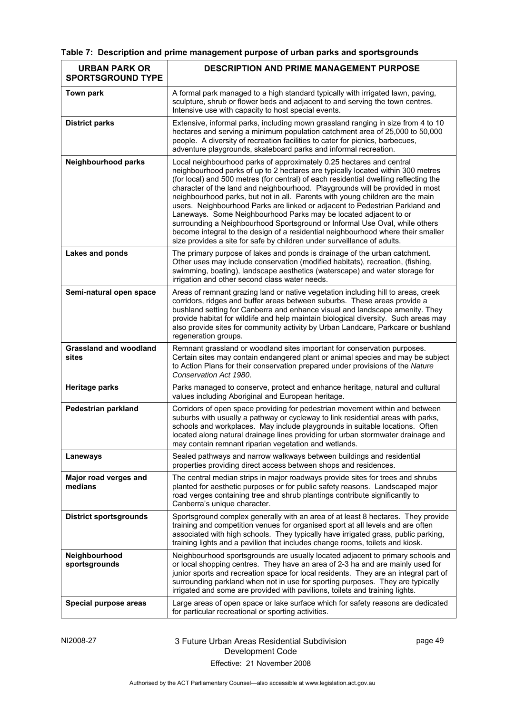|  |  |  |  |  |  |  | Table 7: Description and prime management purpose of urban parks and sportsgrounds |
|--|--|--|--|--|--|--|------------------------------------------------------------------------------------|
|--|--|--|--|--|--|--|------------------------------------------------------------------------------------|

| <b>URBAN PARK OR</b><br><b>SPORTSGROUND TYPE</b> | <b>DESCRIPTION AND PRIME MANAGEMENT PURPOSE</b>                                                                                                                                                                                                                                                                                                                                                                                                                                                                                                                                                                                                                                                                                                                                                                     |
|--------------------------------------------------|---------------------------------------------------------------------------------------------------------------------------------------------------------------------------------------------------------------------------------------------------------------------------------------------------------------------------------------------------------------------------------------------------------------------------------------------------------------------------------------------------------------------------------------------------------------------------------------------------------------------------------------------------------------------------------------------------------------------------------------------------------------------------------------------------------------------|
| Town park                                        | A formal park managed to a high standard typically with irrigated lawn, paving,<br>sculpture, shrub or flower beds and adjacent to and serving the town centres.<br>Intensive use with capacity to host special events.                                                                                                                                                                                                                                                                                                                                                                                                                                                                                                                                                                                             |
| <b>District parks</b>                            | Extensive, informal parks, including mown grassland ranging in size from 4 to 10<br>hectares and serving a minimum population catchment area of 25,000 to 50,000<br>people. A diversity of recreation facilities to cater for picnics, barbecues,<br>adventure playgrounds, skateboard parks and informal recreation.                                                                                                                                                                                                                                                                                                                                                                                                                                                                                               |
| Neighbourhood parks                              | Local neighbourhood parks of approximately 0.25 hectares and central<br>neighbourhood parks of up to 2 hectares are typically located within 300 metres<br>(for local) and 500 metres (for central) of each residential dwelling reflecting the<br>character of the land and neighbourhood. Playgrounds will be provided in most<br>neighbourhood parks, but not in all. Parents with young children are the main<br>users. Neighbourhood Parks are linked or adjacent to Pedestrian Parkland and<br>Laneways. Some Neighbourhood Parks may be located adjacent to or<br>surrounding a Neighbourhood Sportsground or Informal Use Oval, while others<br>become integral to the design of a residential neighbourhood where their smaller<br>size provides a site for safe by children under surveillance of adults. |
| <b>Lakes and ponds</b>                           | The primary purpose of lakes and ponds is drainage of the urban catchment.<br>Other uses may include conservation (modified habitats), recreation, (fishing,<br>swimming, boating), landscape aesthetics (waterscape) and water storage for<br>irrigation and other second class water needs.                                                                                                                                                                                                                                                                                                                                                                                                                                                                                                                       |
| Semi-natural open space                          | Areas of remnant grazing land or native vegetation including hill to areas, creek<br>corridors, ridges and buffer areas between suburbs. These areas provide a<br>bushland setting for Canberra and enhance visual and landscape amenity. They<br>provide habitat for wildlife and help maintain biological diversity. Such areas may<br>also provide sites for community activity by Urban Landcare, Parkcare or bushland<br>regeneration groups.                                                                                                                                                                                                                                                                                                                                                                  |
| <b>Grassland and woodland</b><br>sites           | Remnant grassland or woodland sites important for conservation purposes.<br>Certain sites may contain endangered plant or animal species and may be subject<br>to Action Plans for their conservation prepared under provisions of the Nature<br>Conservation Act 1980.                                                                                                                                                                                                                                                                                                                                                                                                                                                                                                                                             |
| <b>Heritage parks</b>                            | Parks managed to conserve, protect and enhance heritage, natural and cultural<br>values including Aboriginal and European heritage.                                                                                                                                                                                                                                                                                                                                                                                                                                                                                                                                                                                                                                                                                 |
| <b>Pedestrian parkland</b>                       | Corridors of open space providing for pedestrian movement within and between<br>suburbs with usually a pathway or cycleway to link residential areas with parks,<br>schools and workplaces. May include playgrounds in suitable locations. Often<br>located along natural drainage lines providing for urban stormwater drainage and<br>may contain remnant riparian vegetation and wetlands.                                                                                                                                                                                                                                                                                                                                                                                                                       |
| Laneways                                         | Sealed pathways and narrow walkways between buildings and residential<br>properties providing direct access between shops and residences.                                                                                                                                                                                                                                                                                                                                                                                                                                                                                                                                                                                                                                                                           |
| Major road verges and<br>medians                 | The central median strips in major roadways provide sites for trees and shrubs<br>planted for aesthetic purposes or for public safety reasons. Landscaped major<br>road verges containing tree and shrub plantings contribute significantly to<br>Canberra's unique character.                                                                                                                                                                                                                                                                                                                                                                                                                                                                                                                                      |
| <b>District sportsgrounds</b>                    | Sportsground complex generally with an area of at least 8 hectares. They provide<br>training and competition venues for organised sport at all levels and are often<br>associated with high schools. They typically have irrigated grass, public parking,<br>training lights and a pavilion that includes change rooms, toilets and kiosk.                                                                                                                                                                                                                                                                                                                                                                                                                                                                          |
| Neighbourhood<br>sportsgrounds                   | Neighbourhood sportsgrounds are usually located adjacent to primary schools and<br>or local shopping centres. They have an area of 2-3 ha and are mainly used for<br>junior sports and recreation space for local residents. They are an integral part of<br>surrounding parkland when not in use for sporting purposes. They are typically<br>irrigated and some are provided with pavilions, toilets and training lights.                                                                                                                                                                                                                                                                                                                                                                                         |
| Special purpose areas                            | Large areas of open space or lake surface which for safety reasons are dedicated<br>for particular recreational or sporting activities.                                                                                                                                                                                                                                                                                                                                                                                                                                                                                                                                                                                                                                                                             |

### NI2008-27 3 Future Urban Areas Residential Subdivision Development Code Effective: 21 November 2008

page 49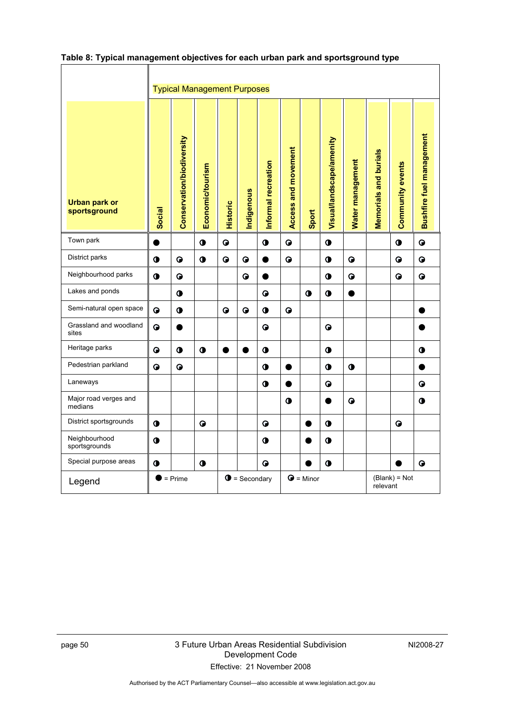|                                      |               | <b>Typical Management Purposes</b> |                  |                 |                       |                     |                     |                    |                          |                  |                       |                         |                                 |
|--------------------------------------|---------------|------------------------------------|------------------|-----------------|-----------------------|---------------------|---------------------|--------------------|--------------------------|------------------|-----------------------|-------------------------|---------------------------------|
| <b>Urban park or</b><br>sportsground | <b>Social</b> | Conservation/biodiversity          | Economic/tourism | <b>Historic</b> | Indigenous            | Informal recreation | Access and movement | Sport              | Visual/landscape/amenity | Water management | Memorials and burials | <b>Community events</b> | <b>Bushfire fuel management</b> |
| Town park                            |               |                                    | $\bullet$        | $\bullet$       |                       | $\bullet$           | ●                   |                    | $\bullet$                |                  |                       | $\bullet$               | $\bullet$                       |
| District parks                       | $\bullet$     | $\bullet$                          | $\bullet$        | $\bullet$       | $\bullet$             |                     | $\bullet$           |                    | $\bullet$                | $\bullet$        |                       | $\bullet$               | ◒                               |
| Neighbourhood parks                  | $\bullet$     | $\bullet$                          |                  |                 | $\bullet$             |                     |                     |                    | 0                        | $\bullet$        |                       | G                       | $\bullet$                       |
| Lakes and ponds                      |               | $\bullet$                          |                  |                 |                       | $\bullet$           |                     | $\bullet$          | $\bullet$                |                  |                       |                         |                                 |
| Semi-natural open space              | $\bullet$     | $\bullet$                          |                  | $\bullet$       | $\bullet$             | $\bullet$           | $\bullet$           |                    |                          |                  |                       |                         |                                 |
| Grassland and woodland<br>sites      | $\bullet$     |                                    |                  |                 |                       | $\bullet$           |                     |                    | G                        |                  |                       |                         |                                 |
| Heritage parks                       | $\bullet$     | $\bullet$                          | $\bullet$        | Œ               |                       | $\bullet$           |                     |                    | $\bullet$                |                  |                       |                         | $\ddot{\textbf{0}}$             |
| Pedestrian parkland                  | $\bullet$     | $\bullet$                          |                  |                 |                       | $\bullet$           |                     |                    | 0                        | $\bullet$        |                       |                         |                                 |
| Laneways                             |               |                                    |                  |                 |                       | $\bullet$           |                     |                    | $\bullet$                |                  |                       |                         | $\bullet$                       |
| Major road verges and<br>medians     |               |                                    |                  |                 |                       |                     | $\bullet$           |                    |                          | $\bullet$        |                       |                         | $\bullet$                       |
| District sportsgrounds               | $\bullet$     |                                    | $\bullet$        |                 |                       | $\bullet$           |                     |                    | $\bullet$                |                  |                       | $\bullet$               |                                 |
| Neighbourhood<br>sportsgrounds       | $\bullet$     |                                    |                  |                 |                       | $\bullet$           |                     |                    | $\bullet$                |                  |                       |                         |                                 |
| Special purpose areas                | $\bullet$     |                                    | $\bullet$        |                 |                       | $\bullet$           |                     |                    | $\bullet$                |                  |                       |                         | $\bullet$                       |
| Legend                               | D             | $= Prime$                          |                  |                 | $\bullet$ = Secondary |                     |                     | $\bigcirc$ = Minor |                          |                  | relevant              | (Blank) = Not           |                                 |

### **Table 8: Typical management objectives for each urban park and sportsground type**

 $\Gamma$ 

٦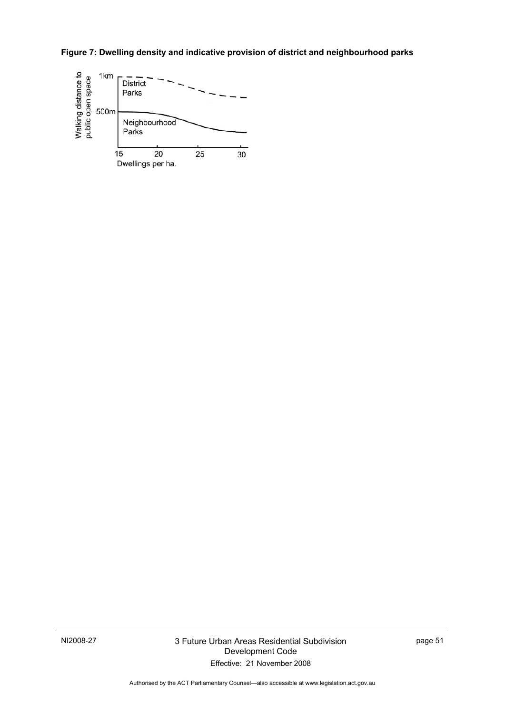**Figure 7: Dwelling density and indicative provision of district and neighbourhood parks** 



page 51

Authorised by the ACT Parliamentary Counsel—also accessible at www.legislation.act.gov.au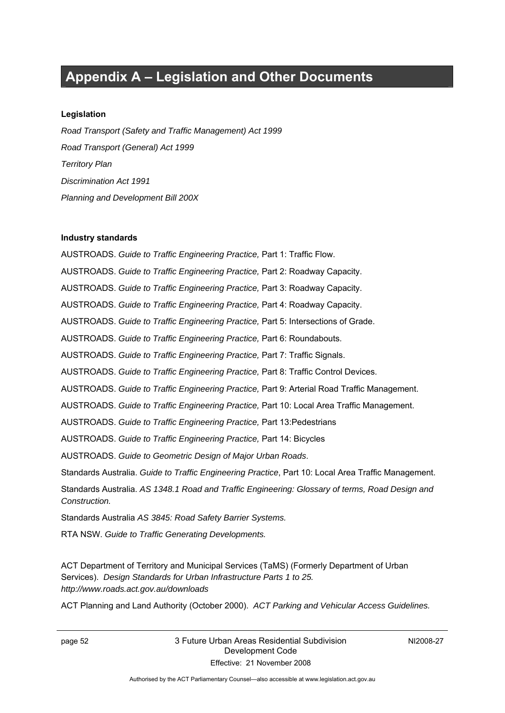### **Appendix A – Legislation and Other Documents**

#### **Legislation**

*Road Transport (Safety and Traffic Management) Act 1999 Road Transport (General) Act 1999 Territory Plan Discrimination Act 1991 Planning and Development Bill 200X* 

#### **Industry standards**

AUSTROADS. *Guide to Traffic Engineering Practice,* Part 1: Traffic Flow. AUSTROADS. *Guide to Traffic Engineering Practice,* Part 2: Roadway Capacity. AUSTROADS. *Guide to Traffic Engineering Practice,* Part 3: Roadway Capacity. AUSTROADS. *Guide to Traffic Engineering Practice,* Part 4: Roadway Capacity. AUSTROADS. *Guide to Traffic Engineering Practice,* Part 5: Intersections of Grade. AUSTROADS. *Guide to Traffic Engineering Practice,* Part 6: Roundabouts. AUSTROADS. *Guide to Traffic Engineering Practice,* Part 7: Traffic Signals. AUSTROADS. *Guide to Traffic Engineering Practice,* Part 8: Traffic Control Devices. AUSTROADS. *Guide to Traffic Engineering Practice,* Part 9: Arterial Road Traffic Management. AUSTROADS. *Guide to Traffic Engineering Practice,* Part 10: Local Area Traffic Management. AUSTROADS. *Guide to Traffic Engineering Practice,* Part 13:Pedestrians AUSTROADS. *Guide to Traffic Engineering Practice,* Part 14: Bicycles AUSTROADS. *Guide to Geometric Design of Major Urban Roads*. Standards Australia. *Guide to Traffic Engineering Practice*, Part 10: Local Area Traffic Management. Standards Australia. *AS 1348.1 Road and Traffic Engineering: Glossary of terms, Road Design and Construction.*  Standards Australia *AS 3845: Road Safety Barrier Systems.* RTA NSW. *Guide to Traffic Generating Developments.* 

ACT Department of Territory and Municipal Services (TaMS) (Formerly Department of Urban Services). *Design Standards for Urban Infrastructure Parts 1 to 25. http://www.roads.act.gov.au/downloads*

ACT Planning and Land Authority (October 2000). *ACT Parking and Vehicular Access Guidelines.*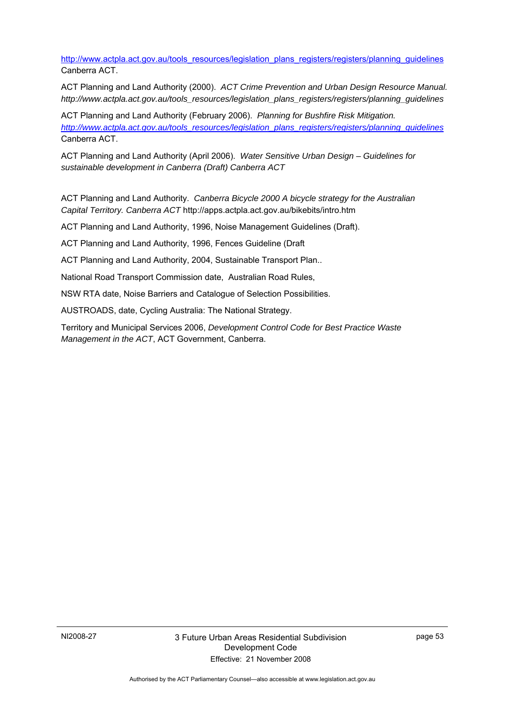http://www.actpla.act.gov.au/tools\_resources/legislation\_plans\_registers/registers/planning\_guidelines Canberra ACT.

ACT Planning and Land Authority (2000). *ACT Crime Prevention and Urban Design Resource Manual. http://www.actpla.act.gov.au/tools\_resources/legislation\_plans\_registers/registers/planning\_guidelines*

ACT Planning and Land Authority (February 2006). *Planning for Bushfire Risk Mitigation. http://www.actpla.act.gov.au/tools\_resources/legislation\_plans\_registers/registers/planning\_guidelines* Canberra ACT.

ACT Planning and Land Authority (April 2006). *Water Sensitive Urban Design – Guidelines for sustainable development in Canberra (Draft) Canberra ACT* 

ACT Planning and Land Authority. *Canberra Bicycle 2000 A bicycle strategy for the Australian Capital Territory. Canberra ACT* http://apps.actpla.act.gov.au/bikebits/intro.htm

ACT Planning and Land Authority, 1996, Noise Management Guidelines (Draft).

ACT Planning and Land Authority, 1996, Fences Guideline (Draft

ACT Planning and Land Authority, 2004, Sustainable Transport Plan..

National Road Transport Commission date, Australian Road Rules,

NSW RTA date, Noise Barriers and Catalogue of Selection Possibilities.

AUSTROADS, date, Cycling Australia: The National Strategy.

Territory and Municipal Services 2006, *Development Control Code for Best Practice Waste Management in the ACT*, ACT Government, Canberra.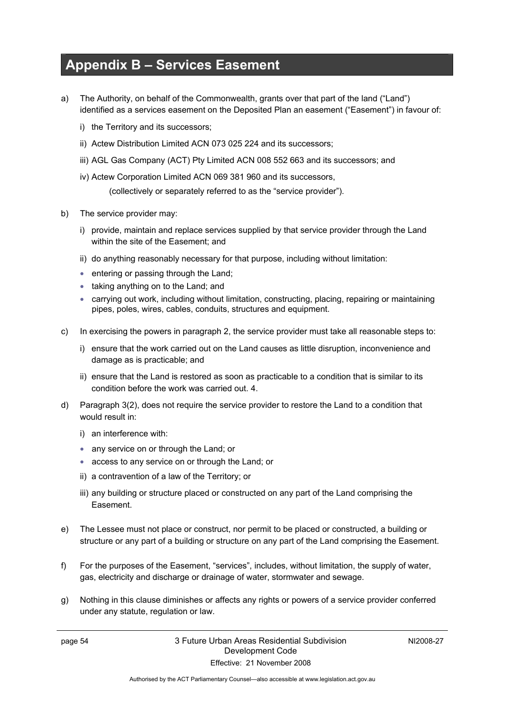### **Appendix B – Services Easement**

- a) The Authority, on behalf of the Commonwealth, grants over that part of the land ("Land") identified as a services easement on the Deposited Plan an easement ("Easement") in favour of:
	- i) the Territory and its successors;
	- ii) Actew Distribution Limited ACN 073 025 224 and its successors;
	- iii) AGL Gas Company (ACT) Pty Limited ACN 008 552 663 and its successors; and
	- iv) Actew Corporation Limited ACN 069 381 960 and its successors,

(collectively or separately referred to as the "service provider").

- b) The service provider may:
	- i) provide, maintain and replace services supplied by that service provider through the Land within the site of the Easement; and
	- ii) do anything reasonably necessary for that purpose, including without limitation:
	- entering or passing through the Land;
	- taking anything on to the Land; and
	- carrying out work, including without limitation, constructing, placing, repairing or maintaining pipes, poles, wires, cables, conduits, structures and equipment.
- c) In exercising the powers in paragraph 2, the service provider must take all reasonable steps to:
	- i) ensure that the work carried out on the Land causes as little disruption, inconvenience and damage as is practicable; and
	- ii) ensure that the Land is restored as soon as practicable to a condition that is similar to its condition before the work was carried out. 4.
- d) Paragraph 3(2), does not require the service provider to restore the Land to a condition that would result in:
	- i) an interference with:
	- any service on or through the Land; or
	- access to any service on or through the Land; or
	- ii) a contravention of a law of the Territory; or
	- iii) any building or structure placed or constructed on any part of the Land comprising the Easement.
- e) The Lessee must not place or construct, nor permit to be placed or constructed, a building or structure or any part of a building or structure on any part of the Land comprising the Easement.
- f) For the purposes of the Easement, "services", includes, without limitation, the supply of water, gas, electricity and discharge or drainage of water, stormwater and sewage.
- g) Nothing in this clause diminishes or affects any rights or powers of a service provider conferred under any statute, regulation or law.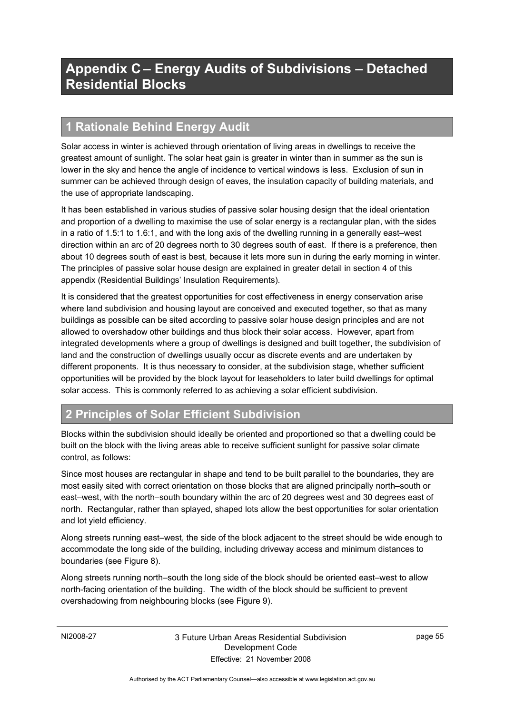### **Appendix C – Energy Audits of Subdivisions – Detached Residential Blocks**

### **1 Rationale Behind Energy Audit**

Solar access in winter is achieved through orientation of living areas in dwellings to receive the greatest amount of sunlight. The solar heat gain is greater in winter than in summer as the sun is lower in the sky and hence the angle of incidence to vertical windows is less. Exclusion of sun in summer can be achieved through design of eaves, the insulation capacity of building materials, and the use of appropriate landscaping.

It has been established in various studies of passive solar housing design that the ideal orientation and proportion of a dwelling to maximise the use of solar energy is a rectangular plan, with the sides in a ratio of 1.5:1 to 1.6:1, and with the long axis of the dwelling running in a generally east–west direction within an arc of 20 degrees north to 30 degrees south of east. If there is a preference, then about 10 degrees south of east is best, because it lets more sun in during the early morning in winter. The principles of passive solar house design are explained in greater detail in section 4 of this appendix (Residential Buildings' Insulation Requirements).

It is considered that the greatest opportunities for cost effectiveness in energy conservation arise where land subdivision and housing layout are conceived and executed together, so that as many buildings as possible can be sited according to passive solar house design principles and are not allowed to overshadow other buildings and thus block their solar access. However, apart from integrated developments where a group of dwellings is designed and built together, the subdivision of land and the construction of dwellings usually occur as discrete events and are undertaken by different proponents. It is thus necessary to consider, at the subdivision stage, whether sufficient opportunities will be provided by the block layout for leaseholders to later build dwellings for optimal solar access. This is commonly referred to as achieving a solar efficient subdivision.

### **2 Principles of Solar Efficient Subdivision**

Blocks within the subdivision should ideally be oriented and proportioned so that a dwelling could be built on the block with the living areas able to receive sufficient sunlight for passive solar climate control, as follows:

Since most houses are rectangular in shape and tend to be built parallel to the boundaries, they are most easily sited with correct orientation on those blocks that are aligned principally north–south or east–west, with the north–south boundary within the arc of 20 degrees west and 30 degrees east of north. Rectangular, rather than splayed, shaped lots allow the best opportunities for solar orientation and lot yield efficiency.

Along streets running east–west, the side of the block adjacent to the street should be wide enough to accommodate the long side of the building, including driveway access and minimum distances to boundaries (see Figure 8).

Along streets running north–south the long side of the block should be oriented east–west to allow north-facing orientation of the building. The width of the block should be sufficient to prevent overshadowing from neighbouring blocks (see Figure 9).

page 55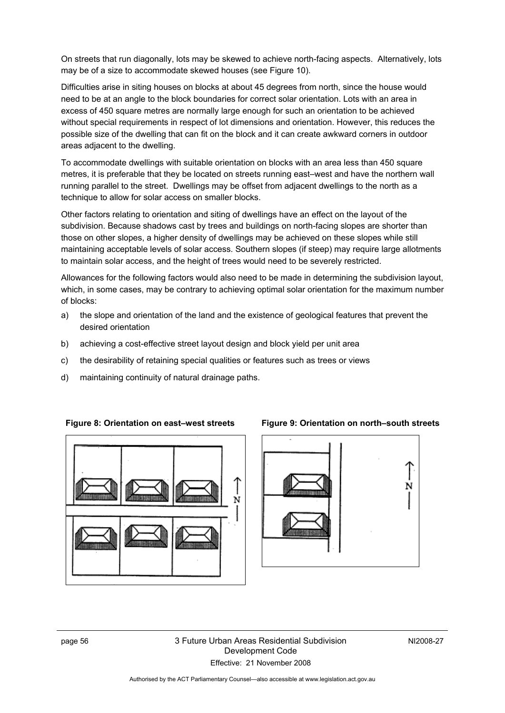On streets that run diagonally, lots may be skewed to achieve north-facing aspects. Alternatively, lots may be of a size to accommodate skewed houses (see Figure 10).

Difficulties arise in siting houses on blocks at about 45 degrees from north, since the house would need to be at an angle to the block boundaries for correct solar orientation. Lots with an area in excess of 450 square metres are normally large enough for such an orientation to be achieved without special requirements in respect of lot dimensions and orientation. However, this reduces the possible size of the dwelling that can fit on the block and it can create awkward corners in outdoor areas adjacent to the dwelling.

To accommodate dwellings with suitable orientation on blocks with an area less than 450 square metres, it is preferable that they be located on streets running east–west and have the northern wall running parallel to the street. Dwellings may be offset from adjacent dwellings to the north as a technique to allow for solar access on smaller blocks.

Other factors relating to orientation and siting of dwellings have an effect on the layout of the subdivision. Because shadows cast by trees and buildings on north-facing slopes are shorter than those on other slopes, a higher density of dwellings may be achieved on these slopes while still maintaining acceptable levels of solar access. Southern slopes (if steep) may require large allotments to maintain solar access, and the height of trees would need to be severely restricted.

Allowances for the following factors would also need to be made in determining the subdivision layout, which, in some cases, may be contrary to achieving optimal solar orientation for the maximum number of blocks:

- a) the slope and orientation of the land and the existence of geological features that prevent the desired orientation
- b) achieving a cost-effective street layout design and block yield per unit area
- c) the desirability of retaining special qualities or features such as trees or views
- d) maintaining continuity of natural drainage paths.





### **Figure 8: Orientation on east–west streets Figure 9: Orientation on north–south streets**

page 56 3 Future Urban Areas Residential Subdivision Development Code Effective: 21 November 2008

NI2008-27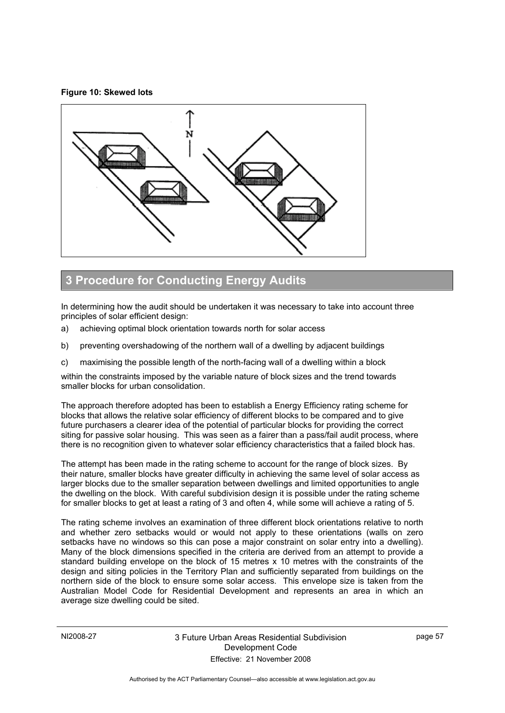#### **Figure 10: Skewed lots**



### **3 Procedure for Conducting Energy Audits**

In determining how the audit should be undertaken it was necessary to take into account three principles of solar efficient design:

- a) achieving optimal block orientation towards north for solar access
- b) preventing overshadowing of the northern wall of a dwelling by adjacent buildings
- c) maximising the possible length of the north-facing wall of a dwelling within a block

within the constraints imposed by the variable nature of block sizes and the trend towards smaller blocks for urban consolidation.

The approach therefore adopted has been to establish a Energy Efficiency rating scheme for blocks that allows the relative solar efficiency of different blocks to be compared and to give future purchasers a clearer idea of the potential of particular blocks for providing the correct siting for passive solar housing. This was seen as a fairer than a pass/fail audit process, where there is no recognition given to whatever solar efficiency characteristics that a failed block has.

The attempt has been made in the rating scheme to account for the range of block sizes. By their nature, smaller blocks have greater difficulty in achieving the same level of solar access as larger blocks due to the smaller separation between dwellings and limited opportunities to angle the dwelling on the block. With careful subdivision design it is possible under the rating scheme for smaller blocks to get at least a rating of 3 and often 4, while some will achieve a rating of 5.

The rating scheme involves an examination of three different block orientations relative to north and whether zero setbacks would or would not apply to these orientations (walls on zero setbacks have no windows so this can pose a major constraint on solar entry into a dwelling). Many of the block dimensions specified in the criteria are derived from an attempt to provide a standard building envelope on the block of 15 metres x 10 metres with the constraints of the design and siting policies in the Territory Plan and sufficiently separated from buildings on the northern side of the block to ensure some solar access. This envelope size is taken from the Australian Model Code for Residential Development and represents an area in which an average size dwelling could be sited.

page 57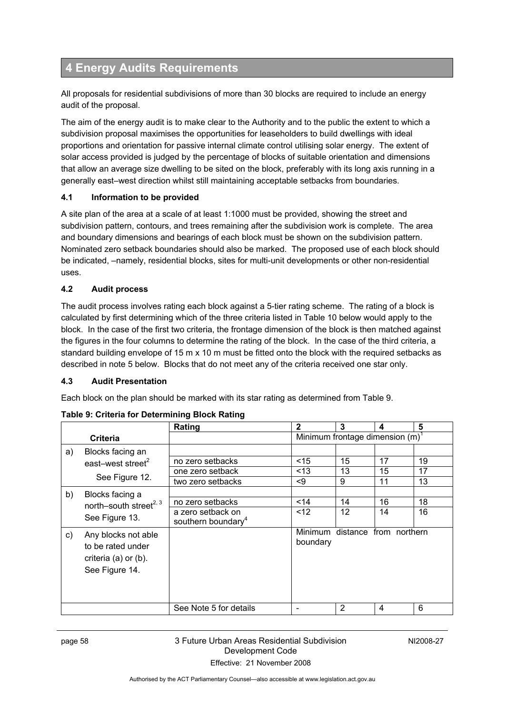### **4 Energy Audits Requirements**

All proposals for residential subdivisions of more than 30 blocks are required to include an energy audit of the proposal.

The aim of the energy audit is to make clear to the Authority and to the public the extent to which a subdivision proposal maximises the opportunities for leaseholders to build dwellings with ideal proportions and orientation for passive internal climate control utilising solar energy. The extent of solar access provided is judged by the percentage of blocks of suitable orientation and dimensions that allow an average size dwelling to be sited on the block, preferably with its long axis running in a generally east–west direction whilst still maintaining acceptable setbacks from boundaries.

### **4.1 Information to be provided**

A site plan of the area at a scale of at least 1:1000 must be provided, showing the street and subdivision pattern, contours, and trees remaining after the subdivision work is complete. The area and boundary dimensions and bearings of each block must be shown on the subdivision pattern. Nominated zero setback boundaries should also be marked. The proposed use of each block should be indicated, –namely, residential blocks, sites for multi-unit developments or other non-residential uses.

### **4.2 Audit process**

The audit process involves rating each block against a 5-tier rating scheme. The rating of a block is calculated by first determining which of the three criteria listed in Table 10 below would apply to the block. In the case of the first two criteria, the frontage dimension of the block is then matched against the figures in the four columns to determine the rating of the block. In the case of the third criteria, a standard building envelope of 15 m x 10 m must be fitted onto the block with the required setbacks as described in note 5 below. Blocks that do not meet any of the criteria received one star only.

#### **4.3 Audit Presentation**

Each block on the plan should be marked with its star rating as determined from Table 9.

|    |                                                                         | Rating                         | 2                                           | 3  | 4                              | 5  |  |
|----|-------------------------------------------------------------------------|--------------------------------|---------------------------------------------|----|--------------------------------|----|--|
|    | <b>Criteria</b>                                                         |                                | Minimum frontage dimension (m) <sup>1</sup> |    |                                |    |  |
| a) | Blocks facing an                                                        |                                |                                             |    |                                |    |  |
|    | east-west street <sup>2</sup><br>See Figure 12.                         | no zero setbacks               | $<$ 15                                      | 15 | 17                             | 19 |  |
|    |                                                                         | one zero setback               | <13                                         | 13 | 15                             | 17 |  |
|    |                                                                         | two zero setbacks              | <9                                          | 9  | 11                             | 13 |  |
| b) | Blocks facing a<br>north-south street <sup>2, 3</sup><br>See Figure 13. |                                |                                             |    |                                |    |  |
|    |                                                                         | no zero setbacks               | $14$                                        | 14 | 16                             | 18 |  |
|    |                                                                         | a zero setback on              | < 12                                        | 12 | 14                             | 16 |  |
|    |                                                                         | southern boundary <sup>4</sup> |                                             |    |                                |    |  |
| C) | Any blocks not able                                                     |                                | boundary                                    |    | Minimum distance from northern |    |  |
|    | to be rated under                                                       |                                |                                             |    |                                |    |  |
|    | criteria (a) or (b).                                                    |                                |                                             |    |                                |    |  |
|    | See Figure 14.                                                          |                                |                                             |    |                                |    |  |
|    |                                                                         |                                |                                             |    |                                |    |  |
|    |                                                                         |                                |                                             |    |                                |    |  |
|    |                                                                         | See Note 5 for details         | -                                           | 2  | 4                              | 6  |  |

**Table 9: Criteria for Determining Block Rating**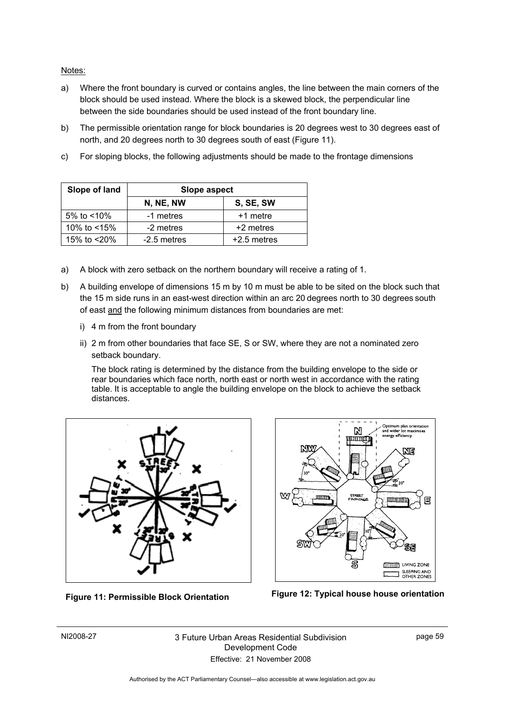Notes:

- a) Where the front boundary is curved or contains angles, the line between the main corners of the block should be used instead. Where the block is a skewed block, the perpendicular line between the side boundaries should be used instead of the front boundary line.
- b) The permissible orientation range for block boundaries is 20 degrees west to 30 degrees east of north, and 20 degrees north to 30 degrees south of east (Figure 11).
- c) For sloping blocks, the following adjustments should be made to the frontage dimensions

| Slope of land  | Slope aspect |               |  |  |
|----------------|--------------|---------------|--|--|
|                | N, NE, NW    | S, SE, SW     |  |  |
| 5% to $<$ 10%  | -1 metres    | +1 metre      |  |  |
| 10% to $<$ 15% | -2 metres    | +2 metres     |  |  |
| 15% to <20%    | -2.5 metres  | $+2.5$ metres |  |  |

- a) A block with zero setback on the northern boundary will receive a rating of 1.
- b) A building envelope of dimensions 15 m by 10 m must be able to be sited on the block such that the 15 m side runs in an east-west direction within an arc 20 degrees north to 30 degrees south of east and the following minimum distances from boundaries are met:
	- i) 4 m from the front boundary
	- ii) 2 m from other boundaries that face SE, S or SW, where they are not a nominated zero setback boundary.

The block rating is determined by the distance from the building envelope to the side or rear boundaries which face north, north east or north west in accordance with the rating table. It is acceptable to angle the building envelope on the block to achieve the setback distances.







NI2008-27 3 Future Urban Areas Residential Subdivision Development Code Effective: 21 November 2008

page 59